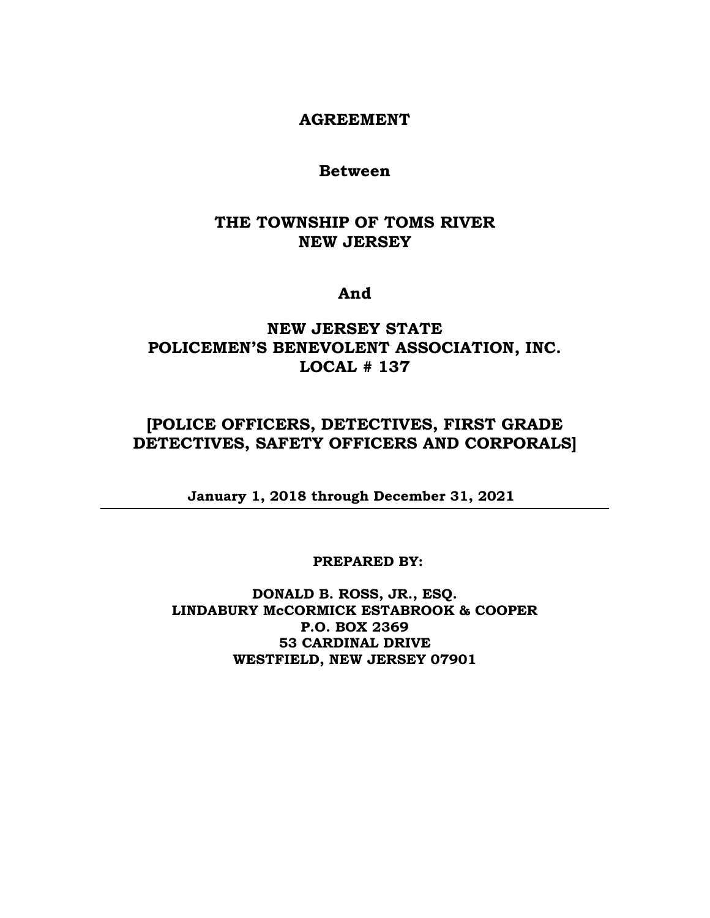### **AGREEMENT**

### **Between**

### **THE TOWNSHIP OF TOMS RIVER NEW JERSEY**

### **And**

### **NEW JERSEY STATE POLICEMEN'S BENEVOLENT ASSOCIATION, INC. LOCAL # 137**

### **[POLICE OFFICERS, DETECTIVES, FIRST GRADE DETECTIVES, SAFETY OFFICERS AND CORPORALS]**

**January 1, 2018 through December 31, 2021**

#### **PREPARED BY:**

**DONALD B. ROSS, JR., ESQ. LINDABURY McCORMICK ESTABROOK & COOPER P.O. BOX 2369 53 CARDINAL DRIVE WESTFIELD, NEW JERSEY 07901**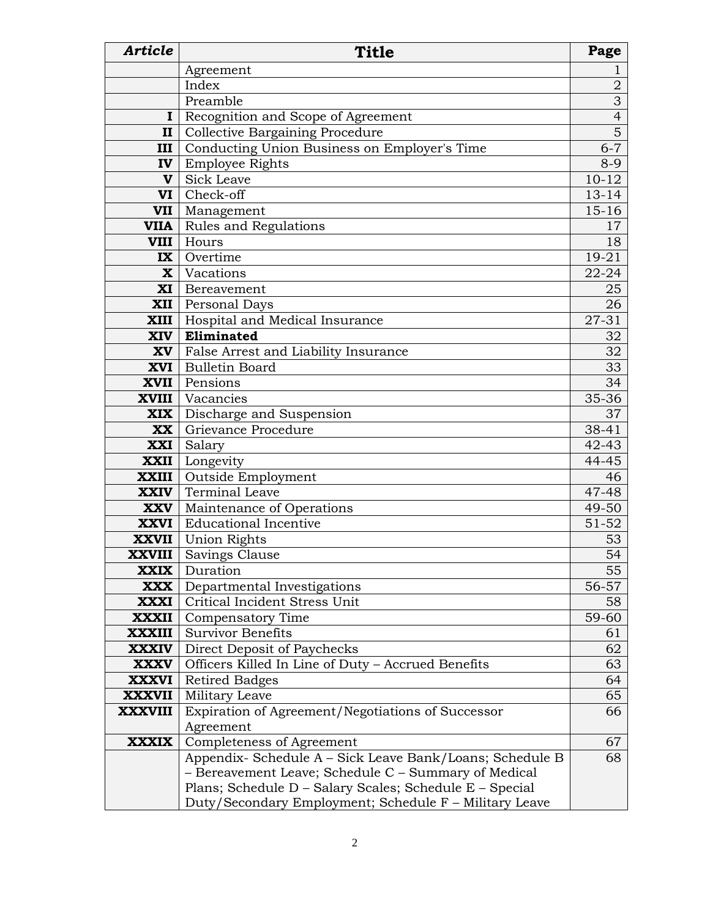| <b>Article</b>                | <b>Title</b>                                             | Page           |
|-------------------------------|----------------------------------------------------------|----------------|
|                               | Agreement                                                | $\perp$        |
|                               | Index                                                    | $\overline{2}$ |
|                               | Preamble                                                 | 3              |
|                               | <b>I</b> Recognition and Scope of Agreement              | $\overline{4}$ |
| II                            | <b>Collective Bargaining Procedure</b>                   | 5              |
| III                           | Conducting Union Business on Employer's Time             | $6 - 7$        |
|                               | <b>IV</b> Employee Rights                                | $8 - 9$        |
| $\mathbf{V}$                  | <b>Sick Leave</b>                                        | $10 - 12$      |
| VI l                          | Check-off                                                | $13 - 14$      |
|                               | <b>VII</b>   Management                                  | $15-16$        |
|                               | <b>VIIA</b> Rules and Regulations                        | 17             |
|                               | <b>VIII</b>   Hours                                      | 18             |
| IX <sub>1</sub>               | Overtime                                                 | $19 - 21$      |
|                               | <b>X</b> Vacations                                       | $22 - 24$      |
|                               | XI Bereavement                                           | 25             |
|                               | <b>XII</b>   Personal Days                               | 26             |
|                               | <b>XIII</b>   Hospital and Medical Insurance             | 27-31          |
|                               | XIV Eliminated                                           | 32             |
|                               | <b>XV</b> False Arrest and Liability Insurance           | 32             |
|                               | XVI   Bulletin Board                                     | 33             |
|                               | <b>XVII</b> Pensions                                     | 34             |
|                               | <b>XVIII</b> Vacancies                                   | 35-36          |
|                               | <b>XIX</b> Discharge and Suspension                      | 37             |
| XX                            | Grievance Procedure                                      | 38-41          |
| XXI                           | Salary                                                   | 42-43          |
|                               | <b>XXII</b> Longevity                                    | 44-45          |
|                               | <b>XXIII</b>   Outside Employment                        | 46             |
|                               | <b>XXIV</b> Terminal Leave                               | $47 - 48$      |
|                               | <b>XXV</b>   Maintenance of Operations                   | 49-50          |
|                               | <b>XXVI</b> Educational Incentive                        | 51-52          |
|                               | <b>XXVII</b> Union Rights                                | 53             |
| <b>XXVIII</b>                 | Savings Clause                                           | 54             |
| <b>XXIX</b>                   | Duration                                                 | 55             |
| <b>XXX</b>                    | Departmental Investigations                              | 56-57          |
| <b>XXXI</b>                   | Critical Incident Stress Unit                            | 58             |
| <b>XXXII</b>                  | Compensatory Time                                        | 59-60          |
| <b>XXXIII</b>                 | <b>Survivor Benefits</b>                                 | 61             |
| <b>XXXIV</b>                  | Direct Deposit of Paychecks                              | 62             |
| <b>XXXV</b>                   | Officers Killed In Line of Duty - Accrued Benefits       | 63             |
| <b>XXXVI</b><br><b>XXXVII</b> | <b>Retired Badges</b><br>Military Leave                  | 64<br>65       |
| <b>XXXVIII</b>                | Expiration of Agreement/Negotiations of Successor        | 66             |
|                               | Agreement                                                |                |
| <b>XXXIX</b>                  | Completeness of Agreement                                | 67             |
|                               | Appendix- Schedule A - Sick Leave Bank/Loans; Schedule B | 68             |
|                               | - Bereavement Leave; Schedule C - Summary of Medical     |                |
|                               | Plans; Schedule D - Salary Scales; Schedule E - Special  |                |
|                               | Duty/Secondary Employment; Schedule F - Military Leave   |                |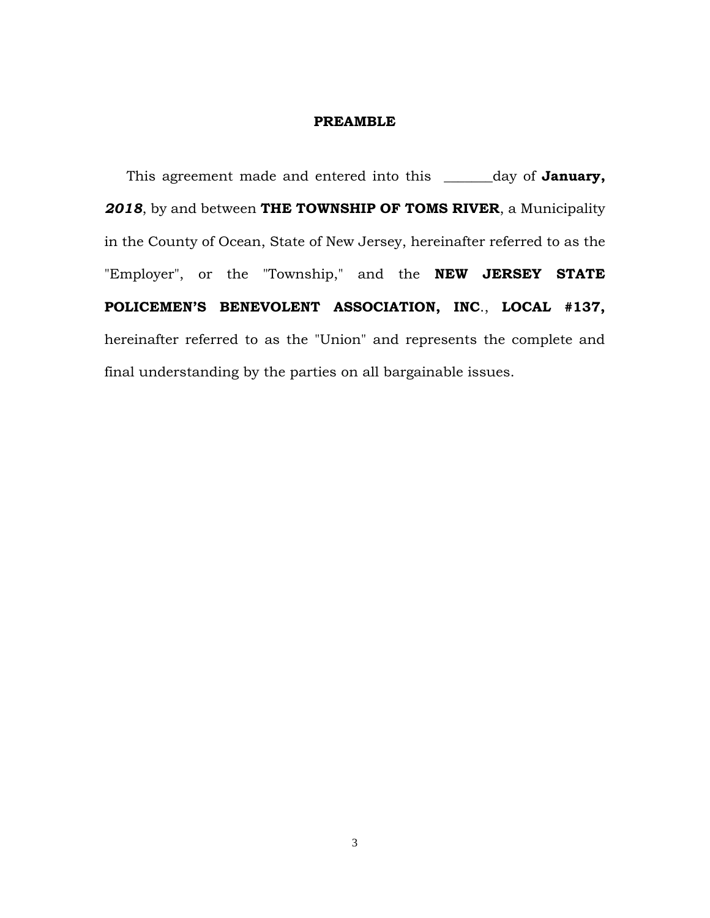#### **PREAMBLE**

 This agreement made and entered into this \_\_\_\_\_\_\_day of **January,**  *2018*, by and between **THE TOWNSHIP OF TOMS RIVER**, a Municipality in the County of Ocean, State of New Jersey, hereinafter referred to as the "Employer", or the "Township," and the **NEW JERSEY STATE POLICEMEN'S BENEVOLENT ASSOCIATION, INC**., **LOCAL #137,** hereinafter referred to as the "Union" and represents the complete and final understanding by the parties on all bargainable issues.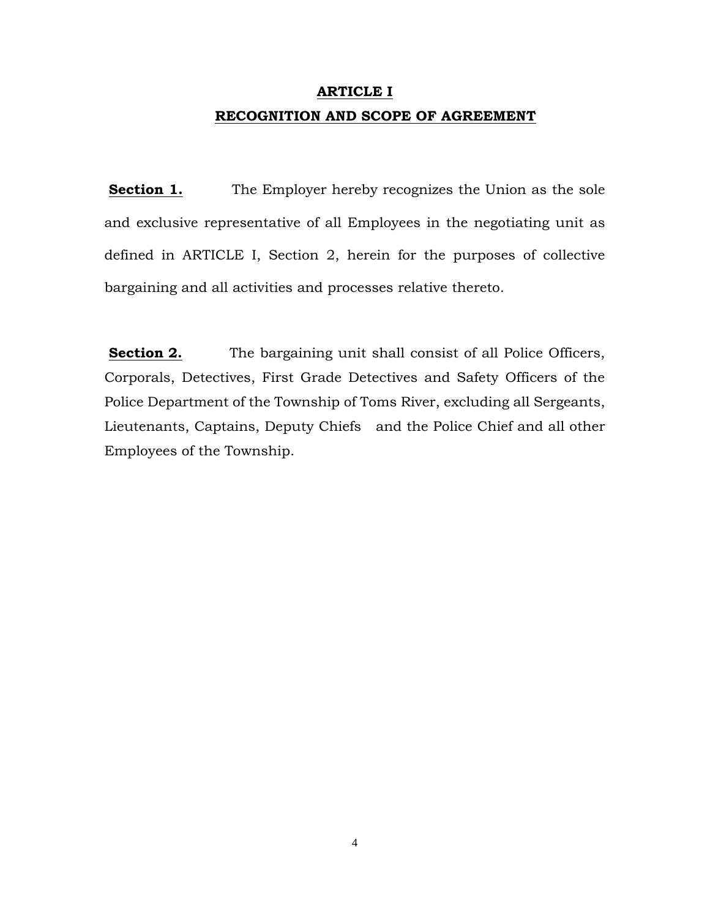## **ARTICLE I RECOGNITION AND SCOPE OF AGREEMENT**

**Section 1.** The Employer hereby recognizes the Union as the sole and exclusive representative of all Employees in the negotiating unit as defined in ARTICLE I, Section 2, herein for the purposes of collective bargaining and all activities and processes relative thereto.

**Section 2.** The bargaining unit shall consist of all Police Officers, Corporals, Detectives, First Grade Detectives and Safety Officers of the Police Department of the Township of Toms River, excluding all Sergeants, Lieutenants, Captains, Deputy Chiefs and the Police Chief and all other Employees of the Township.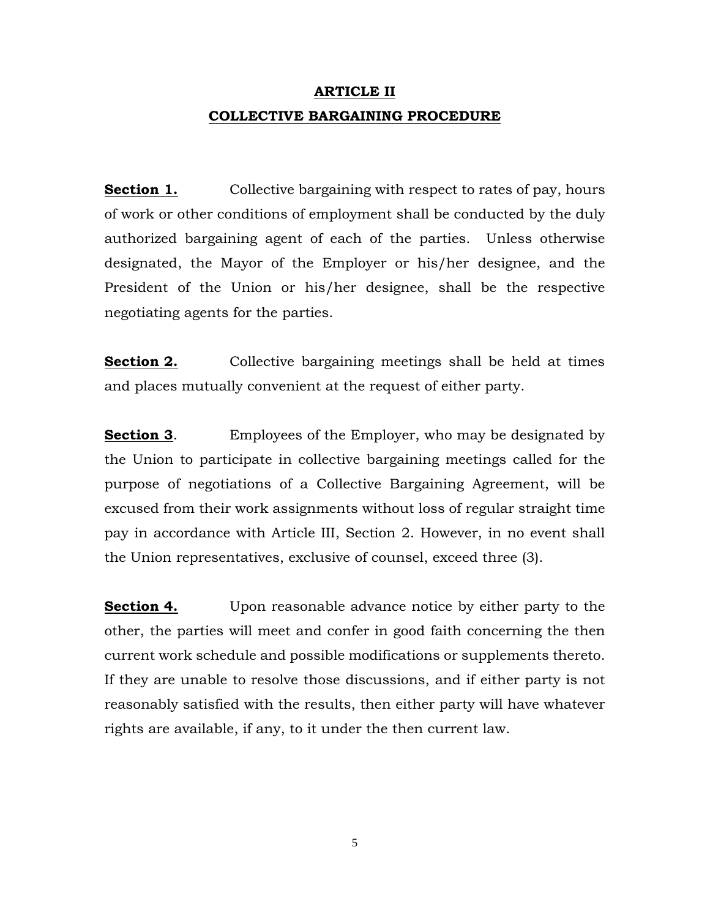# **ARTICLE II COLLECTIVE BARGAINING PROCEDURE**

**Section 1.** Collective bargaining with respect to rates of pay, hours of work or other conditions of employment shall be conducted by the duly authorized bargaining agent of each of the parties. Unless otherwise designated, the Mayor of the Employer or his/her designee, and the President of the Union or his/her designee, shall be the respective negotiating agents for the parties.

**Section 2.** Collective bargaining meetings shall be held at times and places mutually convenient at the request of either party.

**Section 3.** Employees of the Employer, who may be designated by the Union to participate in collective bargaining meetings called for the purpose of negotiations of a Collective Bargaining Agreement, will be excused from their work assignments without loss of regular straight time pay in accordance with Article III, Section 2. However, in no event shall the Union representatives, exclusive of counsel, exceed three (3).

**Section 4.** Upon reasonable advance notice by either party to the other, the parties will meet and confer in good faith concerning the then current work schedule and possible modifications or supplements thereto. If they are unable to resolve those discussions, and if either party is not reasonably satisfied with the results, then either party will have whatever rights are available, if any, to it under the then current law.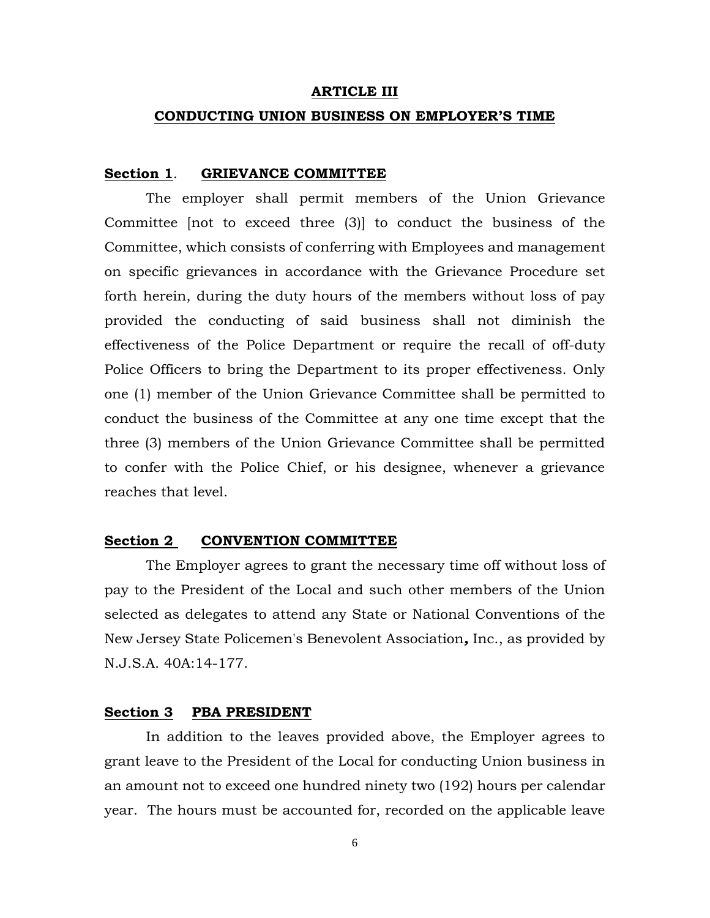#### **ARTICLE III**

#### **CONDUCTING UNION BUSINESS ON EMPLOYER'S TIME**

#### **Section 1**. **GRIEVANCE COMMITTEE**

The employer shall permit members of the Union Grievance Committee [not to exceed three (3)] to conduct the business of the Committee, which consists of conferring with Employees and management on specific grievances in accordance with the Grievance Procedure set forth herein, during the duty hours of the members without loss of pay provided the conducting of said business shall not diminish the effectiveness of the Police Department or require the recall of off-duty Police Officers to bring the Department to its proper effectiveness. Only one (1) member of the Union Grievance Committee shall be permitted to conduct the business of the Committee at any one time except that the three (3) members of the Union Grievance Committee shall be permitted to confer with the Police Chief, or his designee, whenever a grievance reaches that level.

#### **Section 2 CONVENTION COMMITTEE**

The Employer agrees to grant the necessary time off without loss of pay to the President of the Local and such other members of the Union selected as delegates to attend any State or National Conventions of the New Jersey State Policemen's Benevolent Association*,* Inc., as provided by N.J.S.A. 40A:14-177.

#### **Section 3 PBA PRESIDENT**

In addition to the leaves provided above, the Employer agrees to grant leave to the President of the Local for conducting Union business in an amount not to exceed one hundred ninety two (192) hours per calendar year. The hours must be accounted for, recorded on the applicable leave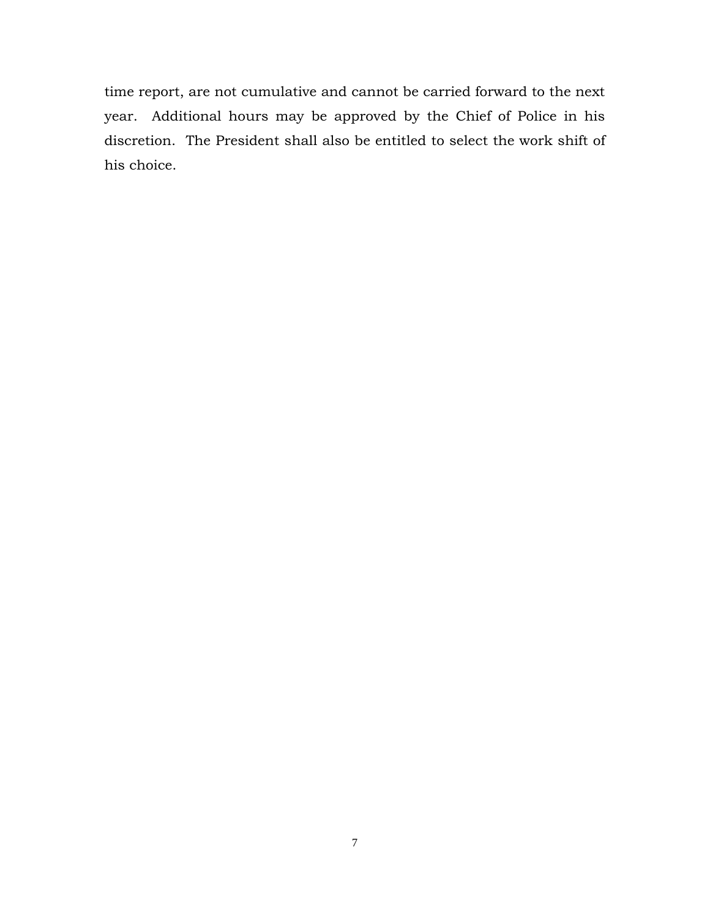time report, are not cumulative and cannot be carried forward to the next year. Additional hours may be approved by the Chief of Police in his discretion. The President shall also be entitled to select the work shift of his choice.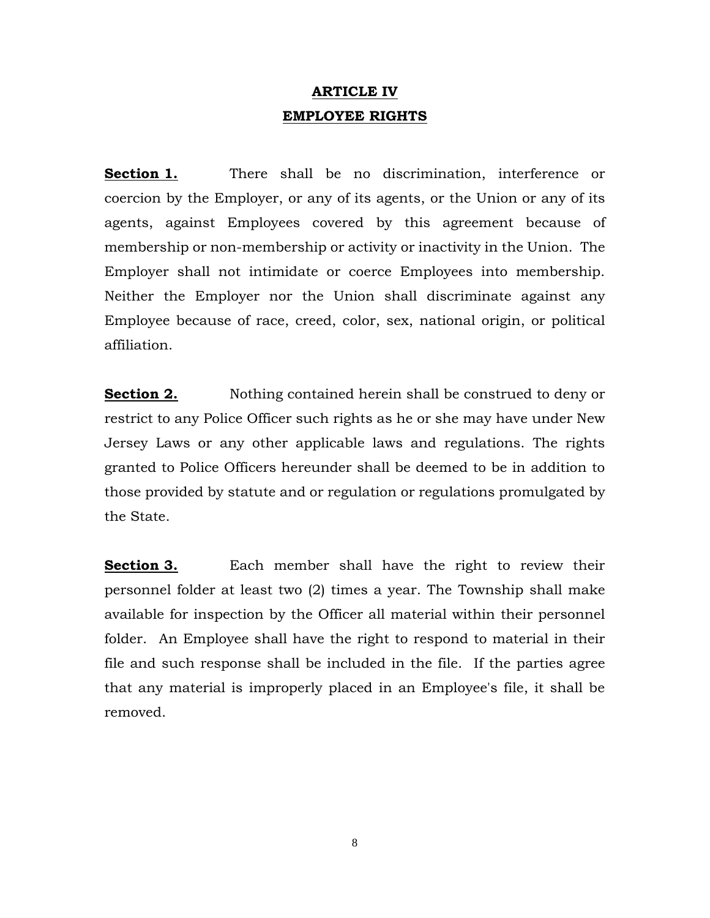## **ARTICLE IV EMPLOYEE RIGHTS**

**Section 1.** There shall be no discrimination, interference or coercion by the Employer, or any of its agents, or the Union or any of its agents, against Employees covered by this agreement because of membership or non-membership or activity or inactivity in the Union. The Employer shall not intimidate or coerce Employees into membership. Neither the Employer nor the Union shall discriminate against any Employee because of race, creed, color, sex, national origin, or political affiliation.

**Section 2.** Nothing contained herein shall be construed to deny or restrict to any Police Officer such rights as he or she may have under New Jersey Laws or any other applicable laws and regulations. The rights granted to Police Officers hereunder shall be deemed to be in addition to those provided by statute and or regulation or regulations promulgated by the State.

**Section 3.** Each member shall have the right to review their personnel folder at least two (2) times a year. The Township shall make available for inspection by the Officer all material within their personnel folder.An Employee shall have the right to respond to material in their file and such response shall be included in the file. If the parties agree that any material is improperly placed in an Employee's file, it shall be removed.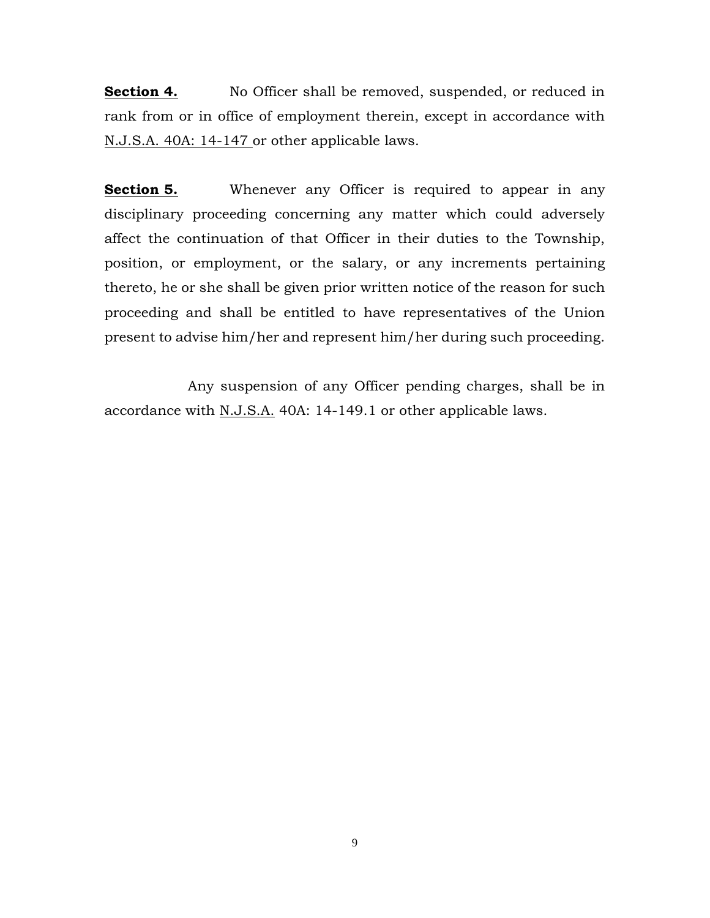**<u>Section 4.</u>** No Officer shall be removed, suspended, or reduced in rank from or in office of employment therein, except in accordance with N.J.S.A. 40A: 14-147 or other applicable laws.

**Section 5.** Whenever any Officer is required to appear in any disciplinary proceeding concerning any matter which could adversely affect the continuation of that Officer in their duties to the Township, position, or employment, or the salary, or any increments pertaining thereto, he or she shall be given prior written notice of the reason for such proceeding and shall be entitled to have representatives of the Union present to advise him/her and represent him/her during such proceeding.

Any suspension of any Officer pending charges, shall be in accordance with N.J.S.A. 40A: 14-149.1 or other applicable laws.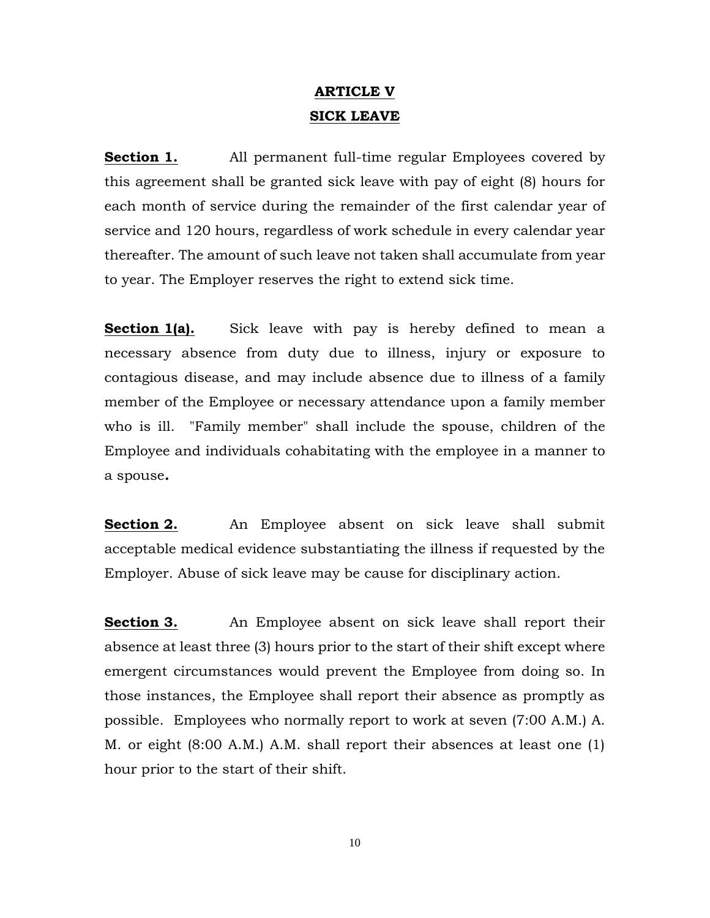## **ARTICLE V SICK LEAVE**

**Section 1.** All permanent full-time regular Employees covered by this agreement shall be granted sick leave with pay of eight (8) hours for each month of service during the remainder of the first calendar year of service and 120 hours, regardless of work schedule in every calendar year thereafter. The amount of such leave not taken shall accumulate from year to year. The Employer reserves the right to extend sick time.

**Section 1(a).** Sick leave with pay is hereby defined to mean a necessary absence from duty due to illness, injury or exposure to contagious disease, and may include absence due to illness of a family member of the Employee or necessary attendance upon a family member who is ill. "Family member" shall include the spouse, children of the Employee and individuals cohabitating with the employee in a manner to a spouse*.*

**Section 2.** An Employee absent on sick leave shall submit acceptable medical evidence substantiating the illness if requested by the Employer. Abuse of sick leave may be cause for disciplinary action.

**Section 3.** An Employee absent on sick leave shall report their absence at least three (3) hours prior to the start of their shift except where emergent circumstances would prevent the Employee from doing so. In those instances, the Employee shall report their absence as promptly as possible. Employees who normally report to work at seven (7:00 A.M.) A. M. or eight (8:00 A.M.) A.M. shall report their absences at least one (1) hour prior to the start of their shift.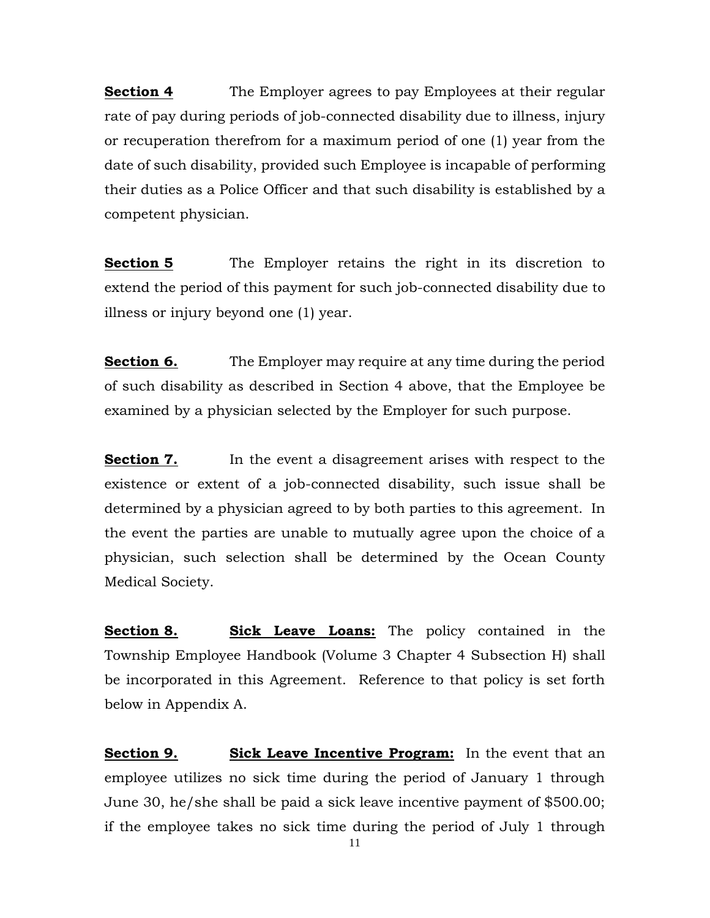**Section 4** The Employer agrees to pay Employees at their regular rate of pay during periods of job-connected disability due to illness, injury or recuperation therefrom for a maximum period of one (1) year from the date of such disability, provided such Employee is incapable of performing their duties as a Police Officer and that such disability is established by a competent physician.

**Section 5** The Employer retains the right in its discretion to extend the period of this payment for such job-connected disability due to illness or injury beyond one (1) year.

**Section 6.** The Employer may require at any time during the period of such disability as described in Section 4 above, that the Employee be examined by a physician selected by the Employer for such purpose.

**Section 7.** In the event a disagreement arises with respect to the existence or extent of a job-connected disability, such issue shall be determined by a physician agreed to by both parties to this agreement. In the event the parties are unable to mutually agree upon the choice of a physician, such selection shall be determined by the Ocean County Medical Society.

**Section 8. Sick Leave Loans:** The policy contained in the Township Employee Handbook (Volume 3 Chapter 4 Subsection H) shall be incorporated in this Agreement. Reference to that policy is set forth below in Appendix A.

**Section 9. Sick Leave Incentive Program:** In the event that an employee utilizes no sick time during the period of January 1 through June 30, he/she shall be paid a sick leave incentive payment of \$500.00; if the employee takes no sick time during the period of July 1 through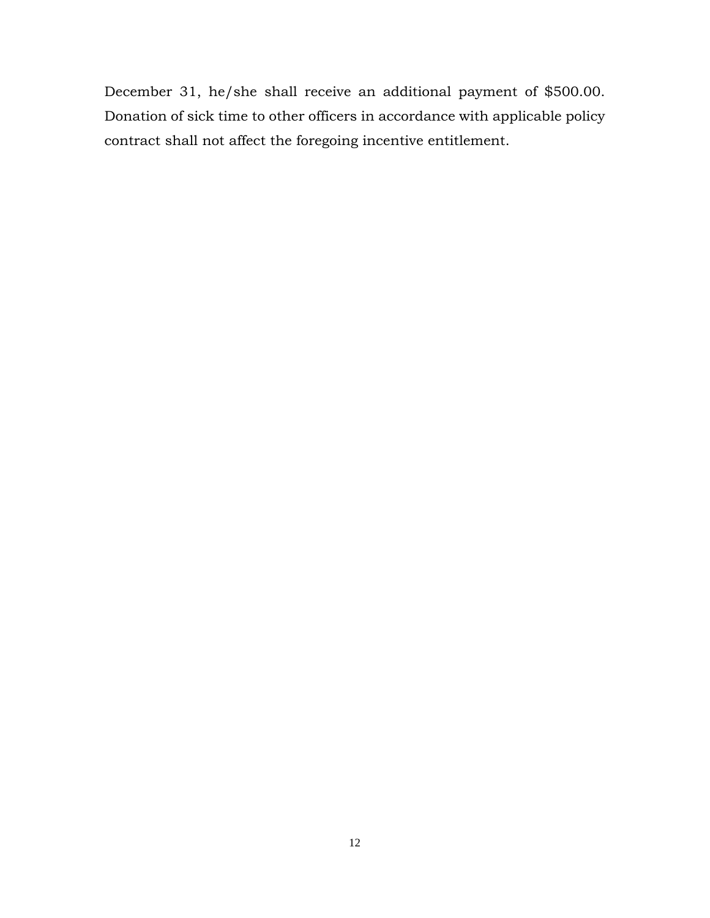December 31, he/she shall receive an additional payment of \$500.00. Donation of sick time to other officers in accordance with applicable policy contract shall not affect the foregoing incentive entitlement.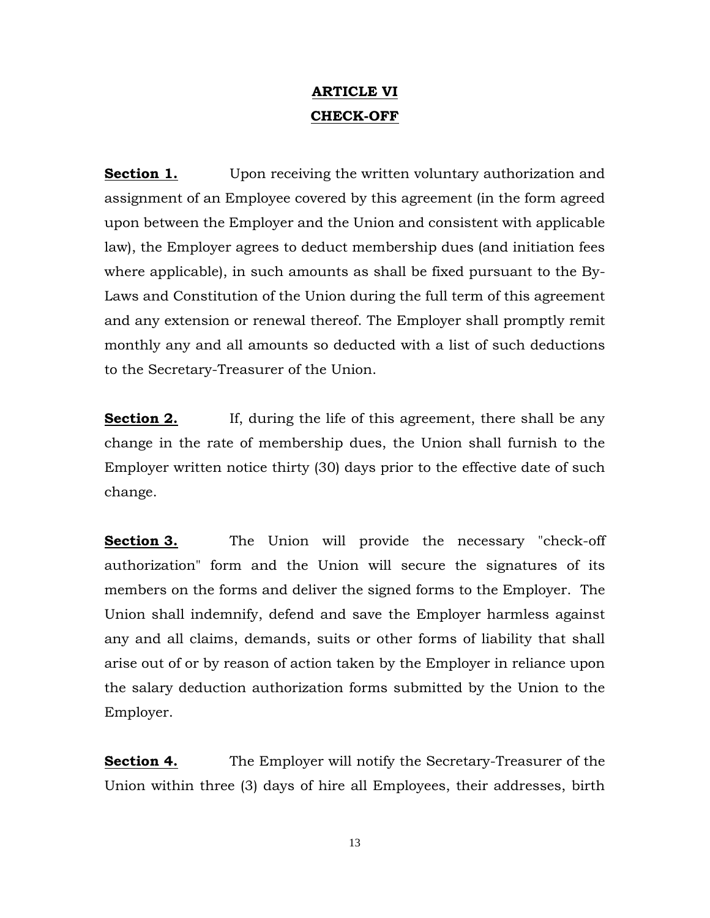## **ARTICLE VI CHECK-OFF**

**Section 1.** Upon receiving the written voluntary authorization and assignment of an Employee covered by this agreement (in the form agreed upon between the Employer and the Union and consistent with applicable law), the Employer agrees to deduct membership dues (and initiation fees where applicable), in such amounts as shall be fixed pursuant to the By-Laws and Constitution of the Union during the full term of this agreement and any extension or renewal thereof. The Employer shall promptly remit monthly any and all amounts so deducted with a list of such deductions to the Secretary-Treasurer of the Union.

**Section 2.** If, during the life of this agreement, there shall be any change in the rate of membership dues, the Union shall furnish to the Employer written notice thirty (30) days prior to the effective date of such change.

**Section 3.** The Union will provide the necessary "check-off" authorization" form and the Union will secure the signatures of its members on the forms and deliver the signed forms to the Employer. The Union shall indemnify, defend and save the Employer harmless against any and all claims, demands, suits or other forms of liability that shall arise out of or by reason of action taken by the Employer in reliance upon the salary deduction authorization forms submitted by the Union to the Employer.

**Section 4.** The Employer will notify the Secretary-Treasurer of the Union within three (3) days of hire all Employees, their addresses, birth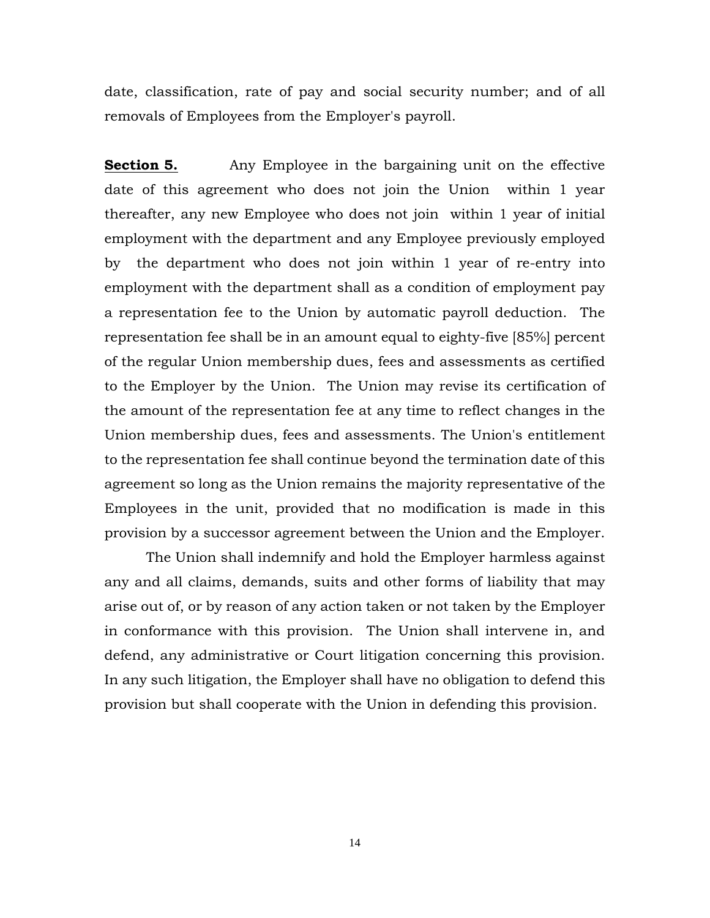date, classification, rate of pay and social security number; and of all removals of Employees from the Employer's payroll.

**Section 5.** Any Employee in the bargaining unit on the effective date of this agreement who does not join the Union within 1 year thereafter, any new Employee who does not join within 1 year of initial employment with the department and any Employee previously employed by the department who does not join within 1 year of re-entry into employment with the department shall as a condition of employment pay a representation fee to the Union by automatic payroll deduction. The representation fee shall be in an amount equal to eighty-five [85%] percent of the regular Union membership dues, fees and assessments as certified to the Employer by the Union. The Union may revise its certification of the amount of the representation fee at any time to reflect changes in the Union membership dues, fees and assessments. The Union's entitlement to the representation fee shall continue beyond the termination date of this agreement so long as the Union remains the majority representative of the Employees in the unit, provided that no modification is made in this provision by a successor agreement between the Union and the Employer.

The Union shall indemnify and hold the Employer harmless against any and all claims, demands, suits and other forms of liability that may arise out of, or by reason of any action taken or not taken by the Employer in conformance with this provision. The Union shall intervene in, and defend, any administrative or Court litigation concerning this provision. In any such litigation, the Employer shall have no obligation to defend this provision but shall cooperate with the Union in defending this provision.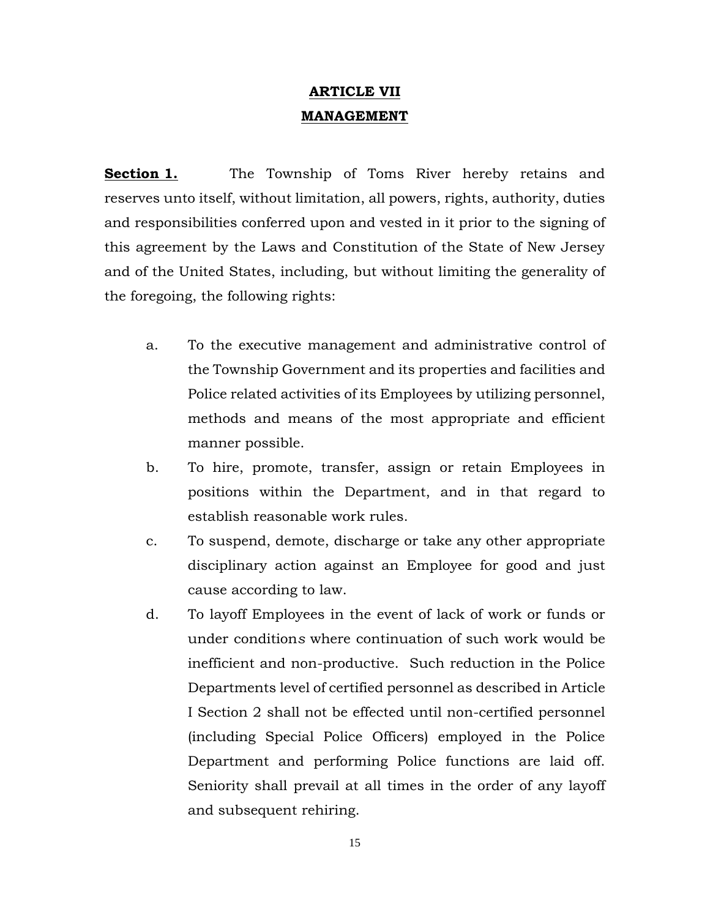## **ARTICLE VII MANAGEMENT**

**Section 1.** The Township of Toms River hereby retains and reserves unto itself, without limitation, all powers, rights, authority, duties and responsibilities conferred upon and vested in it prior to the signing of this agreement by the Laws and Constitution of the State of New Jersey and of the United States, including, but without limiting the generality of the foregoing, the following rights:

- a. To the executive management and administrative control of the Township Government and its properties and facilities and Police related activities of its Employees by utilizing personnel, methods and means of the most appropriate and efficient manner possible.
- b. To hire, promote, transfer, assign or retain Employees in positions within the Department, and in that regard to establish reasonable work rules.
- c. To suspend, demote, discharge or take any other appropriate disciplinary action against an Employee for good and just cause according to law.
- d. To layoff Employees in the event of lack of work or funds or under condition*s* where continuation of such work would be inefficient and non-productive. Such reduction in the Police Departments level of certified personnel as described in Article I Section 2 shall not be effected until non-certified personnel (including Special Police Officers) employed in the Police Department and performing Police functions are laid off. Seniority shall prevail at all times in the order of any layoff and subsequent rehiring.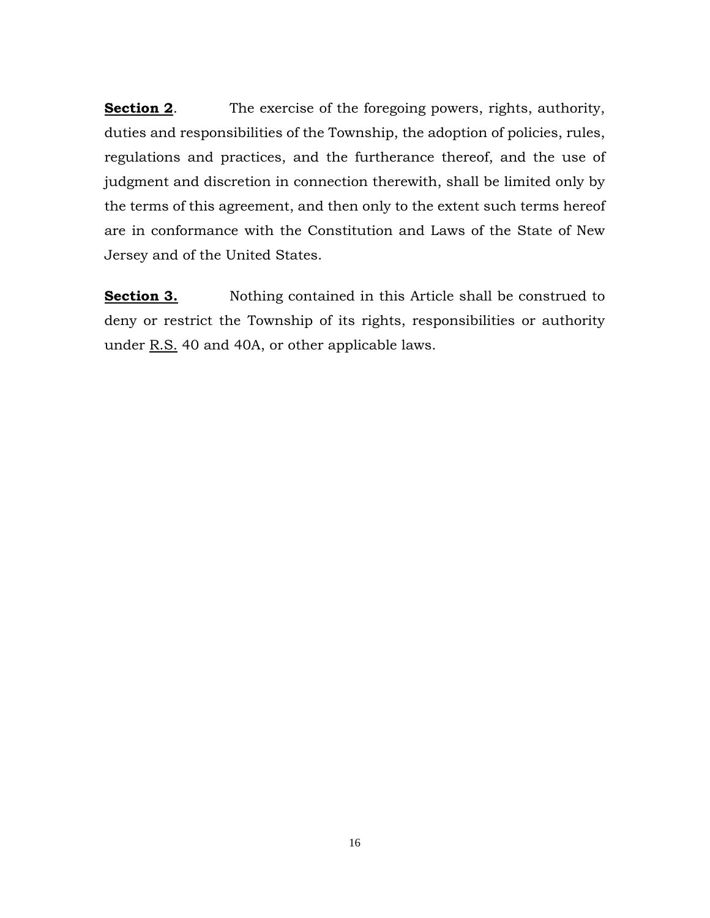**Section 2.** The exercise of the foregoing powers, rights, authority, duties and responsibilities of the Township, the adoption of policies, rules, regulations and practices, and the furtherance thereof, and the use of judgment and discretion in connection therewith, shall be limited only by the terms of this agreement, and then only to the extent such terms hereof are in conformance with the Constitution and Laws of the State of New Jersey and of the United States.

**Section 3.** Nothing contained in this Article shall be construed to deny or restrict the Township of its rights, responsibilities or authority under R.S. 40 and 40A, or other applicable laws.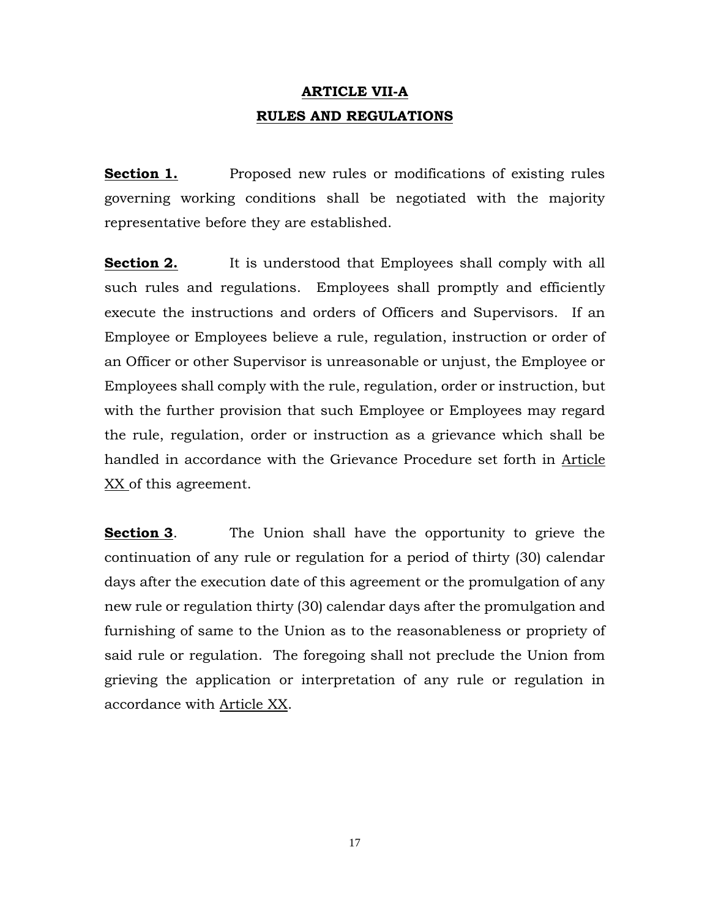## **ARTICLE VII-A RULES AND REGULATIONS**

**Section 1.** Proposed new rules or modifications of existing rules governing working conditions shall be negotiated with the majority representative before they are established.

**Section 2.** It is understood that Employees shall comply with all such rules and regulations. Employees shall promptly and efficiently execute the instructions and orders of Officers and Supervisors. If an Employee or Employees believe a rule, regulation, instruction or order of an Officer or other Supervisor is unreasonable or unjust, the Employee or Employees shall comply with the rule, regulation, order or instruction, but with the further provision that such Employee or Employees may regard the rule, regulation, order or instruction as a grievance which shall be handled in accordance with the Grievance Procedure set forth in Article XX of this agreement.

**Section 3.** The Union shall have the opportunity to grieve the continuation of any rule or regulation for a period of thirty (30) calendar days after the execution date of this agreement or the promulgation of any new rule or regulation thirty (30) calendar days after the promulgation and furnishing of same to the Union as to the reasonableness or propriety of said rule or regulation. The foregoing shall not preclude the Union from grieving the application or interpretation of any rule or regulation in accordance with Article XX.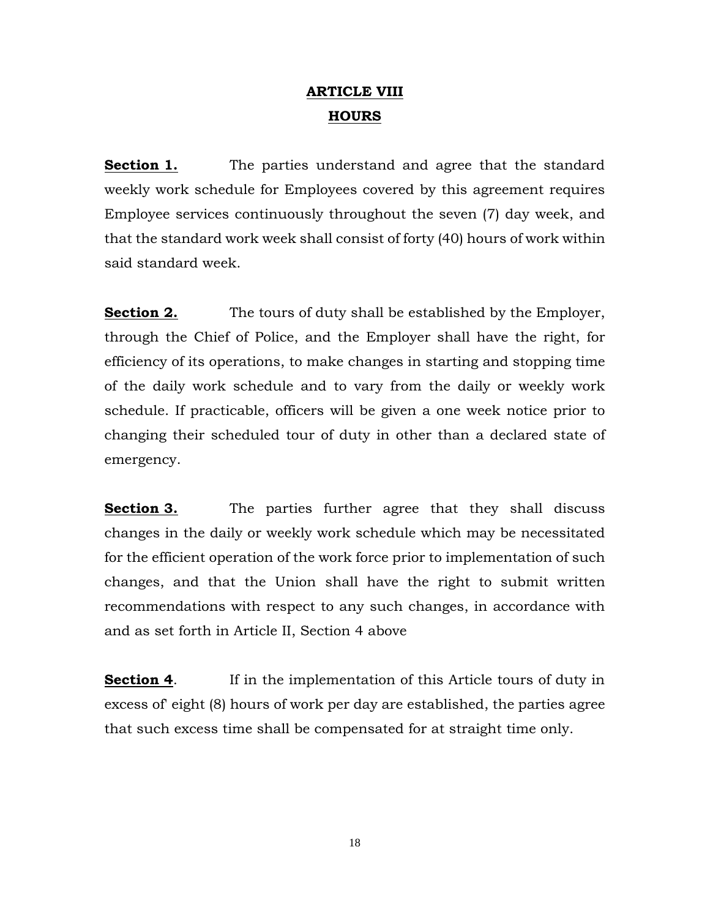## **ARTICLE VIII HOURS**

**Section 1.** The parties understand and agree that the standard weekly work schedule for Employees covered by this agreement requires Employee services continuously throughout the seven (7) day week, and that the standard work week shall consist of forty (40) hours of work within said standard week.

**Section 2.** The tours of duty shall be established by the Employer, through the Chief of Police, and the Employer shall have the right, for efficiency of its operations, to make changes in starting and stopping time of the daily work schedule and to vary from the daily or weekly work schedule. If practicable, officers will be given a one week notice prior to changing their scheduled tour of duty in other than a declared state of emergency.

**Section 3.** The parties further agree that they shall discuss changes in the daily or weekly work schedule which may be necessitated for the efficient operation of the work force prior to implementation of such changes, and that the Union shall have the right to submit written recommendations with respect to any such changes, in accordance with and as set forth in Article II, Section 4 above

**Section 4.** If in the implementation of this Article tours of duty in excess of' eight (8) hours of work per day are established, the parties agree that such excess time shall be compensated for at straight time only.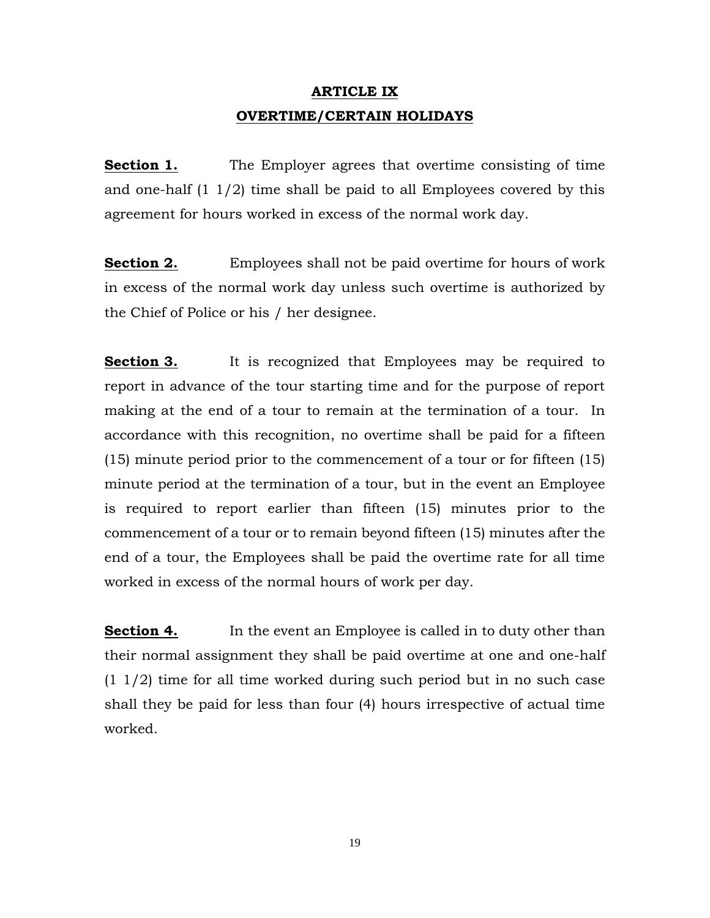## **ARTICLE IX OVERTIME/CERTAIN HOLIDAYS**

**Section 1.** The Employer agrees that overtime consisting of time and one-half  $(1 \ 1/2)$  time shall be paid to all Employees covered by this agreement for hours worked in excess of the normal work day.

**Section 2.** Employees shall not be paid overtime for hours of work in excess of the normal work day unless such overtime is authorized by the Chief of Police or his / her designee.

**Section 3.** It is recognized that Employees may be required to report in advance of the tour starting time and for the purpose of report making at the end of a tour to remain at the termination of a tour. In accordance with this recognition, no overtime shall be paid for a fifteen (15) minute period prior to the commencement of a tour or for fifteen (15) minute period at the termination of a tour, but in the event an Employee is required to report earlier than fifteen (15) minutes prior to the commencement of a tour or to remain beyond fifteen (15) minutes after the end of a tour, the Employees shall be paid the overtime rate for all time worked in excess of the normal hours of work per day.

**Section 4.** In the event an Employee is called in to duty other than their normal assignment they shall be paid overtime at one and one-half (1 1/2) time for all time worked during such period but in no such case shall they be paid for less than four (4) hours irrespective of actual time worked.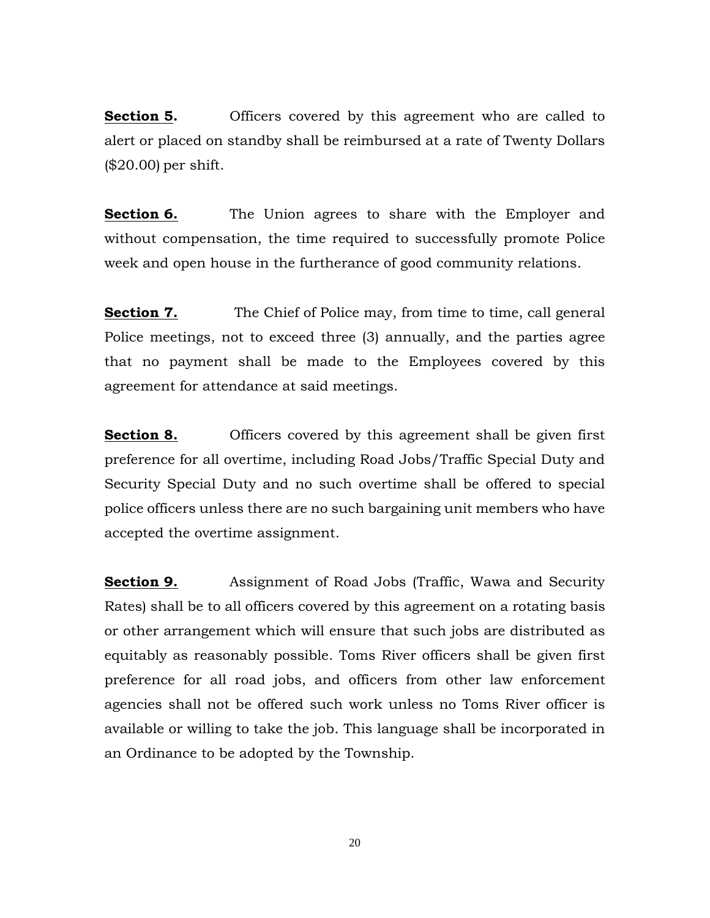**Section 5.** Officers covered by this agreement who are called to alert or placed on standby shall be reimbursed at a rate of Twenty Dollars (\$20.00) per shift.

**Section 6.** The Union agrees to share with the Employer and without compensation, the time required to successfully promote Police week and open house in the furtherance of good community relations.

**Section 7.** The Chief of Police may, from time to time, call general Police meetings, not to exceed three (3) annually, and the parties agree that no payment shall be made to the Employees covered by this agreement for attendance at said meetings.

**Section 8.** Officers covered by this agreement shall be given first preference for all overtime, including Road Jobs/Traffic Special Duty and Security Special Duty and no such overtime shall be offered to special police officers unless there are no such bargaining unit members who have accepted the overtime assignment.

**Section 9.** Assignment of Road Jobs (Traffic, Wawa and Security Rates) shall be to all officers covered by this agreement on a rotating basis or other arrangement which will ensure that such jobs are distributed as equitably as reasonably possible. Toms River officers shall be given first preference for all road jobs, and officers from other law enforcement agencies shall not be offered such work unless no Toms River officer is available or willing to take the job. This language shall be incorporated in an Ordinance to be adopted by the Township.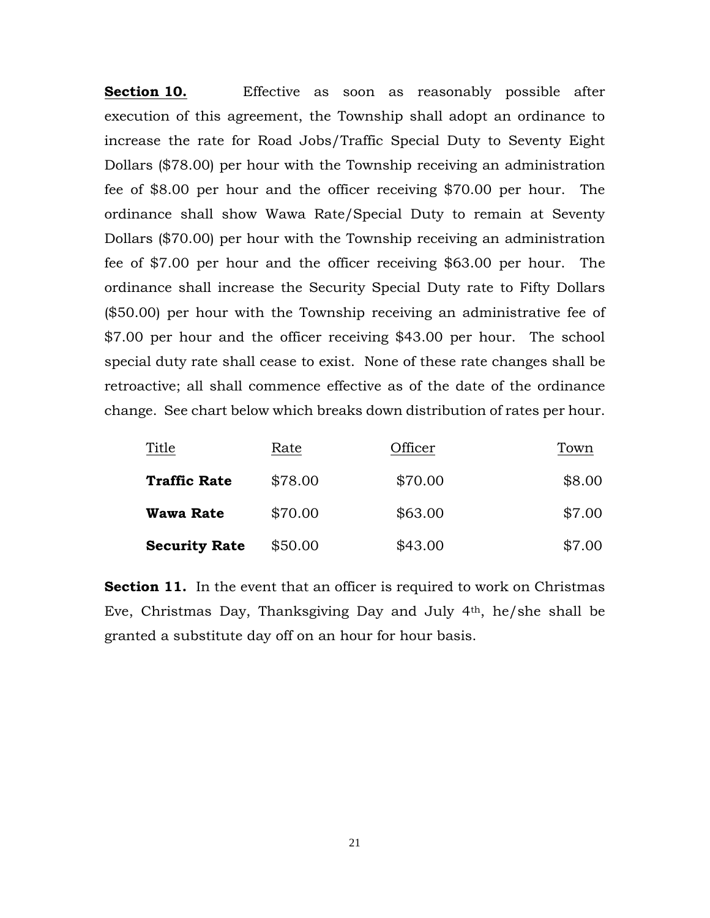**Section 10.** Effective as soon as reasonably possible after execution of this agreement, the Township shall adopt an ordinance to increase the rate for Road Jobs/Traffic Special Duty to Seventy Eight Dollars (\$78.00) per hour with the Township receiving an administration fee of \$8.00 per hour and the officer receiving \$70.00 per hour. The ordinance shall show Wawa Rate/Special Duty to remain at Seventy Dollars (\$70.00) per hour with the Township receiving an administration fee of \$7.00 per hour and the officer receiving \$63.00 per hour. The ordinance shall increase the Security Special Duty rate to Fifty Dollars (\$50.00) per hour with the Township receiving an administrative fee of \$7.00 per hour and the officer receiving \$43.00 per hour. The school special duty rate shall cease to exist. None of these rate changes shall be retroactive; all shall commence effective as of the date of the ordinance change. See chart below which breaks down distribution of rates per hour.

| Title                | Rate    | Officer | Town   |
|----------------------|---------|---------|--------|
| <b>Traffic Rate</b>  | \$78.00 | \$70.00 | \$8.00 |
| <b>Wawa Rate</b>     | \$70.00 | \$63.00 | \$7.00 |
| <b>Security Rate</b> | \$50.00 | \$43.00 | \$7.00 |

**Section 11.** In the event that an officer is required to work on Christmas Eve, Christmas Day, Thanksgiving Day and July 4th, he/she shall be granted a substitute day off on an hour for hour basis.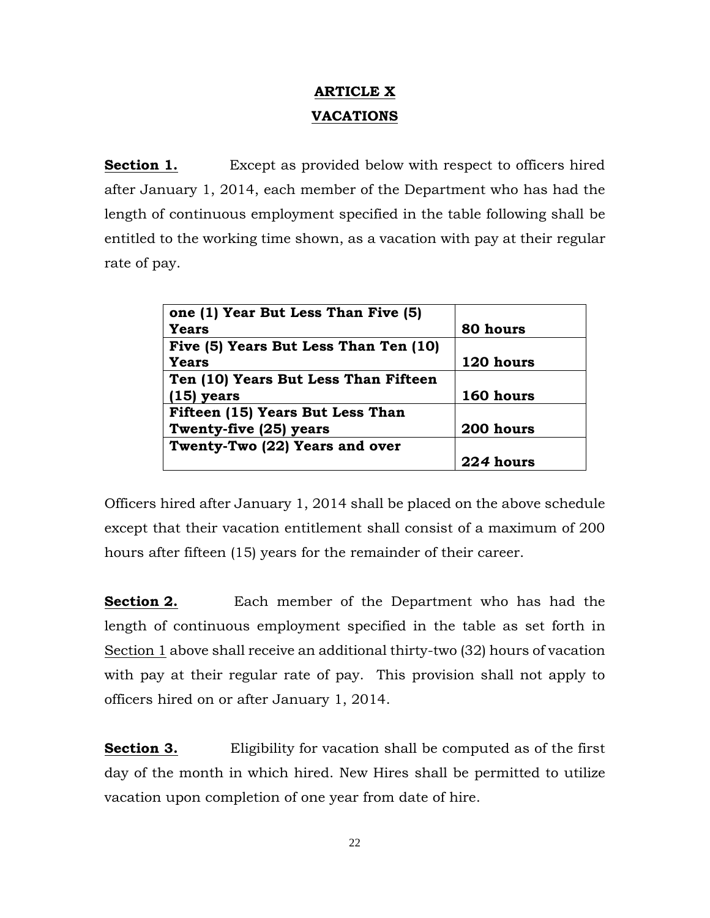# **ARTICLE X VACATIONS**

**Section 1.** Except as provided below with respect to officers hired after January 1, 2014, each member of the Department who has had the length of continuous employment specified in the table following shall be entitled to the working time shown, as a vacation with pay at their regular rate of pay.

| one (1) Year But Less Than Five (5)   |           |
|---------------------------------------|-----------|
| Years                                 | 80 hours  |
| Five (5) Years But Less Than Ten (10) |           |
| Years                                 | 120 hours |
| Ten (10) Years But Less Than Fifteen  |           |
| $(15)$ years                          | 160 hours |
| Fifteen (15) Years But Less Than      |           |
| Twenty-five (25) years                | 200 hours |
| Twenty-Two (22) Years and over        |           |
|                                       | 224 hours |

Officers hired after January 1, 2014 shall be placed on the above schedule except that their vacation entitlement shall consist of a maximum of 200 hours after fifteen (15) years for the remainder of their career.

**Section 2.** Each member of the Department who has had the length of continuous employment specified in the table as set forth in Section 1 above shall receive an additional thirty-two (32) hours of vacation with pay at their regular rate of pay. This provision shall not apply to officers hired on or after January 1, 2014.

**Section 3.** Eligibility for vacation shall be computed as of the first day of the month in which hired. New Hires shall be permitted to utilize vacation upon completion of one year from date of hire.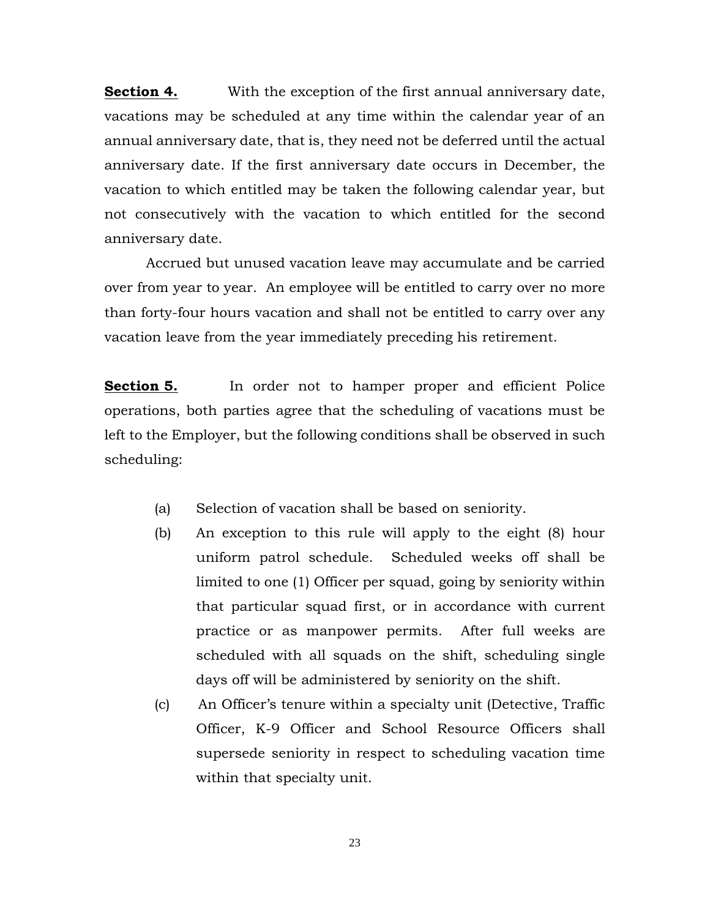**Section 4.** With the exception of the first annual anniversary date, vacations may be scheduled at any time within the calendar year of an annual anniversary date, that is, they need not be deferred until the actual anniversary date. If the first anniversary date occurs in December, the vacation to which entitled may be taken the following calendar year, but not consecutively with the vacation to which entitled for the second anniversary date.

Accrued but unused vacation leave may accumulate and be carried over from year to year. An employee will be entitled to carry over no more than forty-four hours vacation and shall not be entitled to carry over any vacation leave from the year immediately preceding his retirement.

**Section 5.** In order not to hamper proper and efficient Police operations, both parties agree that the scheduling of vacations must be left to the Employer, but the following conditions shall be observed in such scheduling:

- (a) Selection of vacation shall be based on seniority.
- (b) An exception to this rule will apply to the eight (8) hour uniform patrol schedule. Scheduled weeks off shall be limited to one (1) Officer per squad, going by seniority within that particular squad first, or in accordance with current practice or as manpower permits. After full weeks are scheduled with all squads on the shift, scheduling single days off will be administered by seniority on the shift.
- (c) An Officer's tenure within a specialty unit (Detective, Traffic Officer, K-9 Officer and School Resource Officers shall supersede seniority in respect to scheduling vacation time within that specialty unit.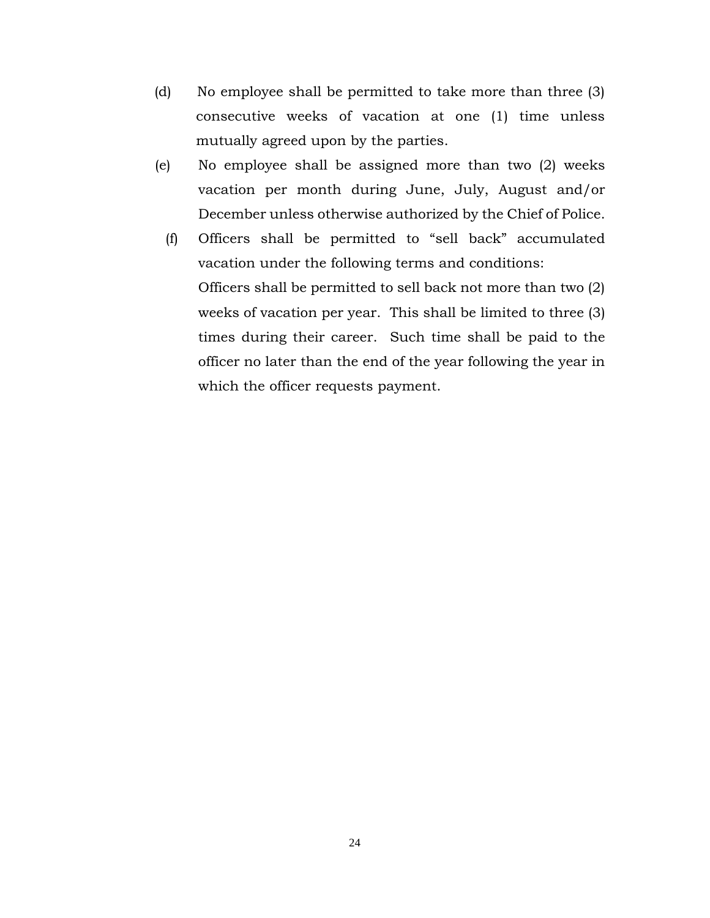- (d) No employee shall be permitted to take more than three (3) consecutive weeks of vacation at one (1) time unless mutually agreed upon by the parties.
- (e) No employee shall be assigned more than two (2) weeks vacation per month during June, July, August and/or December unless otherwise authorized by the Chief of Police.
	- (f) Officers shall be permitted to "sell back" accumulated vacation under the following terms and conditions: Officers shall be permitted to sell back not more than two (2) weeks of vacation per year. This shall be limited to three (3) times during their career. Such time shall be paid to the officer no later than the end of the year following the year in which the officer requests payment.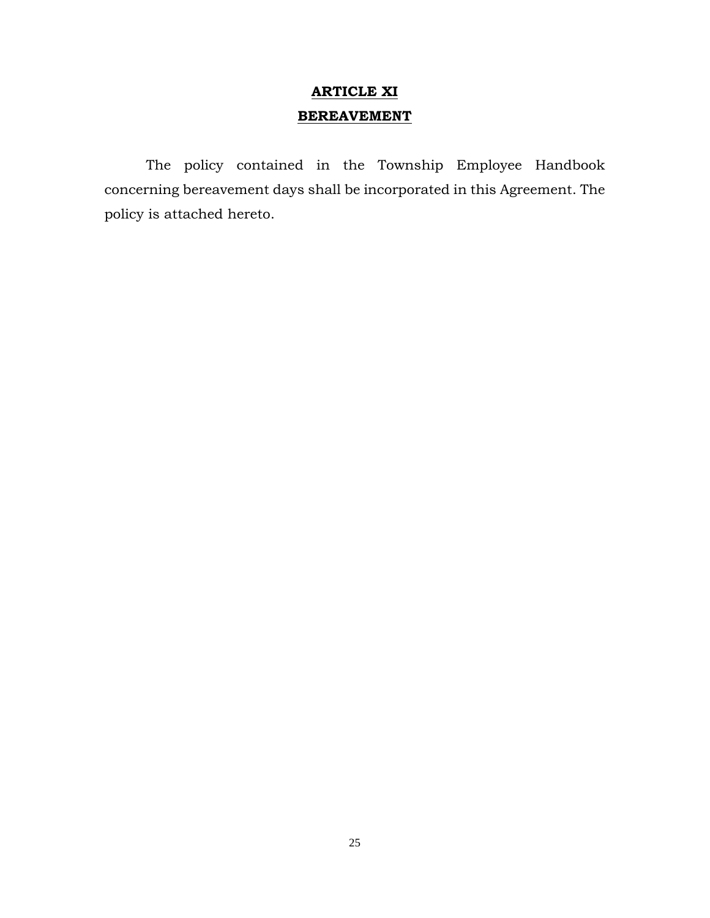# **ARTICLE XI BEREAVEMENT**

The policy contained in the Township Employee Handbook concerning bereavement days shall be incorporated in this Agreement. The policy is attached hereto.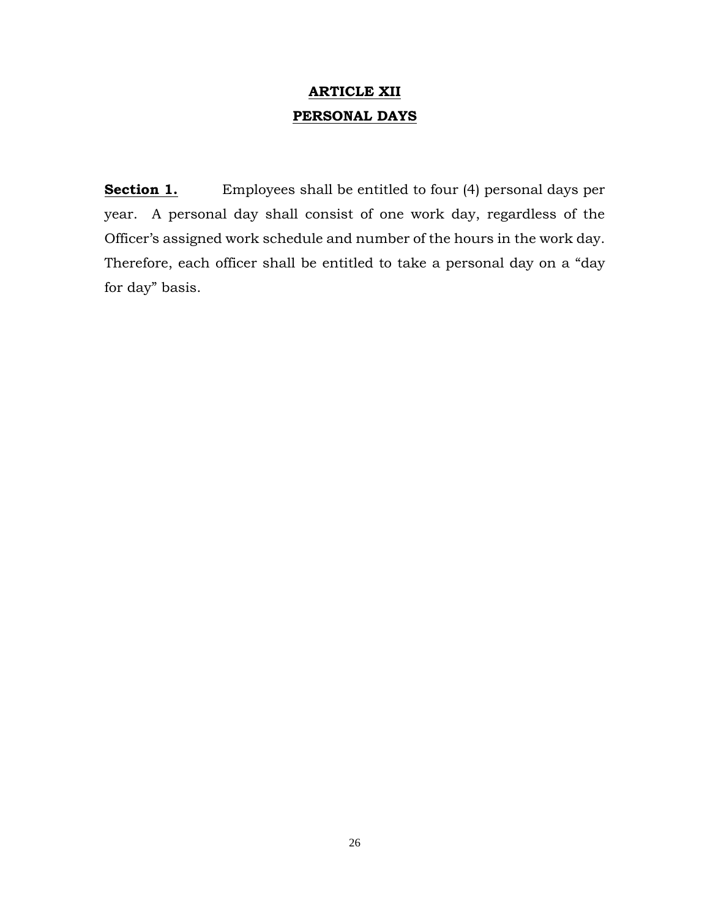## **ARTICLE XII PERSONAL DAYS**

**Section 1.** Employees shall be entitled to four (4) personal days per year. A personal day shall consist of one work day, regardless of the Officer's assigned work schedule and number of the hours in the work day. Therefore, each officer shall be entitled to take a personal day on a "day for day" basis.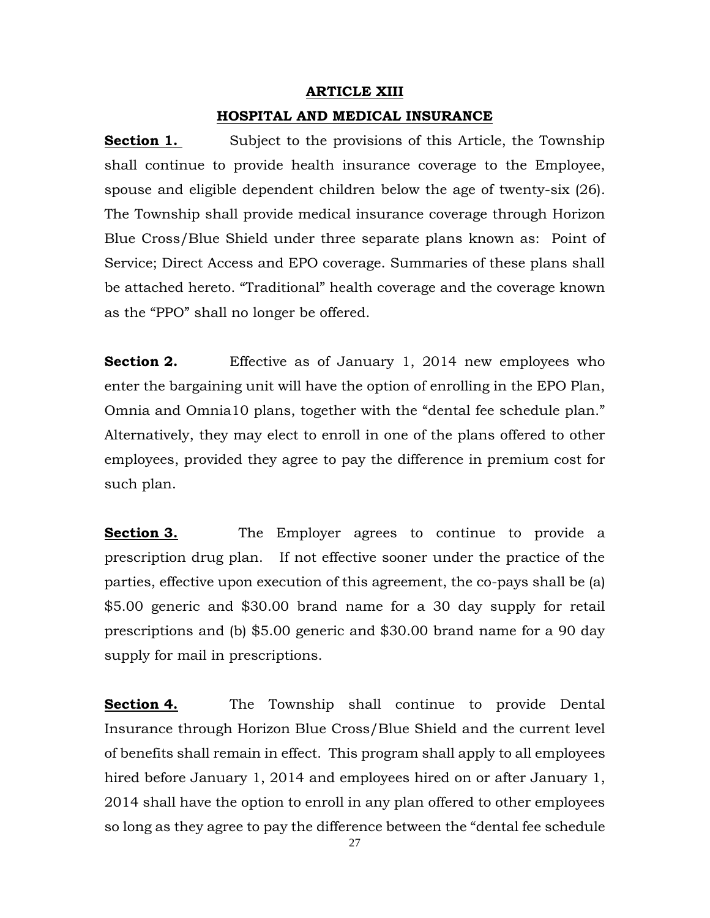#### **ARTICLE XIII**

#### **HOSPITAL AND MEDICAL INSURANCE**

**Section 1.** Subject to the provisions of this Article, the Township shall continue to provide health insurance coverage to the Employee, spouse and eligible dependent children below the age of twenty-six (26). The Township shall provide medical insurance coverage through Horizon Blue Cross/Blue Shield under three separate plans known as: Point of Service; Direct Access and EPO coverage. Summaries of these plans shall be attached hereto. "Traditional" health coverage and the coverage known as the "PPO" shall no longer be offered.

**Section 2.** Effective as of January 1, 2014 new employees who enter the bargaining unit will have the option of enrolling in the EPO Plan, Omnia and Omnia10 plans, together with the "dental fee schedule plan." Alternatively, they may elect to enroll in one of the plans offered to other employees, provided they agree to pay the difference in premium cost for such plan.

**Section 3.** The Employer agrees to continue to provide a prescription drug plan. If not effective sooner under the practice of the parties, effective upon execution of this agreement, the co-pays shall be (a) \$5.00 generic and \$30.00 brand name for a 30 day supply for retail prescriptions and (b) \$5.00 generic and \$30.00 brand name for a 90 day supply for mail in prescriptions.

**Section 4.** The Township shall continue to provide Dental Insurance through Horizon Blue Cross/Blue Shield and the current level of benefits shall remain in effect. This program shall apply to all employees hired before January 1, 2014 and employees hired on or after January 1, 2014 shall have the option to enroll in any plan offered to other employees so long as they agree to pay the difference between the "dental fee schedule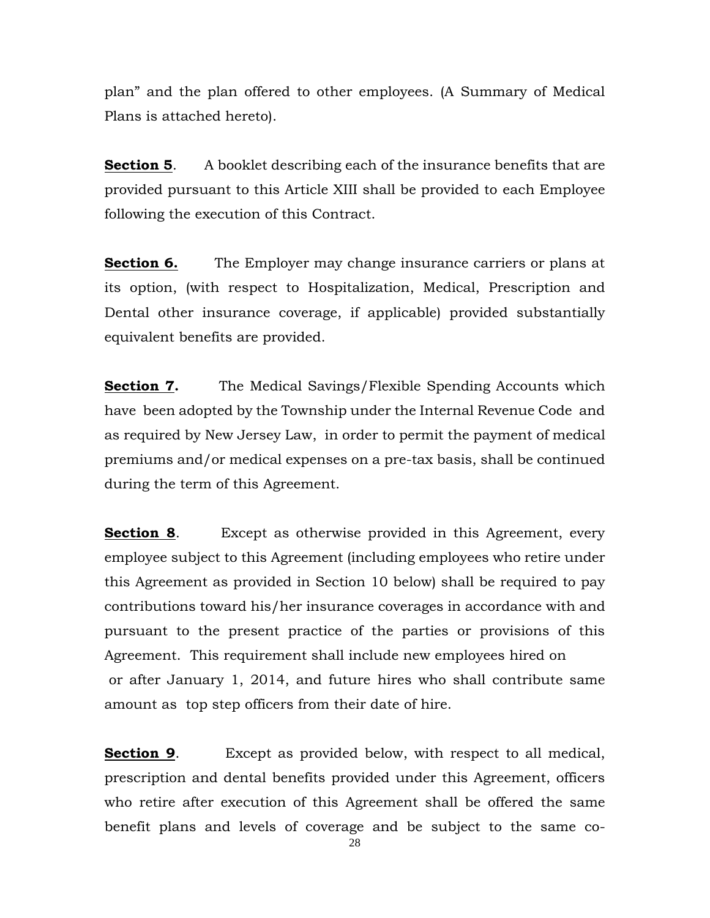plan" and the plan offered to other employees. (A Summary of Medical Plans is attached hereto).

**Section 5**. A booklet describing each of the insurance benefits that are provided pursuant to this Article XIII shall be provided to each Employee following the execution of this Contract.

**Section 6.** The Employer may change insurance carriers or plans at its option, (with respect to Hospitalization, Medical, Prescription and Dental other insurance coverage, if applicable) provided substantially equivalent benefits are provided.

**Section 7.** The Medical Savings/Flexible Spending Accounts which have been adopted by the Township under the Internal Revenue Code and as required by New Jersey Law, in order to permit the payment of medical premiums and/or medical expenses on a pre-tax basis, shall be continued during the term of this Agreement.

**Section 8.** Except as otherwise provided in this Agreement, every employee subject to this Agreement (including employees who retire under this Agreement as provided in Section 10 below) shall be required to pay contributions toward his/her insurance coverages in accordance with and pursuant to the present practice of the parties or provisions of this Agreement. This requirement shall include new employees hired on or after January 1, 2014, and future hires who shall contribute same amount as top step officers from their date of hire.

**Section 9.** Except as provided below, with respect to all medical, prescription and dental benefits provided under this Agreement, officers who retire after execution of this Agreement shall be offered the same benefit plans and levels of coverage and be subject to the same co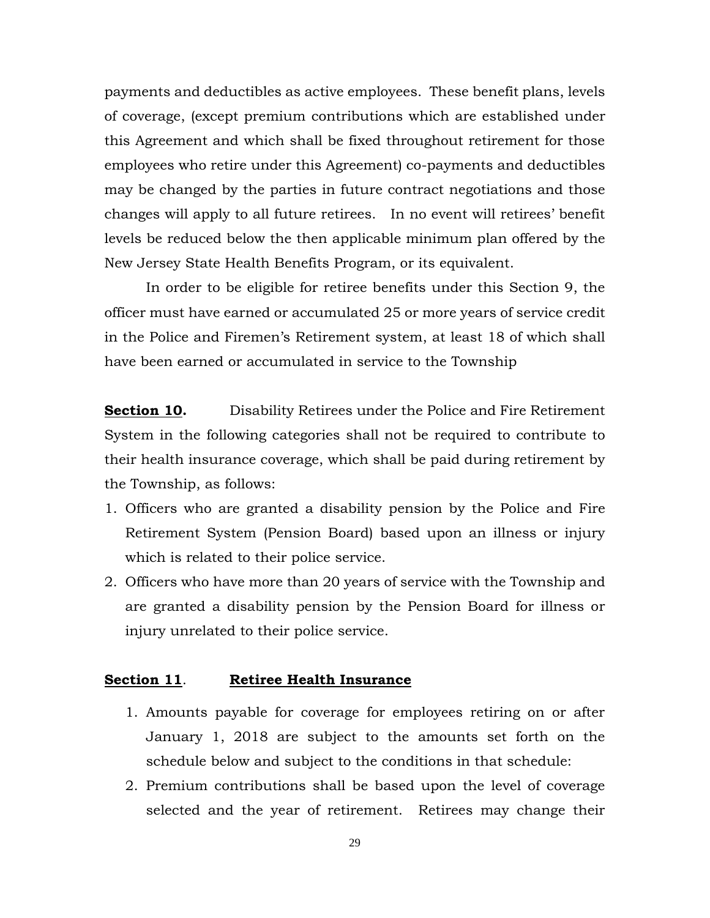payments and deductibles as active employees. These benefit plans, levels of coverage, (except premium contributions which are established under this Agreement and which shall be fixed throughout retirement for those employees who retire under this Agreement) co-payments and deductibles may be changed by the parties in future contract negotiations and those changes will apply to all future retirees. In no event will retirees' benefit levels be reduced below the then applicable minimum plan offered by the New Jersey State Health Benefits Program, or its equivalent.

In order to be eligible for retiree benefits under this Section 9, the officer must have earned or accumulated 25 or more years of service credit in the Police and Firemen's Retirement system, at least 18 of which shall have been earned or accumulated in service to the Township

**Section 10.** Disability Retirees under the Police and Fire Retirement System in the following categories shall not be required to contribute to their health insurance coverage, which shall be paid during retirement by the Township, as follows:

- 1. Officers who are granted a disability pension by the Police and Fire Retirement System (Pension Board) based upon an illness or injury which is related to their police service.
- 2. Officers who have more than 20 years of service with the Township and are granted a disability pension by the Pension Board for illness or injury unrelated to their police service.

### **Section 11**. **Retiree Health Insurance**

- 1. Amounts payable for coverage for employees retiring on or after January 1, 2018 are subject to the amounts set forth on the schedule below and subject to the conditions in that schedule:
- 2. Premium contributions shall be based upon the level of coverage selected and the year of retirement. Retirees may change their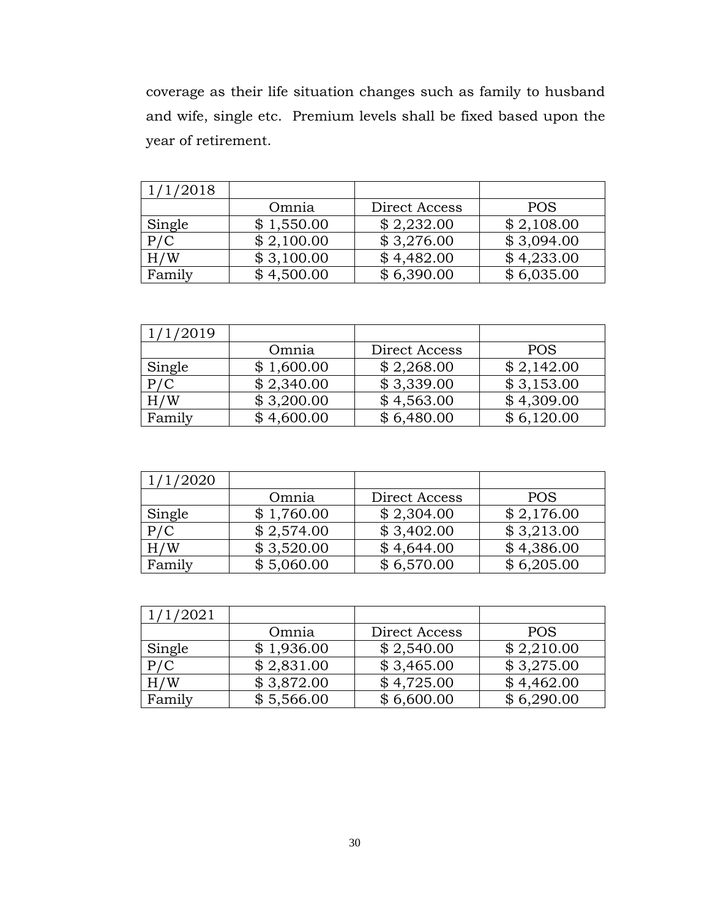coverage as their life situation changes such as family to husband and wife, single etc. Premium levels shall be fixed based upon the year of retirement.

| 1/1/2018 |            |               |            |
|----------|------------|---------------|------------|
|          | Omnia      | Direct Access | <b>POS</b> |
| Single   | \$1,550.00 | \$2,232.00    | \$2,108.00 |
| P/C      | \$2,100.00 | \$3,276.00    | \$3,094.00 |
| H/W      | \$3,100.00 | \$4,482.00    | \$4,233.00 |
| Family   | \$4,500.00 | \$6,390.00    | \$6,035.00 |

| 1/1/2019 |            |               |            |
|----------|------------|---------------|------------|
|          | Omnia      | Direct Access | <b>POS</b> |
| Single   | \$1,600.00 | \$2,268.00    | \$2,142.00 |
| P/C      | \$2,340.00 | \$3,339.00    | \$3,153.00 |
| H/W      | \$3,200.00 | \$4,563.00    | \$4,309.00 |
| Family   | \$4,600.00 | \$6,480.00    | \$6,120.00 |

| /1/2020 |            |               |            |
|---------|------------|---------------|------------|
|         | Omnia      | Direct Access | <b>POS</b> |
| Single  | \$1,760.00 | \$2,304.00    | \$2,176.00 |
| P/C     | \$2,574.00 | \$3,402.00    | \$3,213.00 |
| H/W     | \$3,520.00 | \$4,644.00    | \$4,386.00 |
| Family  | \$5,060.00 | \$6,570.00    | \$6,205.00 |

| 1/1/2021 |            |               |            |
|----------|------------|---------------|------------|
|          | Omnia      | Direct Access | <b>POS</b> |
| Single   | \$1,936.00 | \$2,540.00    | \$2,210.00 |
| P/C      | \$2,831.00 | \$3,465.00    | \$3,275.00 |
| H/W      | \$3,872.00 | \$4,725.00    | \$4,462.00 |
| Family   | \$5,566.00 | \$6,600.00    | \$6,290.00 |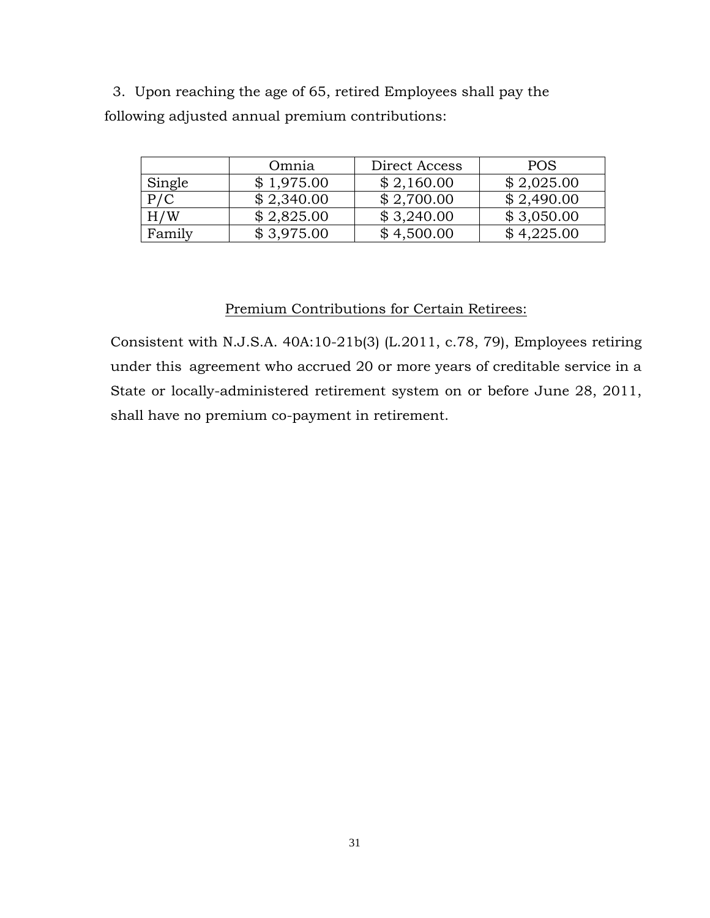3. Upon reaching the age of 65, retired Employees shall pay the following adjusted annual premium contributions:

|        | Omnia      | Direct Access | <b>POS</b> |
|--------|------------|---------------|------------|
| Single | \$1,975.00 | \$2,160.00    | \$2,025.00 |
| P/C    | \$2,340.00 | \$2,700.00    | \$2,490.00 |
| H/W    | \$2,825.00 | \$3,240.00    | \$3,050.00 |
| Family | \$3,975.00 | \$4,500.00    | \$4,225.00 |

### Premium Contributions for Certain Retirees:

Consistent with N.J.S.A. 40A:10-21b(3) (L.2011, c.78, 79), Employees retiring under this agreement who accrued 20 or more years of creditable service in a State or locally-administered retirement system on or before June 28, 2011, shall have no premium co-payment in retirement.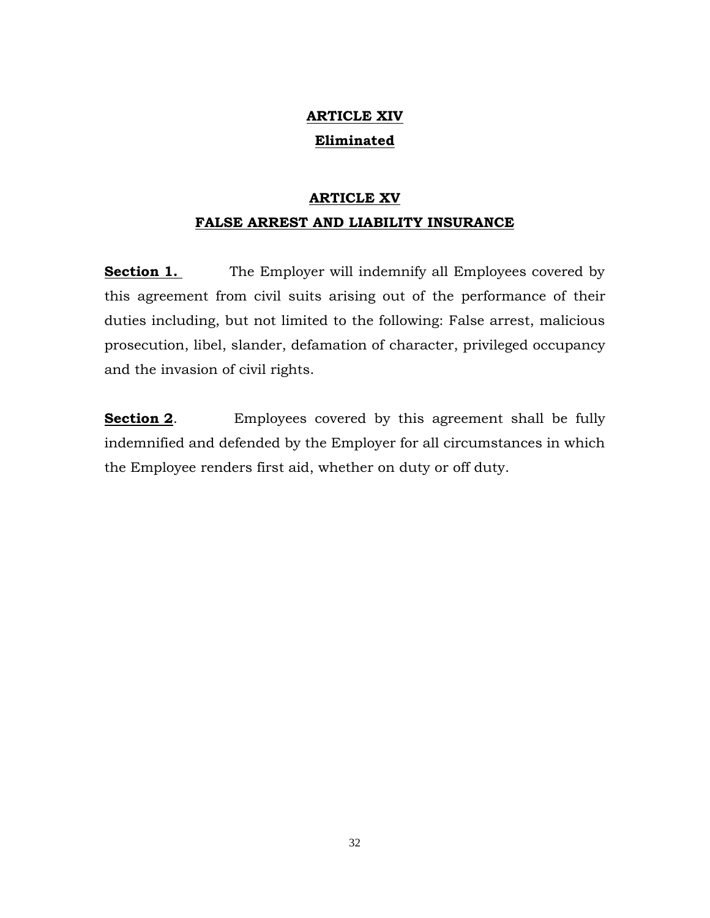# **ARTICLE XIV Eliminated**

# **ARTICLE XV FALSE ARREST AND LIABILITY INSURANCE**

**Section 1.** The Employer will indemnify all Employees covered by this agreement from civil suits arising out of the performance of their duties including, but not limited to the following: False arrest, malicious prosecution, libel, slander, defamation of character, privileged occupancy and the invasion of civil rights.

**Section 2**. Employees covered by this agreement shall be fully indemnified and defended by the Employer for all circumstances in which the Employee renders first aid, whether on duty or off duty.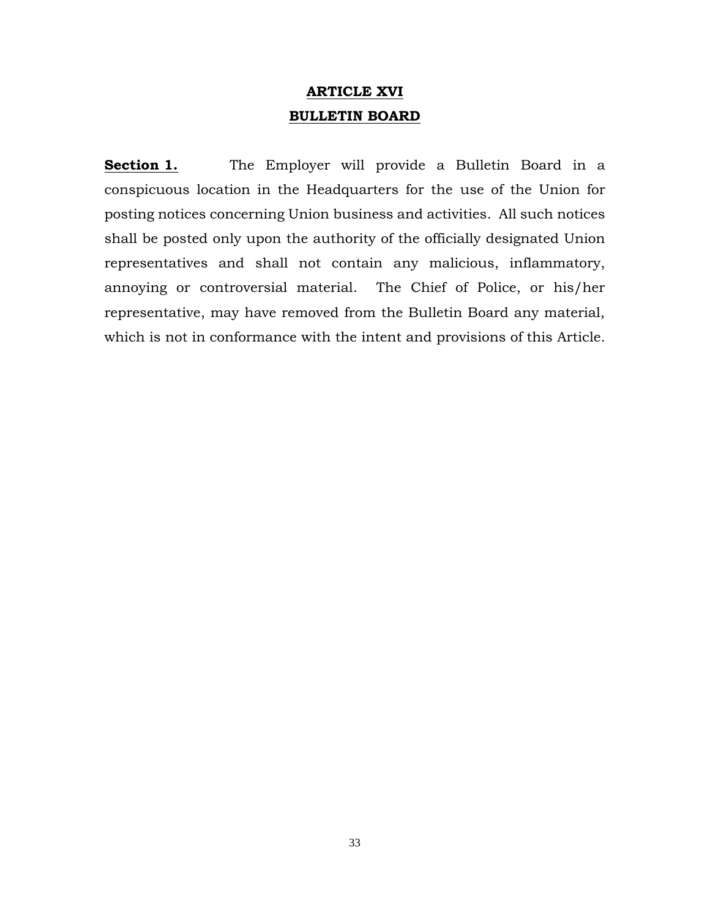## **ARTICLE XVI BULLETIN BOARD**

**Section 1.** The Employer will provide a Bulletin Board in a conspicuous location in the Headquarters for the use of the Union for posting notices concerning Union business and activities. All such notices shall be posted only upon the authority of the officially designated Union representatives and shall not contain any malicious, inflammatory, annoying or controversial material. The Chief of Police, or his/her representative, may have removed from the Bulletin Board any material, which is not in conformance with the intent and provisions of this Article.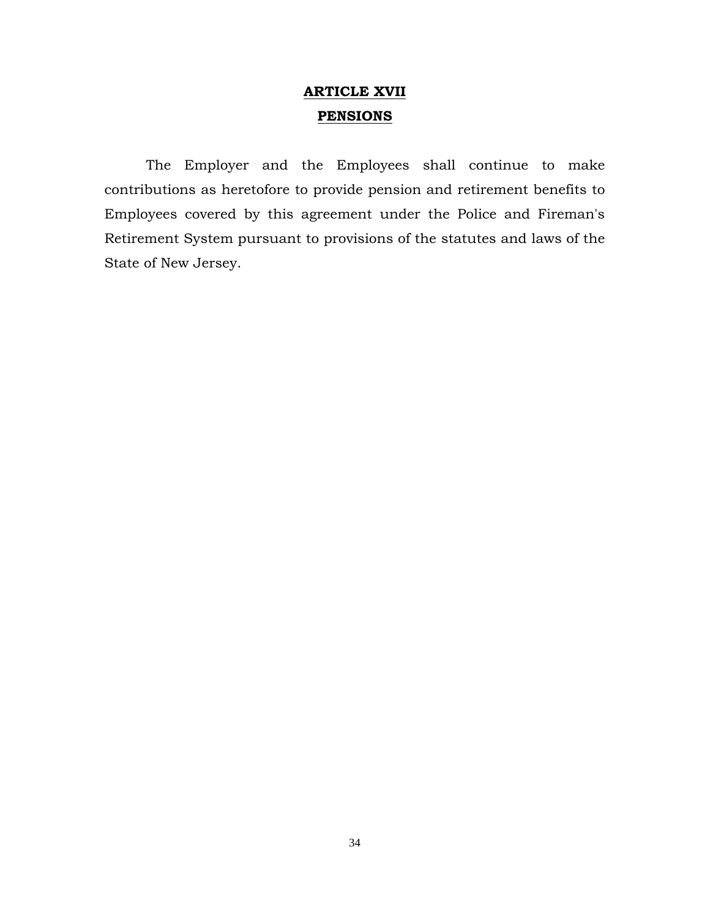## **ARTICLE XVII PENSIONS**

The Employer and the Employees shall continue to make contributions as heretofore to provide pension and retirement benefits to Employees covered by this agreement under the Police and Fireman's Retirement System pursuant to provisions of the statutes and laws of the State of New Jersey.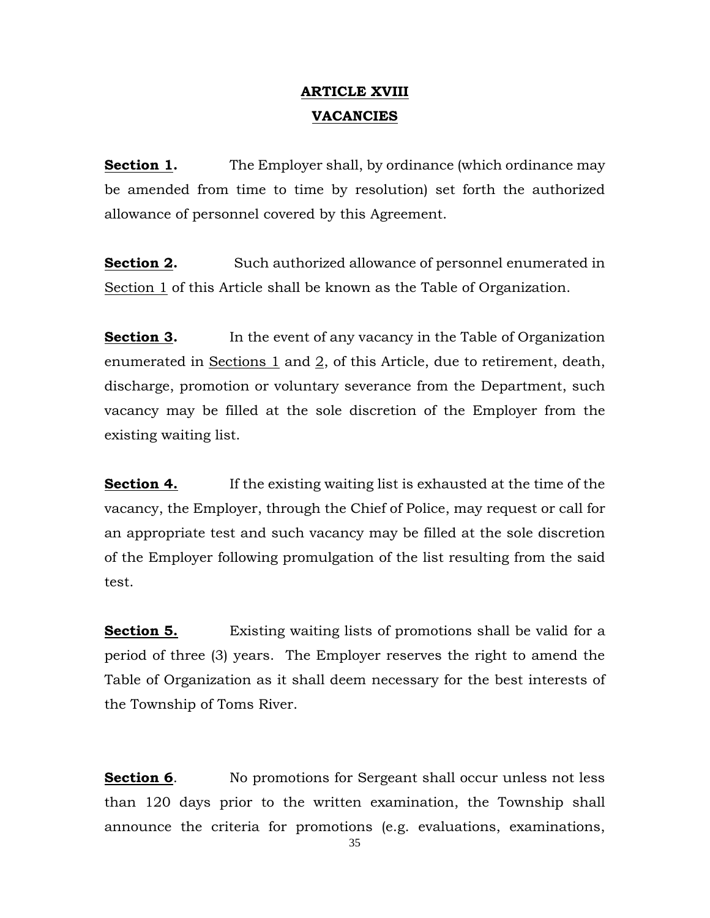## **ARTICLE XVIII VACANCIES**

**Section 1.** The Employer shall, by ordinance (which ordinance may be amended from time to time by resolution) set forth the authorized allowance of personnel covered by this Agreement.

**Section 2.** Such authorized allowance of personnel enumerated in Section 1 of this Article shall be known as the Table of Organization.

**Section 3.** In the event of any vacancy in the Table of Organization enumerated in Sections 1 and 2, of this Article, due to retirement, death, discharge, promotion or voluntary severance from the Department, such vacancy may be filled at the sole discretion of the Employer from the existing waiting list.

**Section 4.** If the existing waiting list is exhausted at the time of the vacancy, the Employer, through the Chief of Police, may request or call for an appropriate test and such vacancy may be filled at the sole discretion of the Employer following promulgation of the list resulting from the said test.

**Section 5.** Existing waiting lists of promotions shall be valid for a period of three (3) years. The Employer reserves the right to amend the Table of Organization as it shall deem necessary for the best interests of the Township of Toms River.

**Section 6.** No promotions for Sergeant shall occur unless not less than 120 days prior to the written examination, the Township shall announce the criteria for promotions (e.g. evaluations, examinations,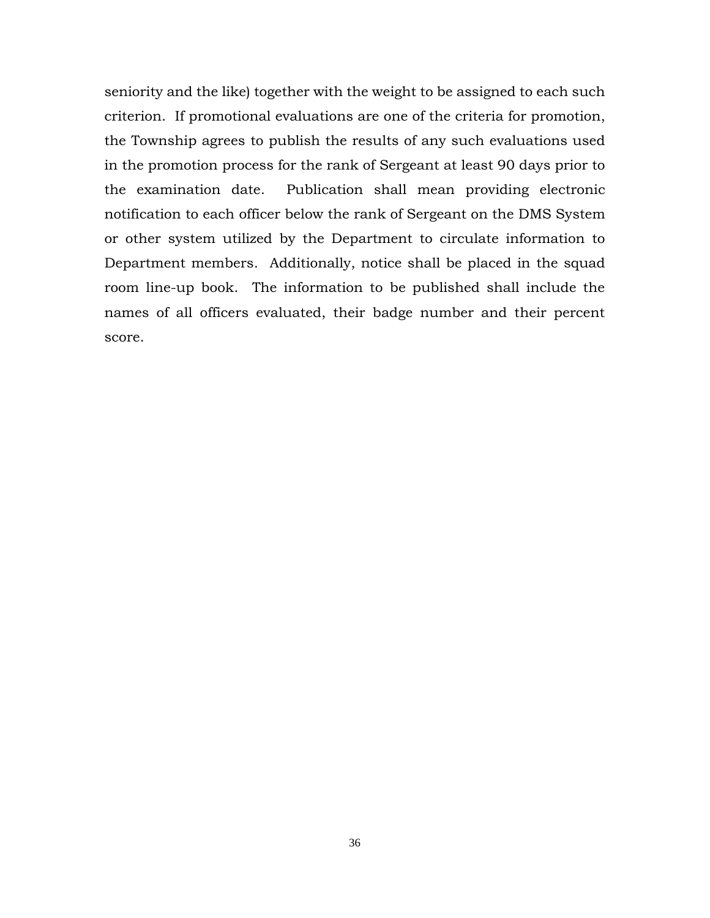seniority and the like) together with the weight to be assigned to each such criterion. If promotional evaluations are one of the criteria for promotion, the Township agrees to publish the results of any such evaluations used in the promotion process for the rank of Sergeant at least 90 days prior to the examination date. Publication shall mean providing electronic notification to each officer below the rank of Sergeant on the DMS System or other system utilized by the Department to circulate information to Department members. Additionally, notice shall be placed in the squad room line-up book. The information to be published shall include the names of all officers evaluated, their badge number and their percent score.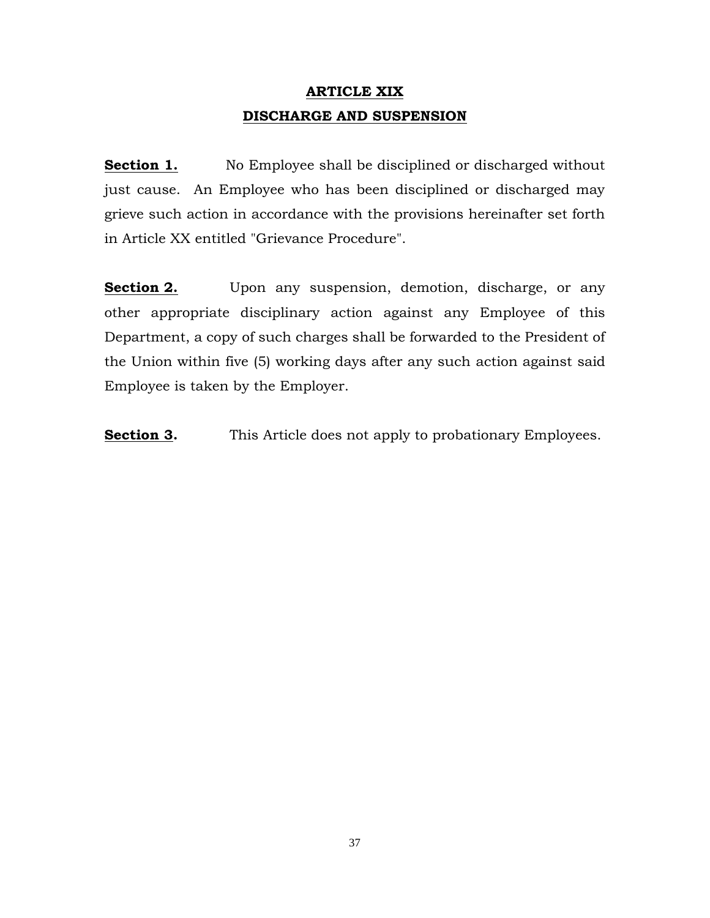# **ARTICLE XIX DISCHARGE AND SUSPENSION**

**Section 1.** No Employee shall be disciplined or discharged without just cause. An Employee who has been disciplined or discharged may grieve such action in accordance with the provisions hereinafter set forth in Article XX entitled "Grievance Procedure".

**Section 2.** Upon any suspension, demotion, discharge, or any other appropriate disciplinary action against any Employee of this Department, a copy of such charges shall be forwarded to the President of the Union within five (5) working days after any such action against said Employee is taken by the Employer.

**Section 3.** This Article does not apply to probationary Employees.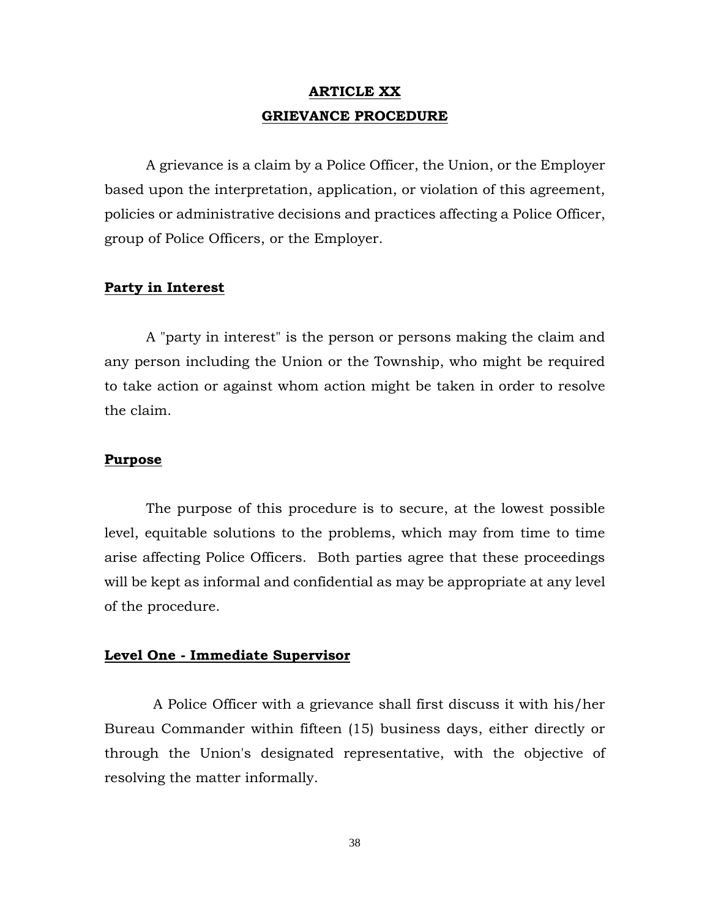## **ARTICLE XX GRIEVANCE PROCEDURE**

A grievance is a claim by a Police Officer, the Union, or the Employer based upon the interpretation, application, or violation of this agreement, policies or administrative decisions and practices affecting a Police Officer, group of Police Officers, or the Employer.

### **Party in Interest**

A "party in interest" is the person or persons making the claim and any person including the Union or the Township, who might be required to take action or against whom action might be taken in order to resolve the claim.

### **Purpose**

The purpose of this procedure is to secure, at the lowest possible level, equitable solutions to the problems, which may from time to time arise affecting Police Officers. Both parties agree that these proceedings will be kept as informal and confidential as may be appropriate at any level of the procedure.

### **Level One - Immediate Supervisor**

 A Police Officer with a grievance shall first discuss it with his/her Bureau Commander within fifteen (15) business days, either directly or through the Union's designated representative, with the objective of resolving the matter informally.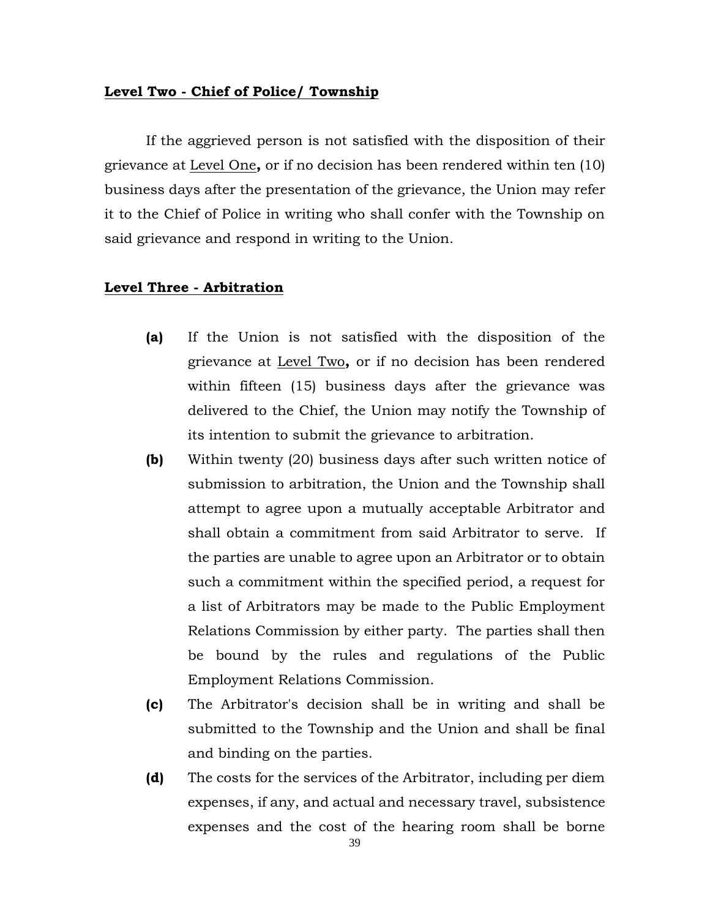### **Level Two - Chief of Police/ Township**

If the aggrieved person is not satisfied with the disposition of their grievance at Level One**,** or if no decision has been rendered within ten (10) business days after the presentation of the grievance, the Union may refer it to the Chief of Police in writing who shall confer with the Township on said grievance and respond in writing to the Union.

### **Level Three - Arbitration**

- **(a)** If the Union is not satisfied with the disposition of the grievance at Level Two**,** or if no decision has been rendered within fifteen (15) business days after the grievance was delivered to the Chief, the Union may notify the Township of its intention to submit the grievance to arbitration.
- **(b)** Within twenty (20) business days after such written notice of submission to arbitration, the Union and the Township shall attempt to agree upon a mutually acceptable Arbitrator and shall obtain a commitment from said Arbitrator to serve. If the parties are unable to agree upon an Arbitrator or to obtain such a commitment within the specified period, a request for a list of Arbitrators may be made to the Public Employment Relations Commission by either party. The parties shall then be bound by the rules and regulations of the Public Employment Relations Commission.
- **(c)** The Arbitrator's decision shall be in writing and shall be submitted to the Township and the Union and shall be final and binding on the parties.
- **(d)** The costs for the services of the Arbitrator, including per diem expenses, if any, and actual and necessary travel, subsistence expenses and the cost of the hearing room shall be borne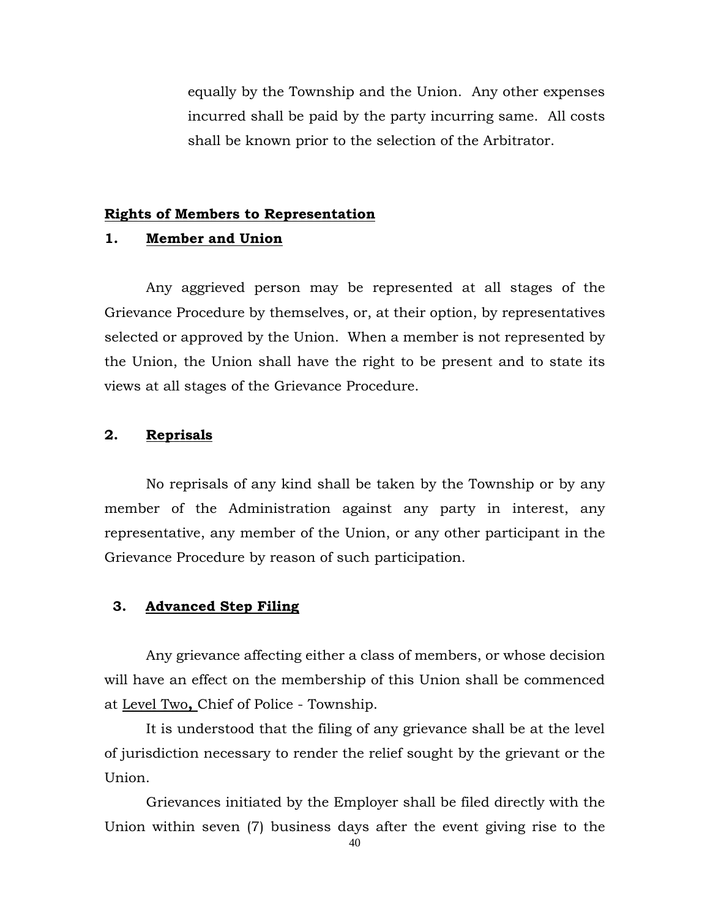equally by the Township and the Union. Any other expenses incurred shall be paid by the party incurring same. All costs shall be known prior to the selection of the Arbitrator.

#### **Rights of Members to Representation**

### **1. Member and Union**

Any aggrieved person may be represented at all stages of the Grievance Procedure by themselves, or, at their option, by representatives selected or approved by the Union. When a member is not represented by the Union, the Union shall have the right to be present and to state its views at all stages of the Grievance Procedure.

## **2. Reprisals**

No reprisals of any kind shall be taken by the Township or by any member of the Administration against any party in interest, any representative, any member of the Union, or any other participant in the Grievance Procedure by reason of such participation.

## **3. Advanced Step Filing**

Any grievance affecting either a class of members, or whose decision will have an effect on the membership of this Union shall be commenced at Level Two**,** Chief of Police - Township.

It is understood that the filing of any grievance shall be at the level of jurisdiction necessary to render the relief sought by the grievant or the Union.

Grievances initiated by the Employer shall be filed directly with the Union within seven (7) business days after the event giving rise to the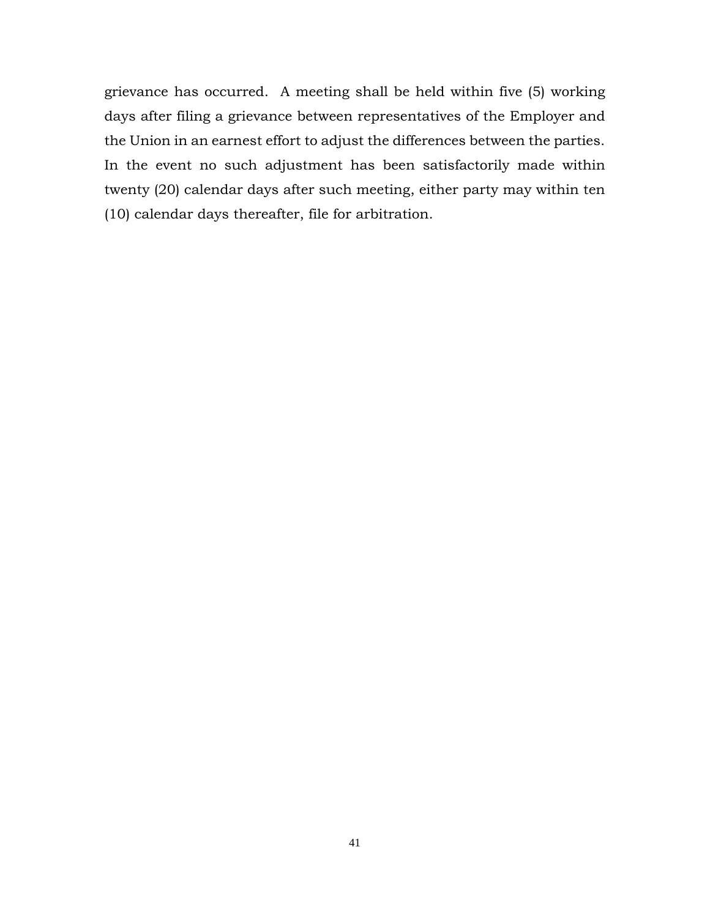grievance has occurred. A meeting shall be held within five (5) working days after filing a grievance between representatives of the Employer and the Union in an earnest effort to adjust the differences between the parties. In the event no such adjustment has been satisfactorily made within twenty (20) calendar days after such meeting, either party may within ten (10) calendar days thereafter, file for arbitration.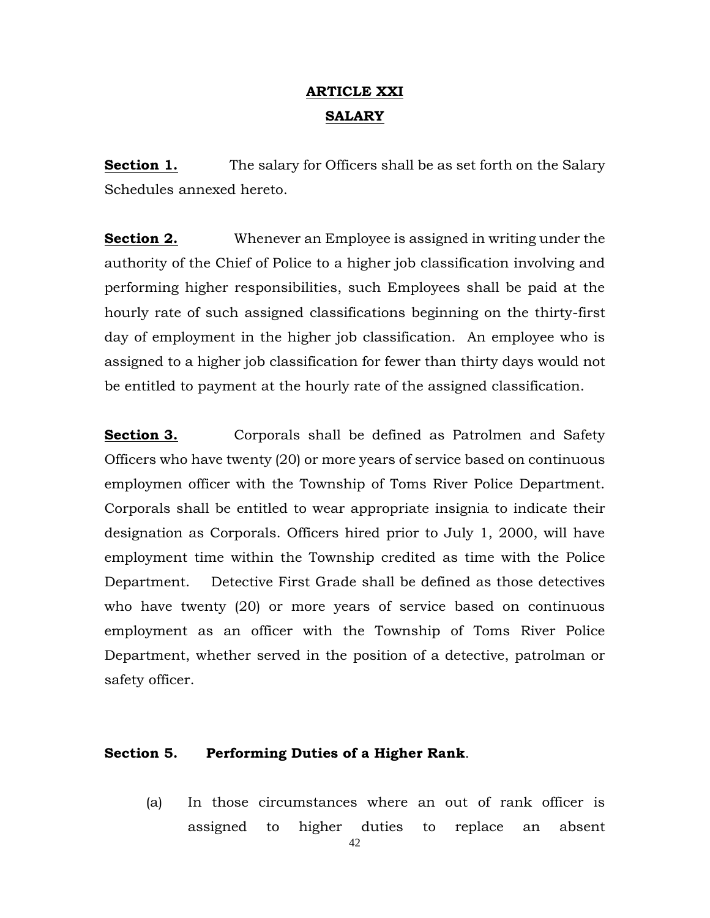# **ARTICLE XXI SALARY**

**Section 1.** The salary for Officers shall be as set forth on the Salary Schedules annexed hereto.

**Section 2.** Whenever an Employee is assigned in writing under the authority of the Chief of Police to a higher job classification involving and performing higher responsibilities, such Employees shall be paid at the hourly rate of such assigned classifications beginning on the thirty-first day of employment in the higher job classification. An employee who is assigned to a higher job classification for fewer than thirty days would not be entitled to payment at the hourly rate of the assigned classification.

**Section 3.** Corporals shall be defined as Patrolmen and Safety Officers who have twenty (20) or more years of service based on continuous employmen officer with the Township of Toms River Police Department. Corporals shall be entitled to wear appropriate insignia to indicate their designation as Corporals. Officers hired prior to July 1, 2000, will have employment time within the Township credited as time with the Police Department. Detective First Grade shall be defined as those detectives who have twenty (20) or more years of service based on continuous employment as an officer with the Township of Toms River Police Department, whether served in the position of a detective, patrolman or safety officer.

## **Section 5. Performing Duties of a Higher Rank**.

(a) In those circumstances where an out of rank officer is assigned to higher duties to replace an absent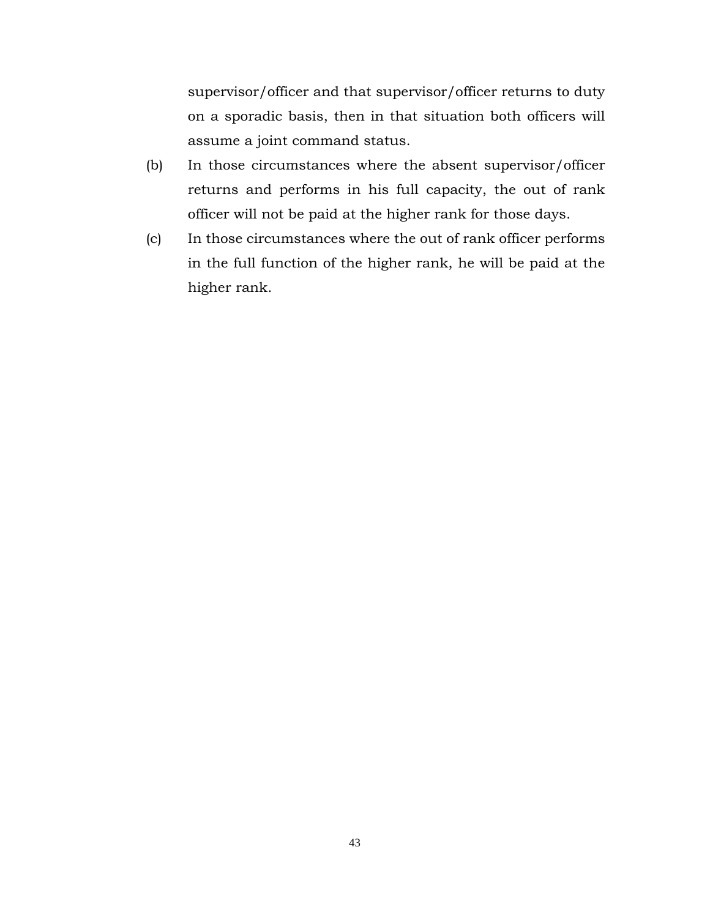supervisor/officer and that supervisor/officer returns to duty on a sporadic basis, then in that situation both officers will assume a joint command status.

- (b) In those circumstances where the absent supervisor/officer returns and performs in his full capacity, the out of rank officer will not be paid at the higher rank for those days.
- (c) In those circumstances where the out of rank officer performs in the full function of the higher rank, he will be paid at the higher rank.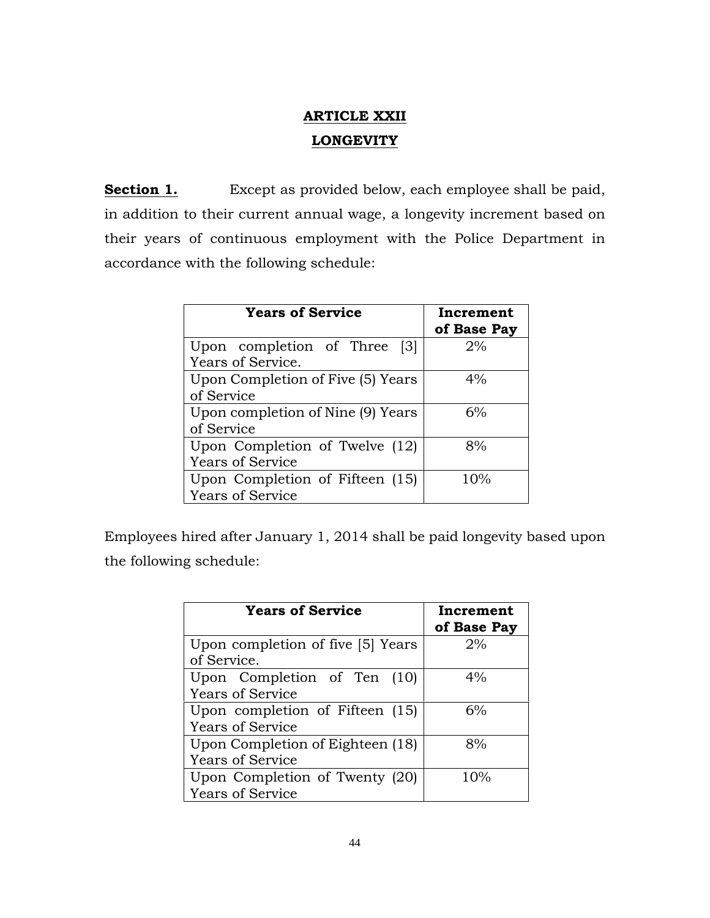# **ARTICLE XXII LONGEVITY**

**Section 1.** Except as provided below, each employee shall be paid, in addition to their current annual wage, a longevity increment based on their years of continuous employment with the Police Department in accordance with the following schedule:

| <b>Years of Service</b>                       | Increment<br>of Base Pay |  |  |
|-----------------------------------------------|--------------------------|--|--|
| Upon completion of Three<br>$\lceil 3 \rceil$ | 2%                       |  |  |
| Years of Service.                             |                          |  |  |
| Upon Completion of Five (5) Years             | $4\%$                    |  |  |
| of Service                                    |                          |  |  |
| Upon completion of Nine (9) Years             | 6%                       |  |  |
| of Service                                    |                          |  |  |
| Upon Completion of Twelve (12)                | 8%                       |  |  |
| <b>Years of Service</b>                       |                          |  |  |
| Upon Completion of Fifteen (15)               | 10%                      |  |  |
| <b>Years of Service</b>                       |                          |  |  |

Employees hired after January 1, 2014 shall be paid longevity based upon the following schedule:

| <b>Years of Service</b>           | Increment<br>of Base Pay |  |  |
|-----------------------------------|--------------------------|--|--|
| Upon completion of five [5] Years | 2%                       |  |  |
| of Service.                       |                          |  |  |
| Upon Completion of Ten (10)       | 4%                       |  |  |
| <b>Years of Service</b>           |                          |  |  |
| Upon completion of Fifteen (15)   | 6%                       |  |  |
| <b>Years of Service</b>           |                          |  |  |
| Upon Completion of Eighteen (18)  | 8%                       |  |  |
| <b>Years of Service</b>           |                          |  |  |
| Upon Completion of Twenty (20)    | 10%                      |  |  |
| <b>Years of Service</b>           |                          |  |  |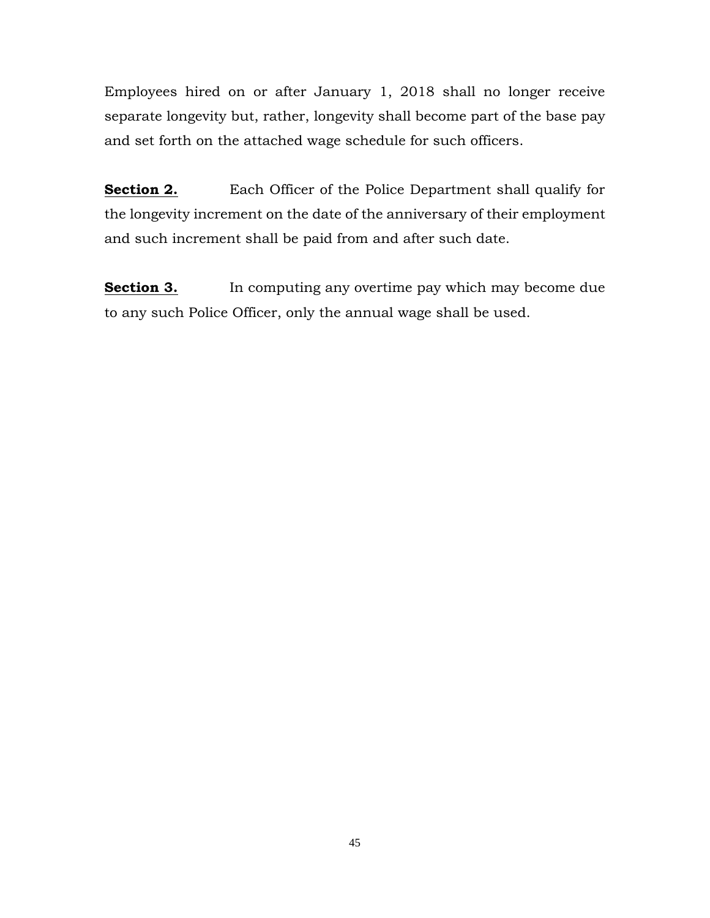Employees hired on or after January 1, 2018 shall no longer receive separate longevity but, rather, longevity shall become part of the base pay and set forth on the attached wage schedule for such officers.

**Section 2.** Each Officer of the Police Department shall qualify for the longevity increment on the date of the anniversary of their employment and such increment shall be paid from and after such date.

**Section 3.** In computing any overtime pay which may become due to any such Police Officer, only the annual wage shall be used.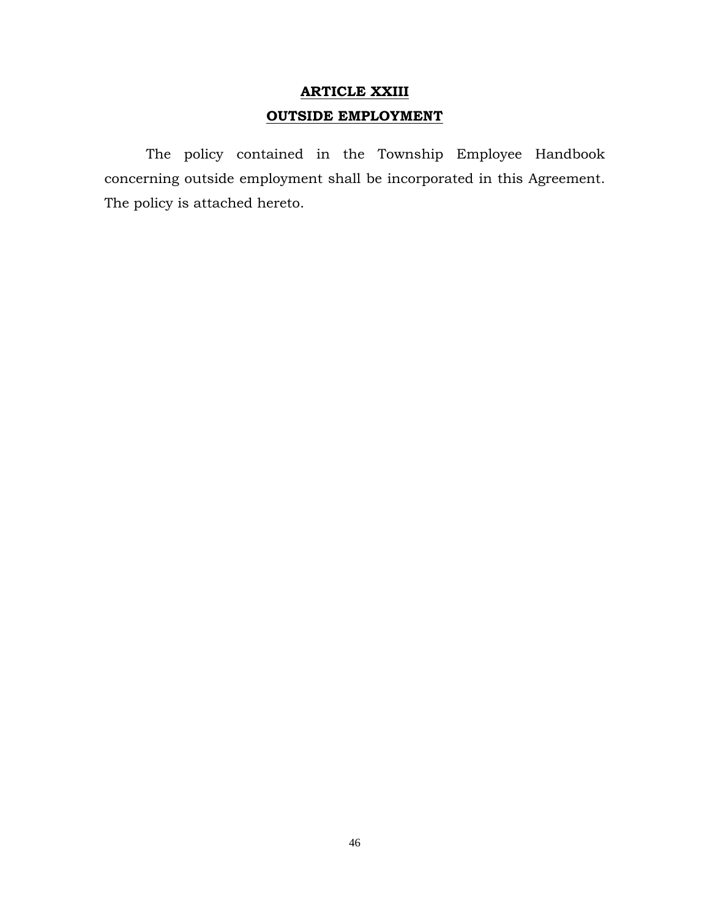# **ARTICLE XXIII OUTSIDE EMPLOYMENT**

The policy contained in the Township Employee Handbook concerning outside employment shall be incorporated in this Agreement. The policy is attached hereto.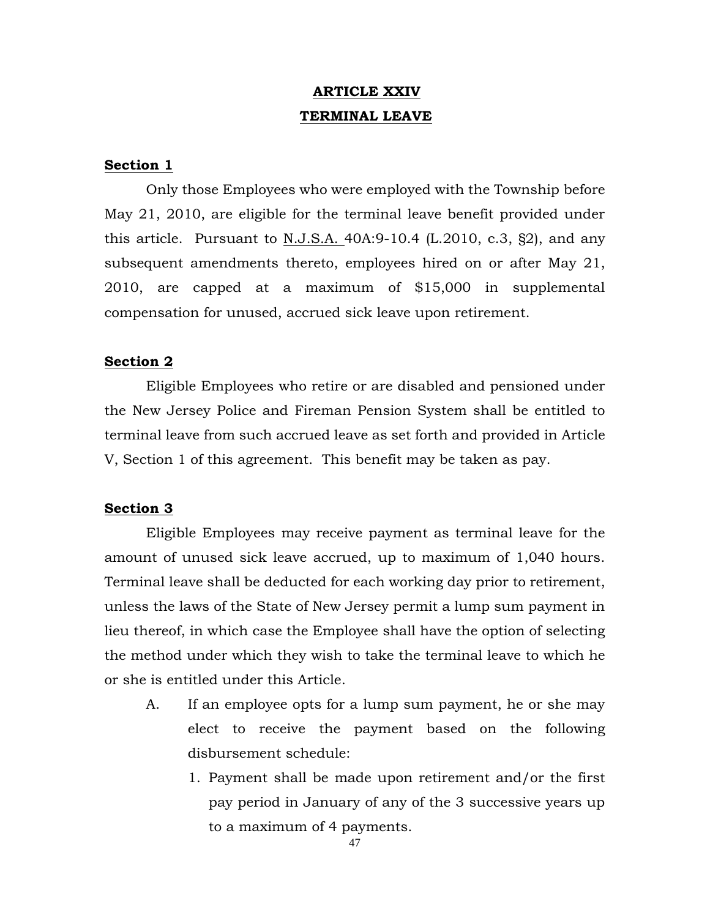# **ARTICLE XXIV TERMINAL LEAVE**

## **Section 1**

Only those Employees who were employed with the Township before May 21, 2010, are eligible for the terminal leave benefit provided under this article. Pursuant to N.J.S.A.  $40A:9-10.4$  (L.2010, c.3, §2), and any subsequent amendments thereto, employees hired on or after May 21, 2010, are capped at a maximum of \$15,000 in supplemental compensation for unused, accrued sick leave upon retirement.

### **Section 2**

Eligible Employees who retire or are disabled and pensioned under the New Jersey Police and Fireman Pension System shall be entitled to terminal leave from such accrued leave as set forth and provided in Article V, Section 1 of this agreement. This benefit may be taken as pay.

#### **Section 3**

Eligible Employees may receive payment as terminal leave for the amount of unused sick leave accrued, up to maximum of 1,040 hours. Terminal leave shall be deducted for each working day prior to retirement, unless the laws of the State of New Jersey permit a lump sum payment in lieu thereof, in which case the Employee shall have the option of selecting the method under which they wish to take the terminal leave to which he or she is entitled under this Article.

- A. If an employee opts for a lump sum payment, he or she may elect to receive the payment based on the following disbursement schedule:
	- 1. Payment shall be made upon retirement and/or the first pay period in January of any of the 3 successive years up to a maximum of 4 payments.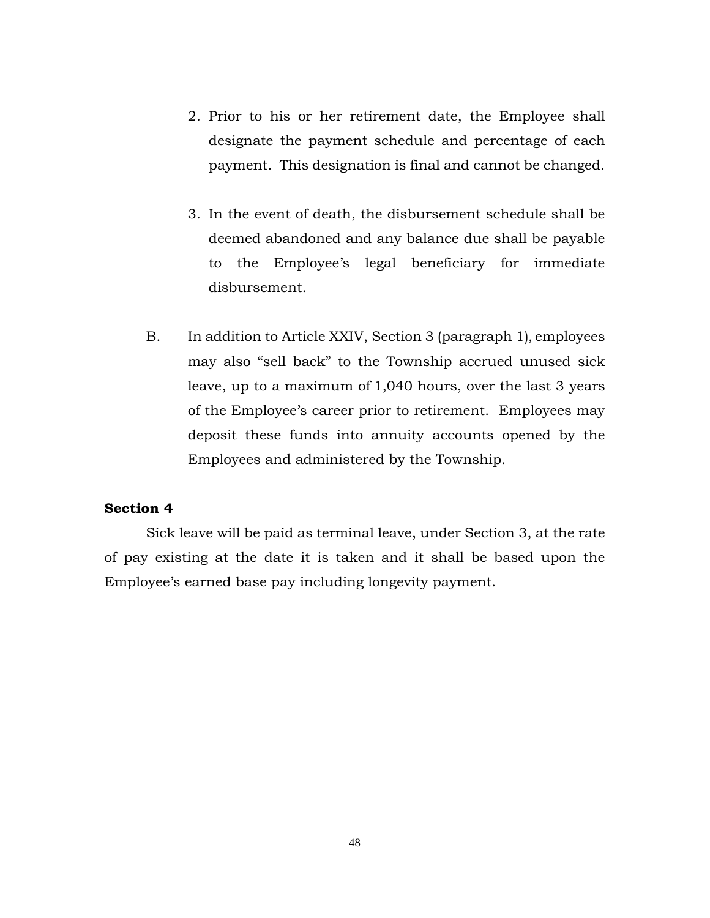- 2. Prior to his or her retirement date, the Employee shall designate the payment schedule and percentage of each payment. This designation is final and cannot be changed.
- 3. In the event of death, the disbursement schedule shall be deemed abandoned and any balance due shall be payable to the Employee's legal beneficiary for immediate disbursement.
- B. In addition to Article XXIV, Section 3 (paragraph 1), employees may also "sell back" to the Township accrued unused sick leave, up to a maximum of 1,040 hours, over the last 3 years of the Employee's career prior to retirement. Employees may deposit these funds into annuity accounts opened by the Employees and administered by the Township.

## **Section 4**

Sick leave will be paid as terminal leave, under Section 3, at the rate of pay existing at the date it is taken and it shall be based upon the Employee's earned base pay including longevity payment.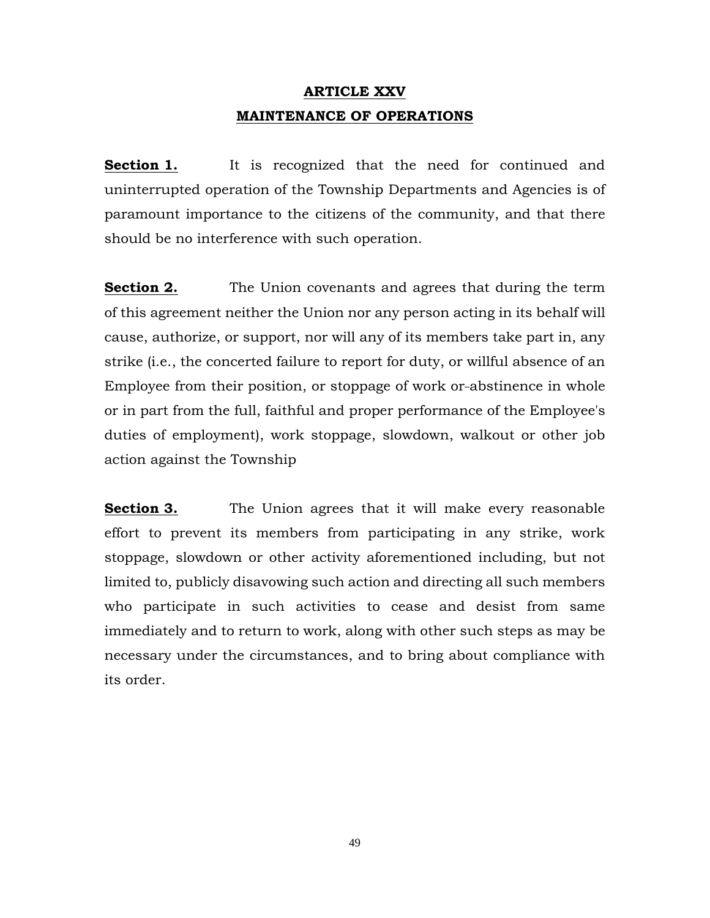# **ARTICLE XXV MAINTENANCE OF OPERATIONS**

**Section 1.** It is recognized that the need for continued and uninterrupted operation of the Township Departments and Agencies is of paramount importance to the citizens of the community, and that there should be no interference with such operation.

**Section 2.** The Union covenants and agrees that during the term of this agreement neither the Union nor any person acting in its behalf will cause, authorize, or support, nor will any of its members take part in, any strike (i.e., the concerted failure to report for duty, or willful absence of an Employee from their position, or stoppage of work or abstinence in whole or in part from the full, faithful and proper performance of the Employee's duties of employment), work stoppage, slowdown, walkout or other job action against the Township

**Section 3.** The Union agrees that it will make every reasonable effort to prevent its members from participating in any strike, work stoppage, slowdown or other activity aforementioned including, but not limited to, publicly disavowing such action and directing all such members who participate in such activities to cease and desist from same immediately and to return to work, along with other such steps as may be necessary under the circumstances, and to bring about compliance with its order.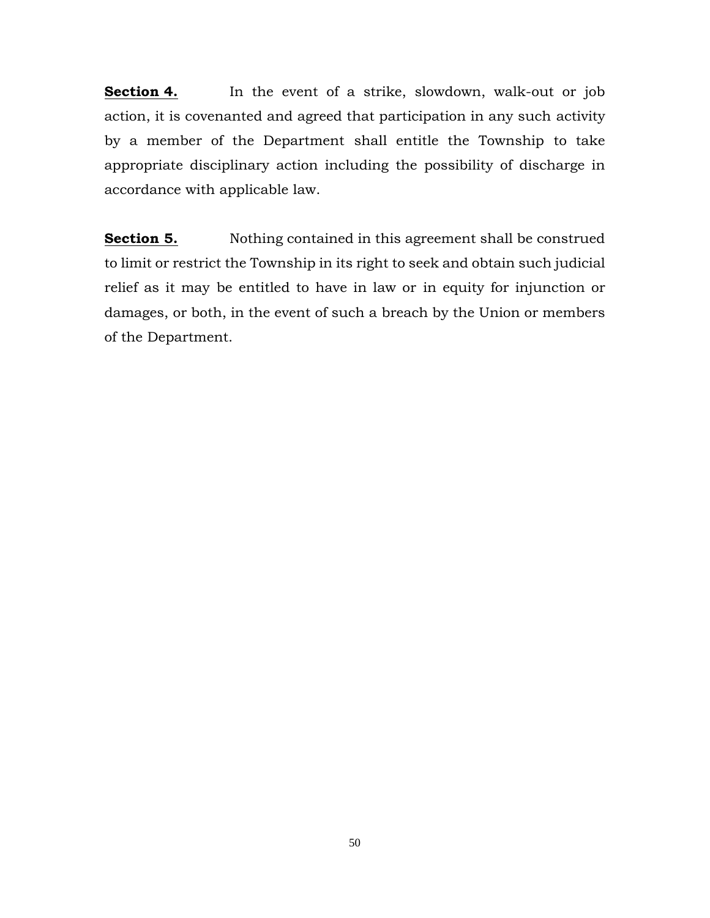**Section 4.** In the event of a strike, slowdown, walk-out or job action, it is covenanted and agreed that participation in any such activity by a member of the Department shall entitle the Township to take appropriate disciplinary action including the possibility of discharge in accordance with applicable law.

**Section 5.** Nothing contained in this agreement shall be construed to limit or restrict the Township in its right to seek and obtain such judicial relief as it may be entitled to have in law or in equity for injunction or damages, or both, in the event of such a breach by the Union or members of the Department.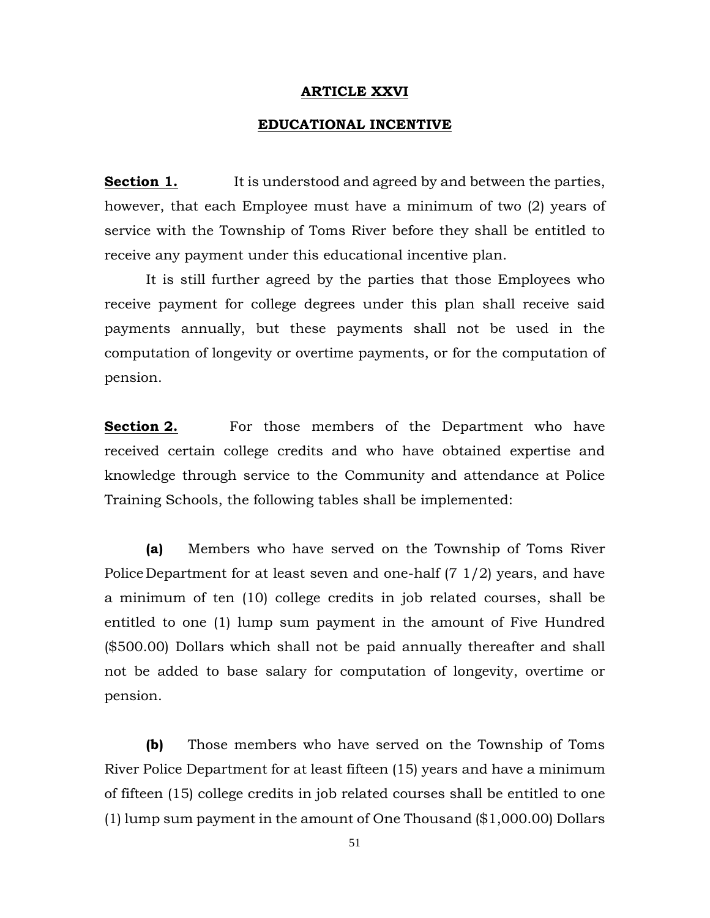#### **ARTICLE XXVI**

#### **EDUCATIONAL INCENTIVE**

**Section 1.** It is understood and agreed by and between the parties, however, that each Employee must have a minimum of two (2) years of service with the Township of Toms River before they shall be entitled to receive any payment under this educational incentive plan.

It is still further agreed by the parties that those Employees who receive payment for college degrees under this plan shall receive said payments annually, but these payments shall not be used in the computation of longevity or overtime payments, or for the computation of pension.

**Section 2.** For those members of the Department who have received certain college credits and who have obtained expertise and knowledge through service to the Community and attendance at Police Training Schools, the following tables shall be implemented:

**(a)** Members who have served on the Township of Toms River Police Department for at least seven and one-half (7 1/2) years, and have a minimum of ten (10) college credits in job related courses, shall be entitled to one (1) lump sum payment in the amount of Five Hundred (\$500.00) Dollars which shall not be paid annually thereafter and shall not be added to base salary for computation of longevity, overtime or pension.

**(b)** Those members who have served on the Township of Toms River Police Department for at least fifteen (15) years and have a minimum of fifteen (15) college credits in job related courses shall be entitled to one (1) lump sum payment in the amount of One Thousand (\$1,000.00) Dollars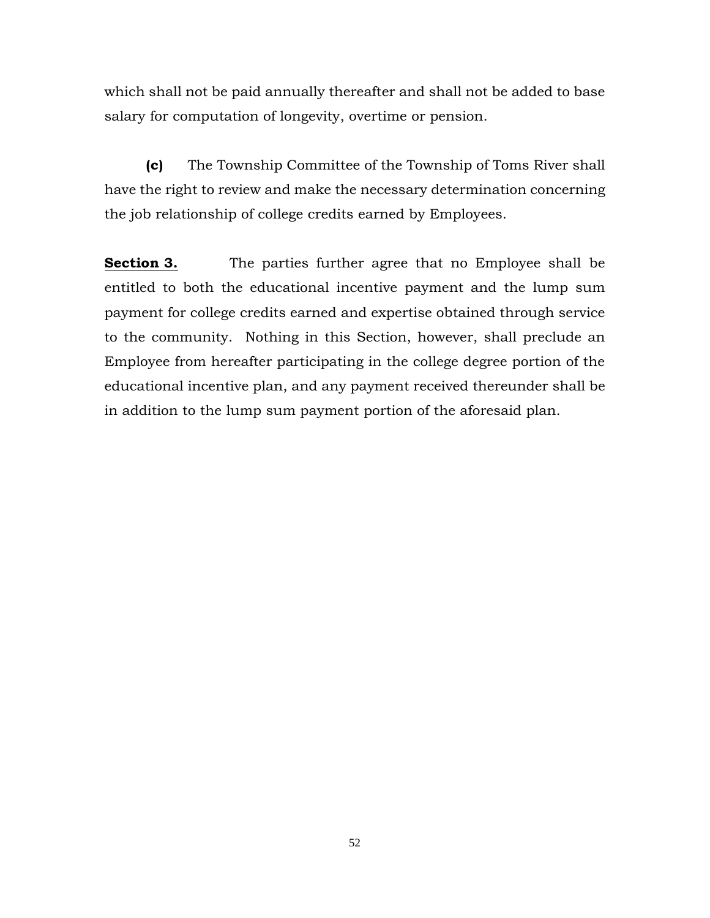which shall not be paid annually thereafter and shall not be added to base salary for computation of longevity, overtime or pension.

**(c)** The Township Committee of the Township of Toms River shall have the right to review and make the necessary determination concerning the job relationship of college credits earned by Employees.

**Section 3.** The parties further agree that no Employee shall be entitled to both the educational incentive payment and the lump sum payment for college credits earned and expertise obtained through service to the community. Nothing in this Section, however, shall preclude an Employee from hereafter participating in the college degree portion of the educational incentive plan, and any payment received thereunder shall be in addition to the lump sum payment portion of the aforesaid plan.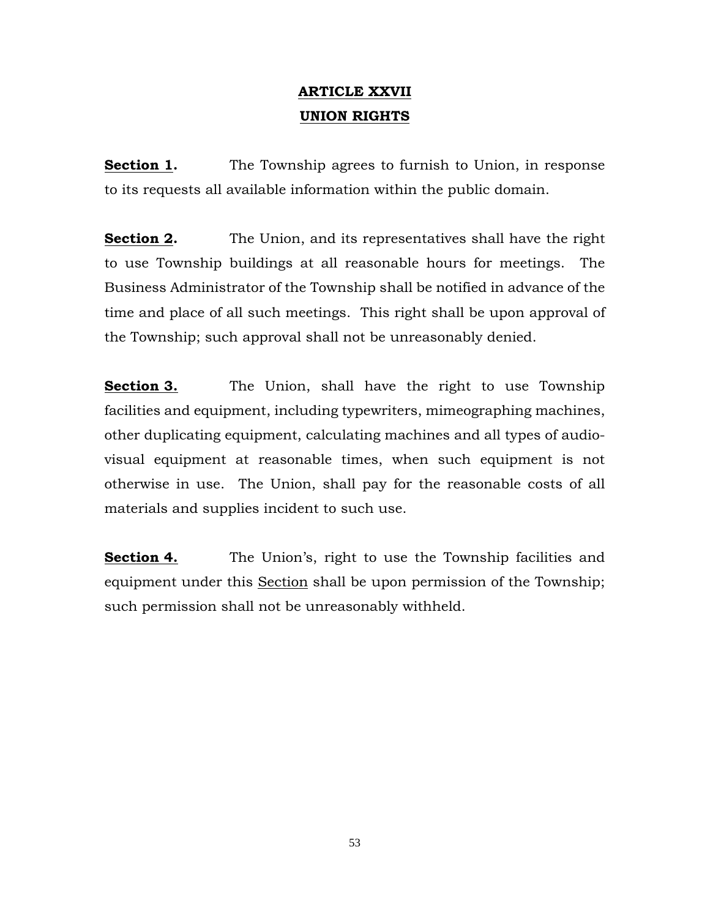# **ARTICLE XXVII UNION RIGHTS**

**Section 1.** The Township agrees to furnish to Union, in response to its requests all available information within the public domain.

**Section 2.** The Union, and its representatives shall have the right to use Township buildings at all reasonable hours for meetings. The Business Administrator of the Township shall be notified in advance of the time and place of all such meetings. This right shall be upon approval of the Township; such approval shall not be unreasonably denied.

**Section 3.** The Union, shall have the right to use Township facilities and equipment, including typewriters, mimeographing machines, other duplicating equipment, calculating machines and all types of audiovisual equipment at reasonable times, when such equipment is not otherwise in use. The Union, shall pay for the reasonable costs of all materials and supplies incident to such use.

**Section 4.** The Union's, right to use the Township facilities and equipment under this Section shall be upon permission of the Township; such permission shall not be unreasonably withheld.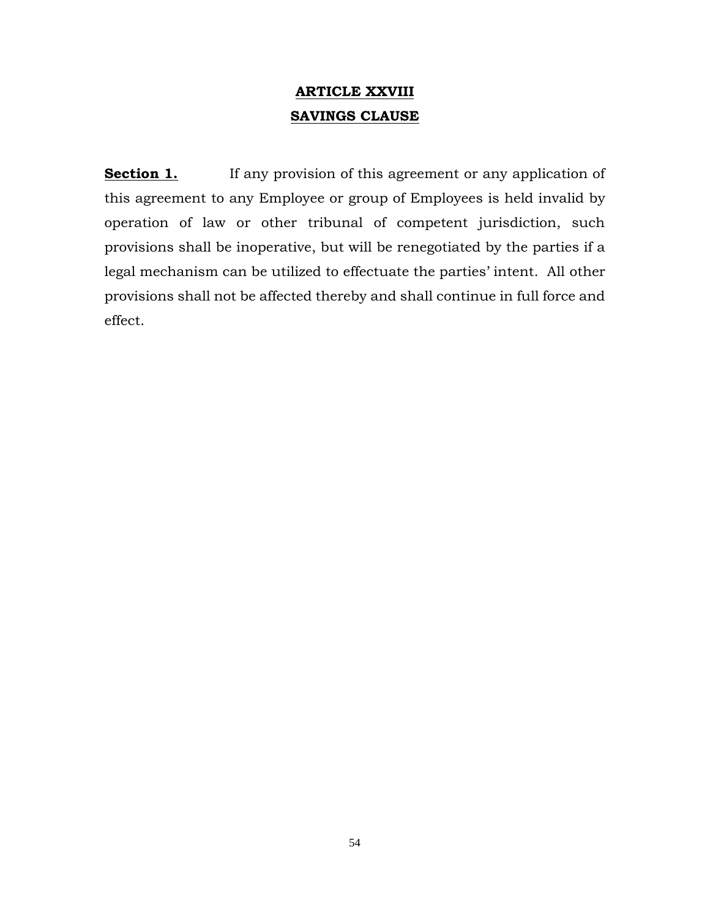# **ARTICLE XXVIII SAVINGS CLAUSE**

**Section 1.** If any provision of this agreement or any application of this agreement to any Employee or group of Employees is held invalid by operation of law or other tribunal of competent jurisdiction, such provisions shall be inoperative, but will be renegotiated by the parties if a legal mechanism can be utilized to effectuate the parties' intent. All other provisions shall not be affected thereby and shall continue in full force and effect.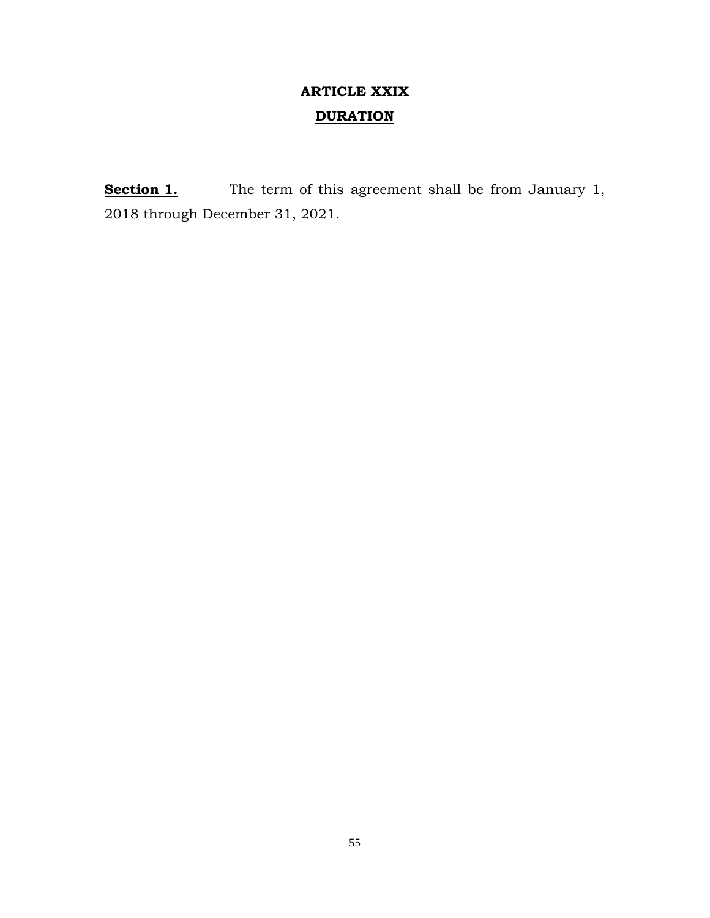# **ARTICLE XXIX DURATION**

**Section 1.** The term of this agreement shall be from January 1, 2018 through December 31, 2021.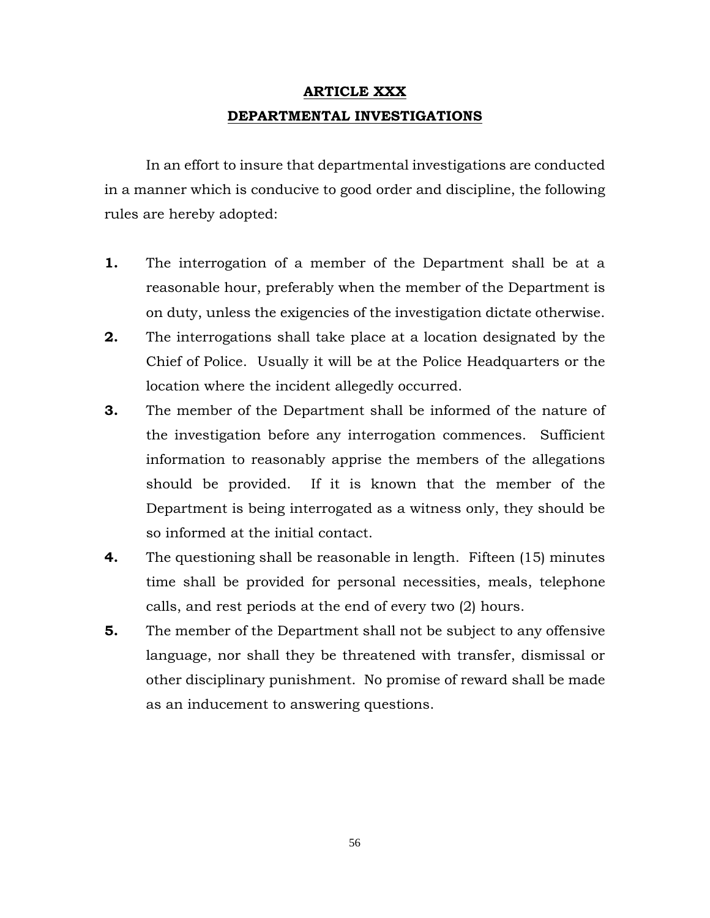# **ARTICLE XXX DEPARTMENTAL INVESTIGATIONS**

In an effort to insure that departmental investigations are conducted in a manner which is conducive to good order and discipline, the following rules are hereby adopted:

- **1.** The interrogation of a member of the Department shall be at a reasonable hour, preferably when the member of the Department is on duty, unless the exigencies of the investigation dictate otherwise.
- **2.** The interrogations shall take place at a location designated by the Chief of Police. Usually it will be at the Police Headquarters or the location where the incident allegedly occurred.
- **3.** The member of the Department shall be informed of the nature of the investigation before any interrogation commences. Sufficient information to reasonably apprise the members of the allegations should be provided. If it is known that the member of the Department is being interrogated as a witness only, they should be so informed at the initial contact.
- **4.** The questioning shall be reasonable in length. Fifteen (15) minutes time shall be provided for personal necessities, meals, telephone calls, and rest periods at the end of every two (2) hours.
- **5.** The member of the Department shall not be subject to any offensive language, nor shall they be threatened with transfer, dismissal or other disciplinary punishment. No promise of reward shall be made as an inducement to answering questions.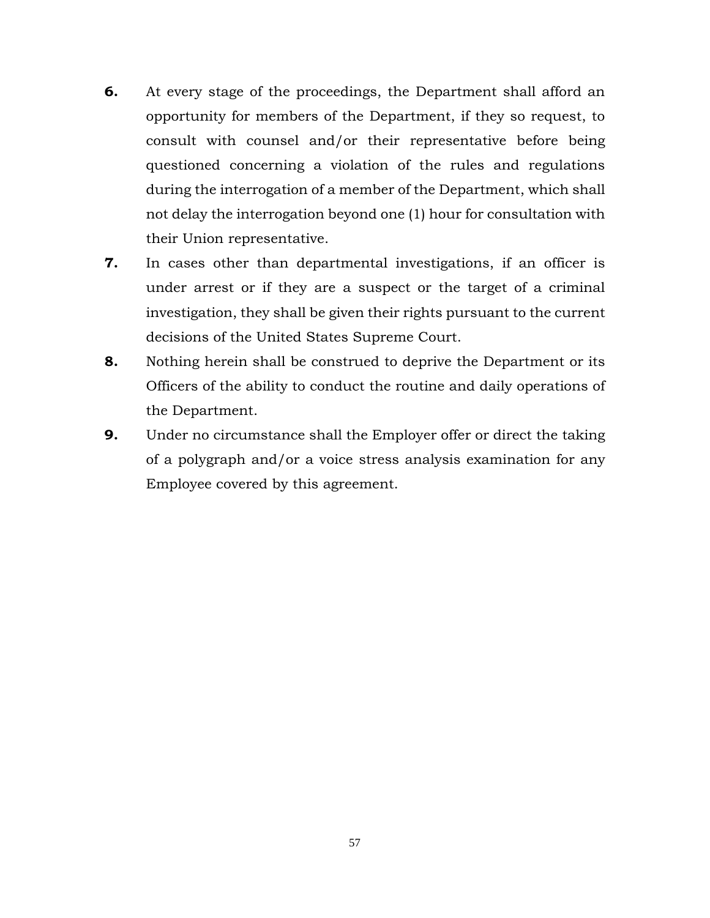- **6.** At every stage of the proceedings, the Department shall afford an opportunity for members of the Department, if they so request, to consult with counsel and/or their representative before being questioned concerning a violation of the rules and regulations during the interrogation of a member of the Department, which shall not delay the interrogation beyond one (1) hour for consultation with their Union representative.
- **7.** In cases other than departmental investigations, if an officer is under arrest or if they are a suspect or the target of a criminal investigation, they shall be given their rights pursuant to the current decisions of the United States Supreme Court.
- **8.** Nothing herein shall be construed to deprive the Department or its Officers of the ability to conduct the routine and daily operations of the Department.
- **9.** Under no circumstance shall the Employer offer or direct the taking of a polygraph and/or a voice stress analysis examination for any Employee covered by this agreement.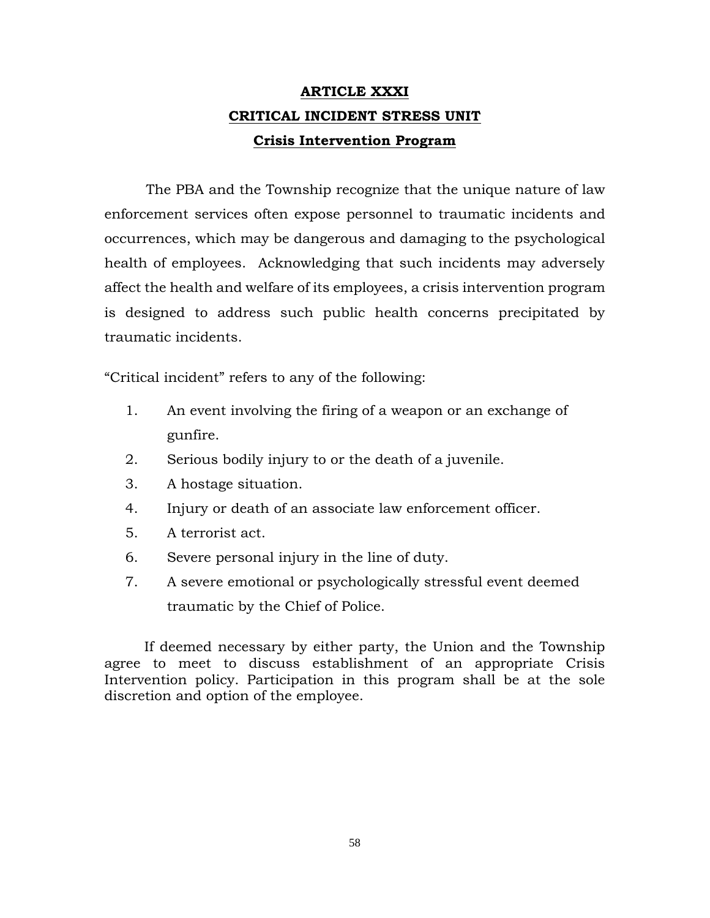# **ARTICLE XXXI CRITICAL INCIDENT STRESS UNIT Crisis Intervention Program**

The PBA and the Township recognize that the unique nature of law enforcement services often expose personnel to traumatic incidents and occurrences, which may be dangerous and damaging to the psychological health of employees. Acknowledging that such incidents may adversely affect the health and welfare of its employees, a crisis intervention program is designed to address such public health concerns precipitated by traumatic incidents.

"Critical incident" refers to any of the following:

- 1. An event involving the firing of a weapon or an exchange of gunfire.
- 2. Serious bodily injury to or the death of a juvenile.
- 3. A hostage situation.
- 4. Injury or death of an associate law enforcement officer.
- 5. A terrorist act.
- 6. Severe personal injury in the line of duty.
- 7. A severe emotional or psychologically stressful event deemed traumatic by the Chief of Police.

 If deemed necessary by either party, the Union and the Township agree to meet to discuss establishment of an appropriate Crisis Intervention policy. Participation in this program shall be at the sole discretion and option of the employee.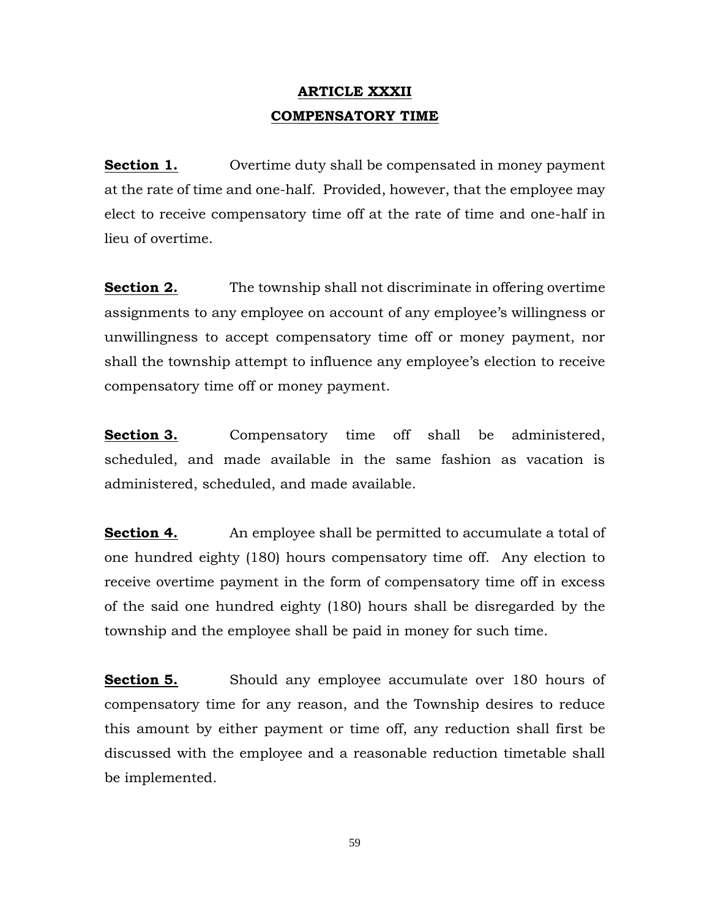# **ARTICLE XXXII COMPENSATORY TIME**

**Section 1.** Overtime duty shall be compensated in money payment at the rate of time and one-half. Provided, however, that the employee may elect to receive compensatory time off at the rate of time and one-half in lieu of overtime.

**Section 2.** The township shall not discriminate in offering overtime assignments to any employee on account of any employee's willingness or unwillingness to accept compensatory time off or money payment, nor shall the township attempt to influence any employee's election to receive compensatory time off or money payment.

**Section 3.** Compensatory time off shall be administered, scheduled, and made available in the same fashion as vacation is administered, scheduled, and made available.

**Section 4.** An employee shall be permitted to accumulate a total of one hundred eighty (180) hours compensatory time off. Any election to receive overtime payment in the form of compensatory time off in excess of the said one hundred eighty (180) hours shall be disregarded by the township and the employee shall be paid in money for such time.

**Section 5.** Should any employee accumulate over 180 hours of compensatory time for any reason, and the Township desires to reduce this amount by either payment or time off, any reduction shall first be discussed with the employee and a reasonable reduction timetable shall be implemented.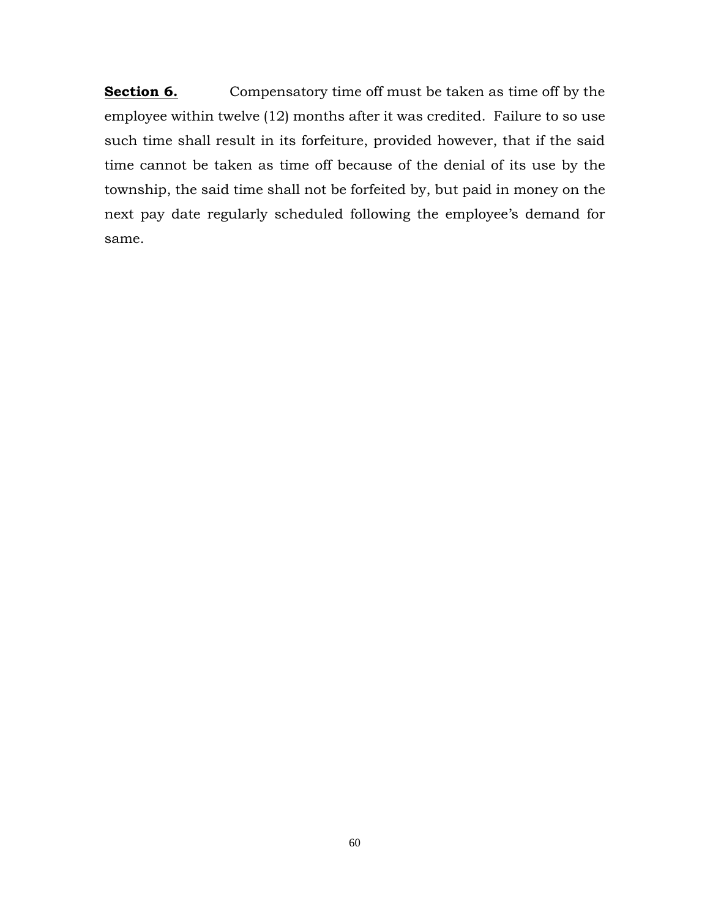**Section 6.** Compensatory time off must be taken as time off by the employee within twelve (12) months after it was credited. Failure to so use such time shall result in its forfeiture, provided however, that if the said time cannot be taken as time off because of the denial of its use by the township, the said time shall not be forfeited by, but paid in money on the next pay date regularly scheduled following the employee's demand for same.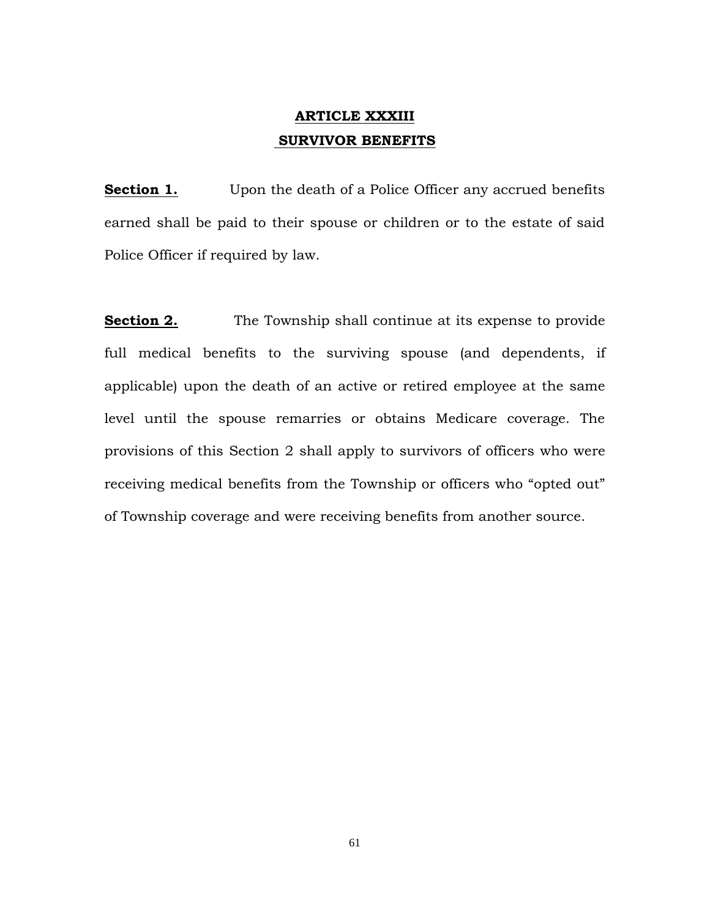# **ARTICLE XXXIII SURVIVOR BENEFITS**

**Section 1.** Upon the death of a Police Officer any accrued benefits earned shall be paid to their spouse or children or to the estate of said Police Officer if required by law.

**Section 2.** The Township shall continue at its expense to provide full medical benefits to the surviving spouse (and dependents, if applicable) upon the death of an active or retired employee at the same level until the spouse remarries or obtains Medicare coverage. The provisions of this Section 2 shall apply to survivors of officers who were receiving medical benefits from the Township or officers who "opted out" of Township coverage and were receiving benefits from another source.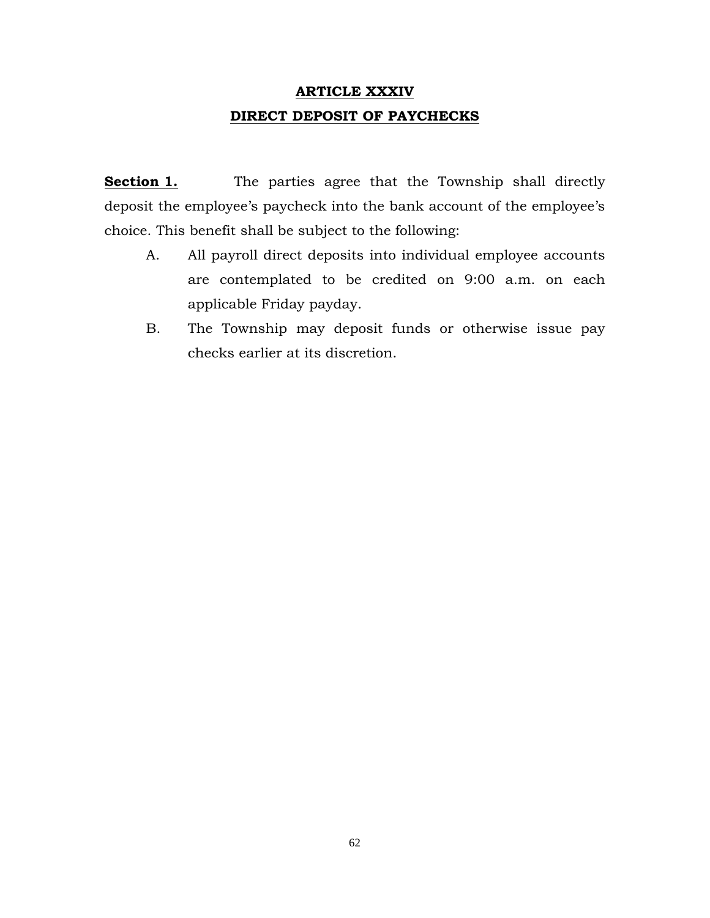# **ARTICLE XXXIV DIRECT DEPOSIT OF PAYCHECKS**

**Section 1.** The parties agree that the Township shall directly deposit the employee's paycheck into the bank account of the employee's choice. This benefit shall be subject to the following:

- A. All payroll direct deposits into individual employee accounts are contemplated to be credited on 9:00 a.m. on each applicable Friday payday.
- B. The Township may deposit funds or otherwise issue pay checks earlier at its discretion.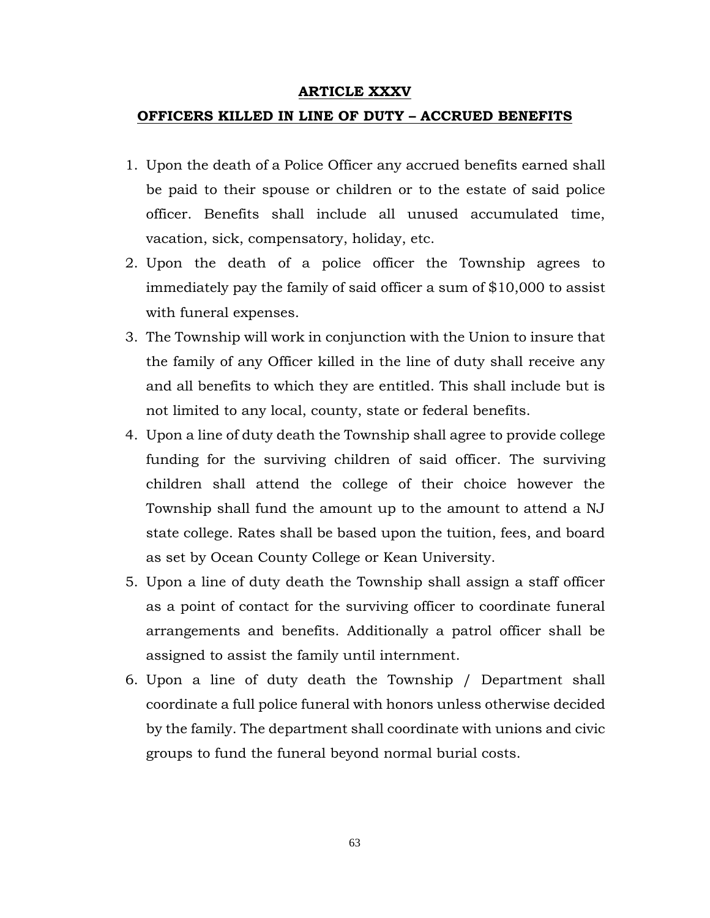### **ARTICLE XXXV**

#### **OFFICERS KILLED IN LINE OF DUTY – ACCRUED BENEFITS**

- 1. Upon the death of a Police Officer any accrued benefits earned shall be paid to their spouse or children or to the estate of said police officer. Benefits shall include all unused accumulated time, vacation, sick, compensatory, holiday, etc.
- 2. Upon the death of a police officer the Township agrees to immediately pay the family of said officer a sum of \$10,000 to assist with funeral expenses.
- 3. The Township will work in conjunction with the Union to insure that the family of any Officer killed in the line of duty shall receive any and all benefits to which they are entitled. This shall include but is not limited to any local, county, state or federal benefits.
- 4. Upon a line of duty death the Township shall agree to provide college funding for the surviving children of said officer. The surviving children shall attend the college of their choice however the Township shall fund the amount up to the amount to attend a NJ state college. Rates shall be based upon the tuition, fees, and board as set by Ocean County College or Kean University.
- 5. Upon a line of duty death the Township shall assign a staff officer as a point of contact for the surviving officer to coordinate funeral arrangements and benefits. Additionally a patrol officer shall be assigned to assist the family until internment.
- 6. Upon a line of duty death the Township / Department shall coordinate a full police funeral with honors unless otherwise decided by the family. The department shall coordinate with unions and civic groups to fund the funeral beyond normal burial costs.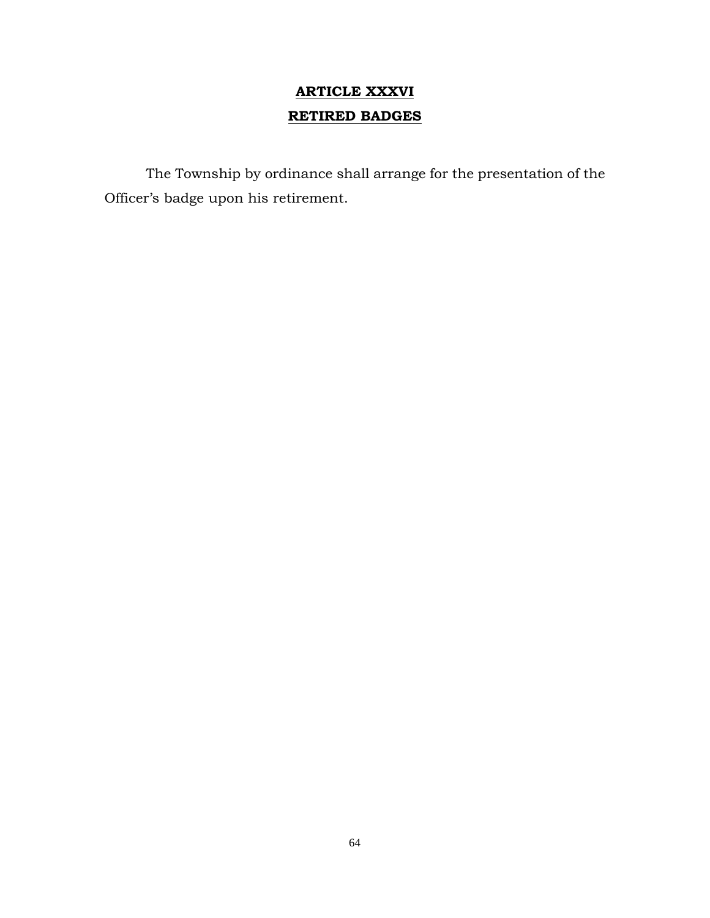# **ARTICLE XXXVI RETIRED BADGES**

The Township by ordinance shall arrange for the presentation of the Officer's badge upon his retirement.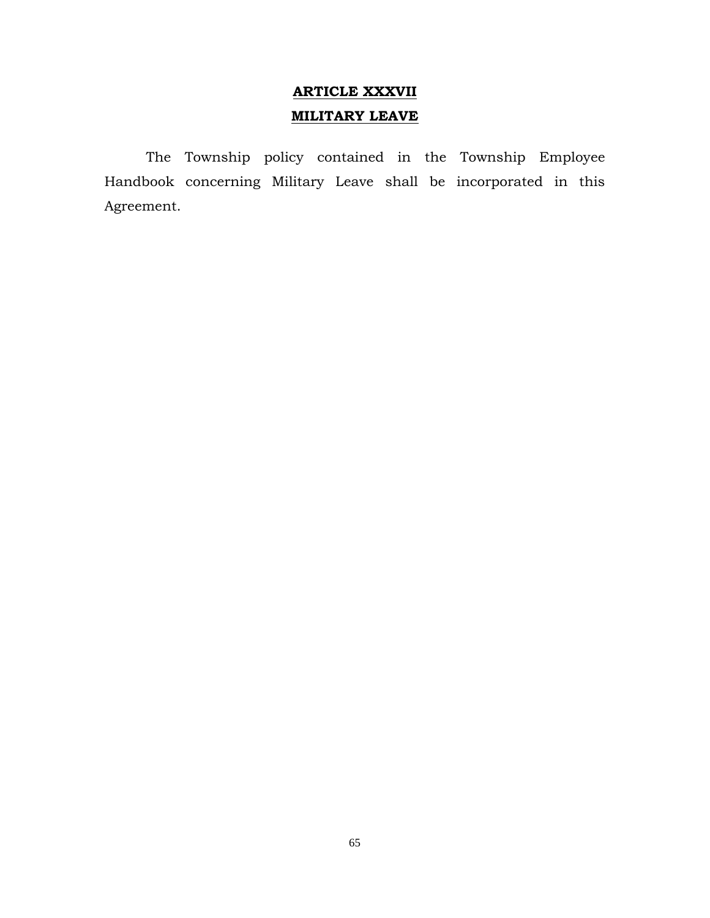# **ARTICLE XXXVII MILITARY LEAVE**

The Township policy contained in the Township Employee Handbook concerning Military Leave shall be incorporated in this Agreement.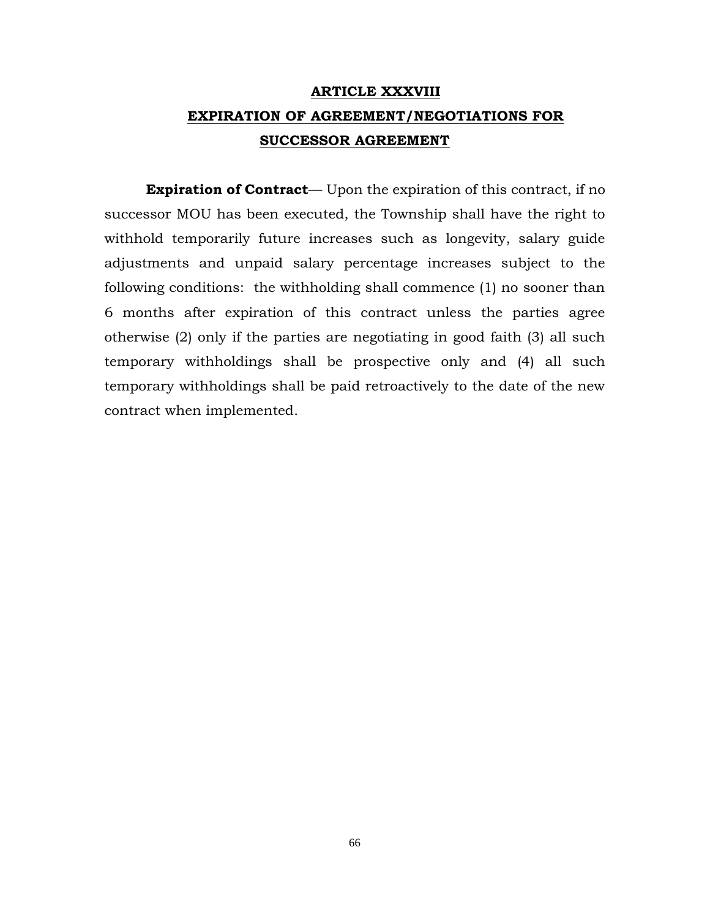# **ARTICLE XXXVIII EXPIRATION OF AGREEMENT/NEGOTIATIONS FOR SUCCESSOR AGREEMENT**

**Expiration of Contract**— Upon the expiration of this contract, if no successor MOU has been executed, the Township shall have the right to withhold temporarily future increases such as longevity, salary guide adjustments and unpaid salary percentage increases subject to the following conditions: the withholding shall commence (1) no sooner than 6 months after expiration of this contract unless the parties agree otherwise (2) only if the parties are negotiating in good faith (3) all such temporary withholdings shall be prospective only and (4) all such temporary withholdings shall be paid retroactively to the date of the new contract when implemented.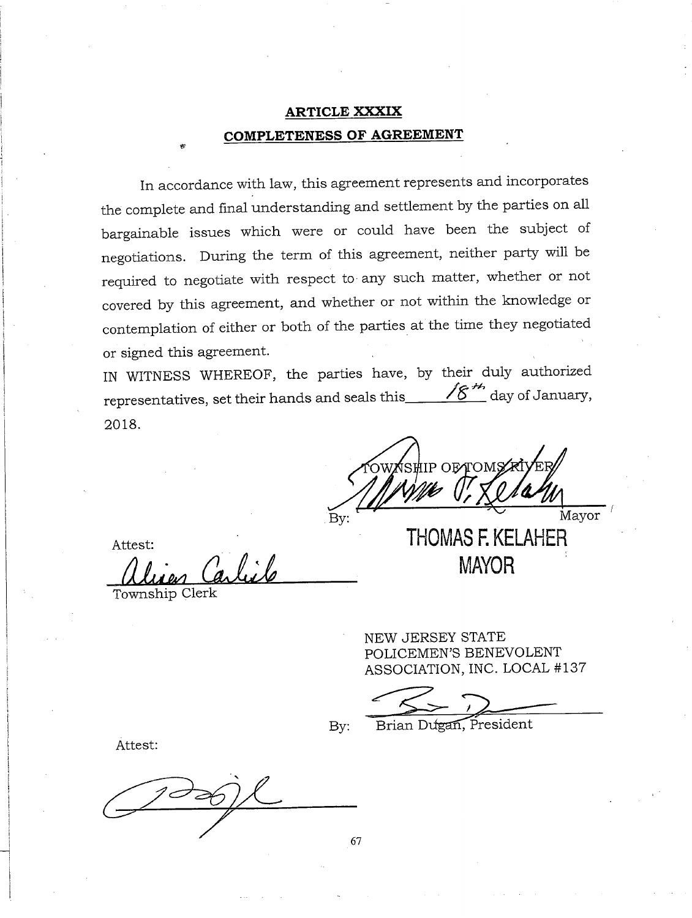# **ARTICLE XXXIX COMPLETENESS OF AGREEMENT**

In accordance with law, this agreement represents and incorporates the complete and final understanding and settlement by the parties on all bargainable issues which were or could have been the subject of negotiations. During the term of this agreement, neither party will be required to negotiate with respect to any such matter, whether or not covered by this agreement, and whether or not within the knowledge or contemplation of either or both of the parties at the time they negotiated or signed this agreement.

IN WITNESS WHEREOF, the parties have, by their duly authorized representatives, set their hands and seals this  $\sqrt{g}^{H}$  day of January, 2018.

**SHIP OETOM** Mayor By: **THOMAS F. KELAHER** 

Attest:

Township Clerk

NEW JERSEY STATE POLICEMEN'S BENEVOLENT ASSOCIATION, INC. LOCAL #137

**MAYOR** 

By:

Brian Dugan, President

Attest:

67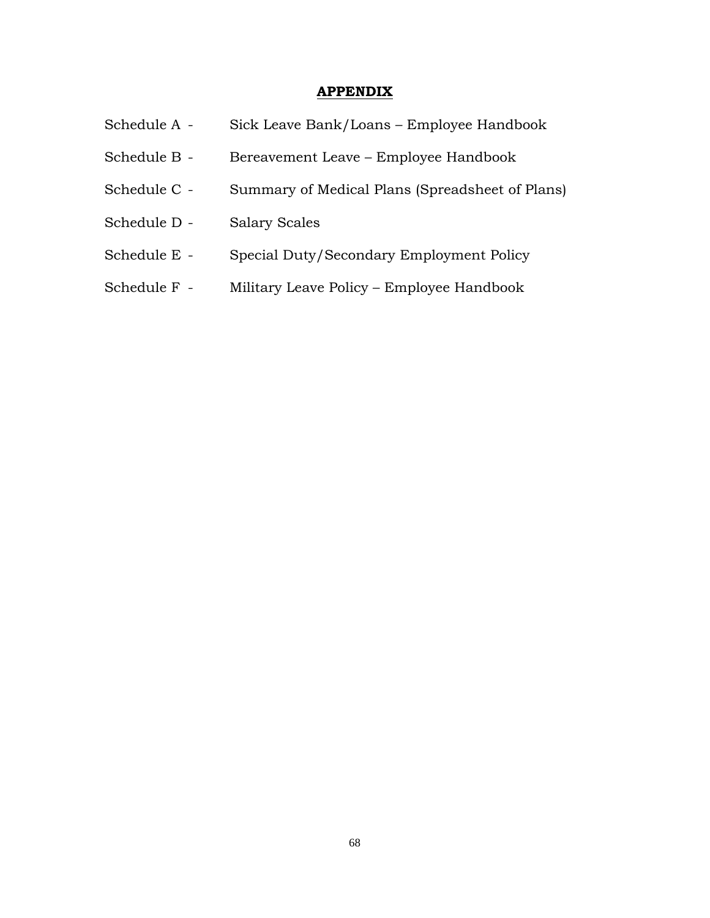## **APPENDIX**

| Schedule A - | Sick Leave Bank/Loans – Employee Handbook       |
|--------------|-------------------------------------------------|
| Schedule B - | Bereavement Leave – Employee Handbook           |
| Schedule C - | Summary of Medical Plans (Spreadsheet of Plans) |
| Schedule D - | <b>Salary Scales</b>                            |
| Schedule E - | Special Duty/Secondary Employment Policy        |
| Schedule F - | Military Leave Policy – Employee Handbook       |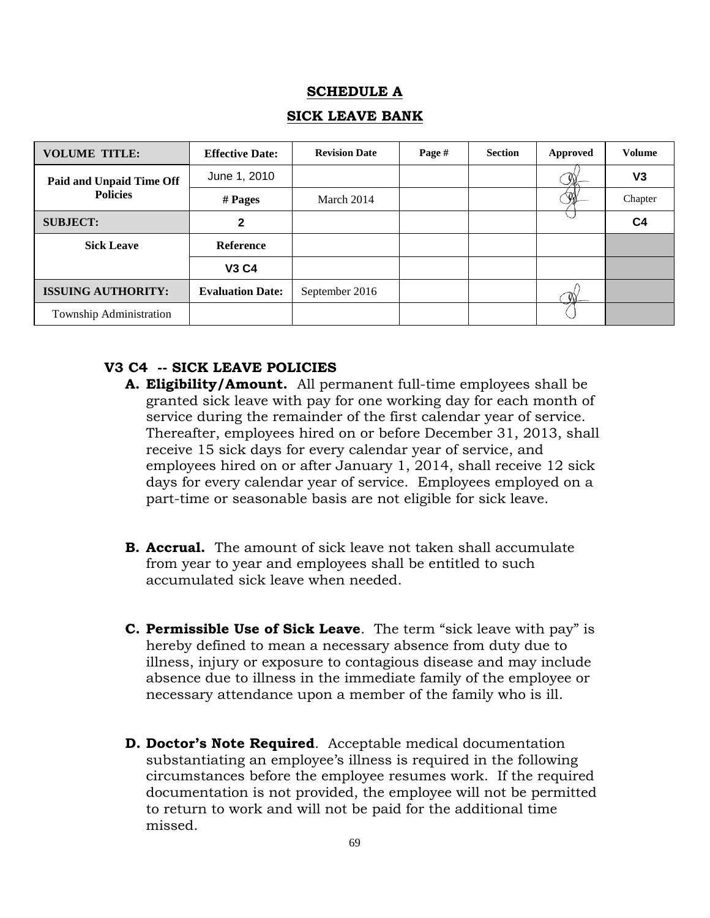## **SCHEDULE A**

## **SICK LEAVE BANK**

| <b>VOLUME TITLE:</b>                        | <b>Effective Date:</b>  | <b>Revision Date</b> | Page # | <b>Section</b> | Approved | <b>Volume</b>  |
|---------------------------------------------|-------------------------|----------------------|--------|----------------|----------|----------------|
| Paid and Unpaid Time Off<br><b>Policies</b> | June 1, 2010            |                      |        |                |          | V3             |
|                                             | # Pages                 | March 2014           |        |                |          | Chapter        |
| <b>SUBJECT:</b>                             | 2                       |                      |        |                |          | C <sub>4</sub> |
| <b>Sick Leave</b>                           | <b>Reference</b>        |                      |        |                |          |                |
|                                             | <b>V3 C4</b>            |                      |        |                |          |                |
| <b>ISSUING AUTHORITY:</b>                   | <b>Evaluation Date:</b> | September 2016       |        |                |          |                |
| Township Administration                     |                         |                      |        |                |          |                |

## **V3 C4 -- SICK LEAVE POLICIES**

- **A. Eligibility/Amount.** All permanent full-time employees shall be granted sick leave with pay for one working day for each month of service during the remainder of the first calendar year of service. Thereafter, employees hired on or before December 31, 2013, shall receive 15 sick days for every calendar year of service, and employees hired on or after January 1, 2014, shall receive 12 sick days for every calendar year of service. Employees employed on a part-time or seasonable basis are not eligible for sick leave.
- **B. Accrual.** The amount of sick leave not taken shall accumulate from year to year and employees shall be entitled to such accumulated sick leave when needed.
- **C. Permissible Use of Sick Leave**. The term "sick leave with pay" is hereby defined to mean a necessary absence from duty due to illness, injury or exposure to contagious disease and may include absence due to illness in the immediate family of the employee or necessary attendance upon a member of the family who is ill.
- **D. Doctor's Note Required**. Acceptable medical documentation substantiating an employee's illness is required in the following circumstances before the employee resumes work. If the required documentation is not provided, the employee will not be permitted to return to work and will not be paid for the additional time missed.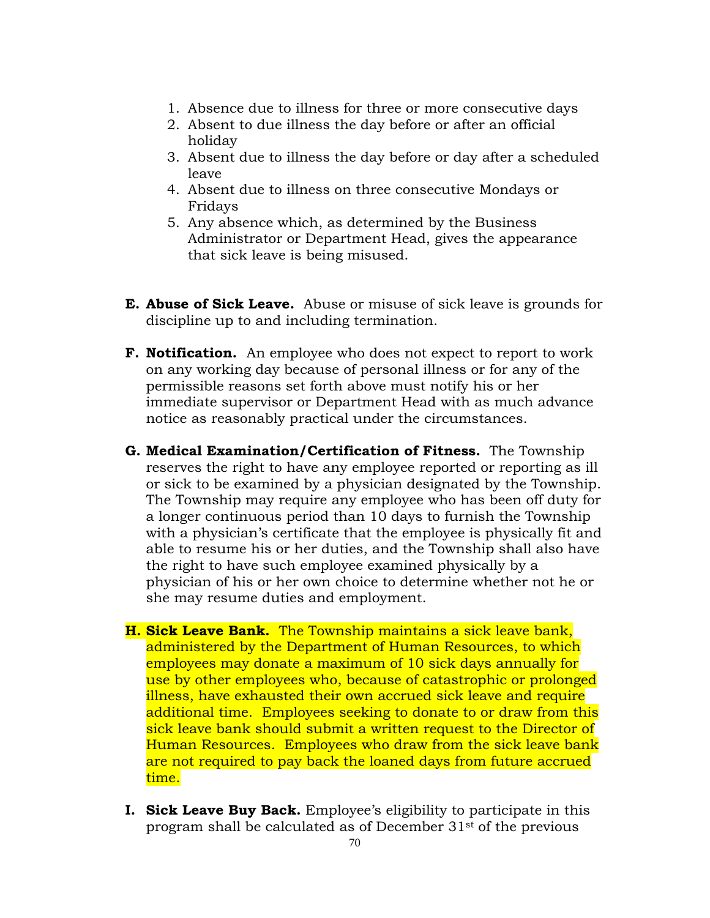- 1. Absence due to illness for three or more consecutive days
- 2. Absent to due illness the day before or after an official holiday
- 3. Absent due to illness the day before or day after a scheduled leave
- 4. Absent due to illness on three consecutive Mondays or Fridays
- 5. Any absence which, as determined by the Business Administrator or Department Head, gives the appearance that sick leave is being misused.
- **E. Abuse of Sick Leave.** Abuse or misuse of sick leave is grounds for discipline up to and including termination.
- **F. Notification.** An employee who does not expect to report to work on any working day because of personal illness or for any of the permissible reasons set forth above must notify his or her immediate supervisor or Department Head with as much advance notice as reasonably practical under the circumstances.
- **G. Medical Examination/Certification of Fitness.** The Township reserves the right to have any employee reported or reporting as ill or sick to be examined by a physician designated by the Township. The Township may require any employee who has been off duty for a longer continuous period than 10 days to furnish the Township with a physician's certificate that the employee is physically fit and able to resume his or her duties, and the Township shall also have the right to have such employee examined physically by a physician of his or her own choice to determine whether not he or she may resume duties and employment.
- **H. Sick Leave Bank.** The Township maintains a sick leave bank, administered by the Department of Human Resources, to which employees may donate a maximum of 10 sick days annually for use by other employees who, because of catastrophic or prolonged illness, have exhausted their own accrued sick leave and require additional time. Employees seeking to donate to or draw from this sick leave bank should submit a written request to the Director of Human Resources. Employees who draw from the sick leave bank are not required to pay back the loaned days from future accrued time.
- **I. Sick Leave Buy Back.** Employee's eligibility to participate in this program shall be calculated as of December 31st of the previous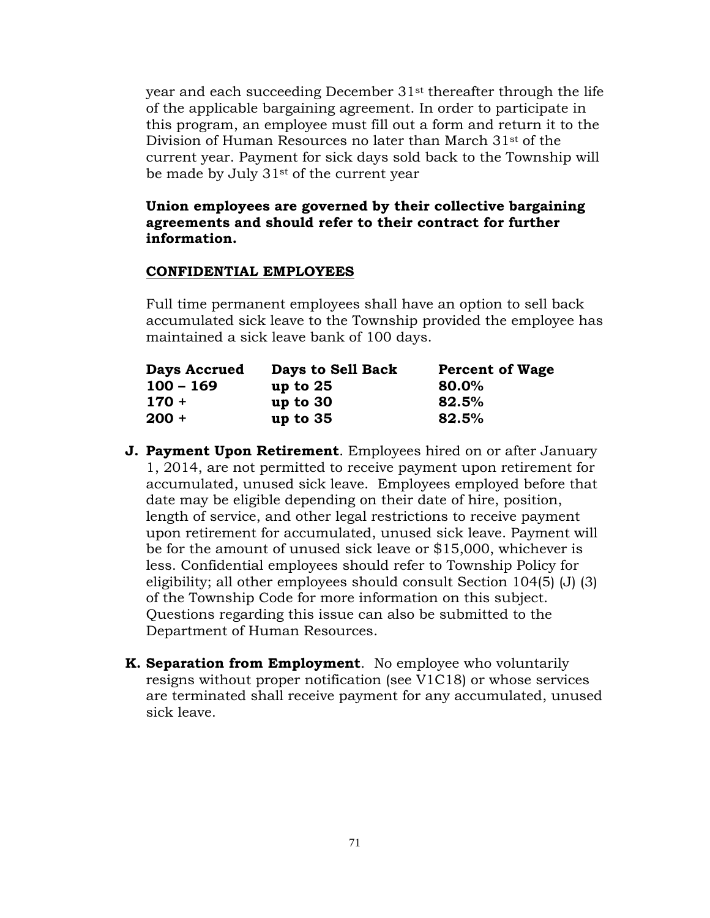year and each succeeding December 31st thereafter through the life of the applicable bargaining agreement. In order to participate in this program, an employee must fill out a form and return it to the Division of Human Resources no later than March 31st of the current year. Payment for sick days sold back to the Township will be made by July 31st of the current year

## **Union employees are governed by their collective bargaining agreements and should refer to their contract for further information.**

#### **CONFIDENTIAL EMPLOYEES**

Full time permanent employees shall have an option to sell back accumulated sick leave to the Township provided the employee has maintained a sick leave bank of 100 days.

| <b>Days Accrued</b> | Days to Sell Back | <b>Percent of Wage</b> |  |  |
|---------------------|-------------------|------------------------|--|--|
| $100 - 169$         | up to $25$        | 80.0%                  |  |  |
| $170 +$             | up to $30$        | 82.5%                  |  |  |
| $200 +$             | up to $35$        | 82.5%                  |  |  |

- **J. Payment Upon Retirement**. Employees hired on or after January 1, 2014, are not permitted to receive payment upon retirement for accumulated, unused sick leave. Employees employed before that date may be eligible depending on their date of hire, position, length of service, and other legal restrictions to receive payment upon retirement for accumulated, unused sick leave. Payment will be for the amount of unused sick leave or \$15,000, whichever is less. Confidential employees should refer to Township Policy for eligibility; all other employees should consult Section 104(5) (J) (3) of the Township Code for more information on this subject. Questions regarding this issue can also be submitted to the Department of Human Resources.
- **K. Separation from Employment**. No employee who voluntarily resigns without proper notification (see V1C18) or whose services are terminated shall receive payment for any accumulated, unused sick leave.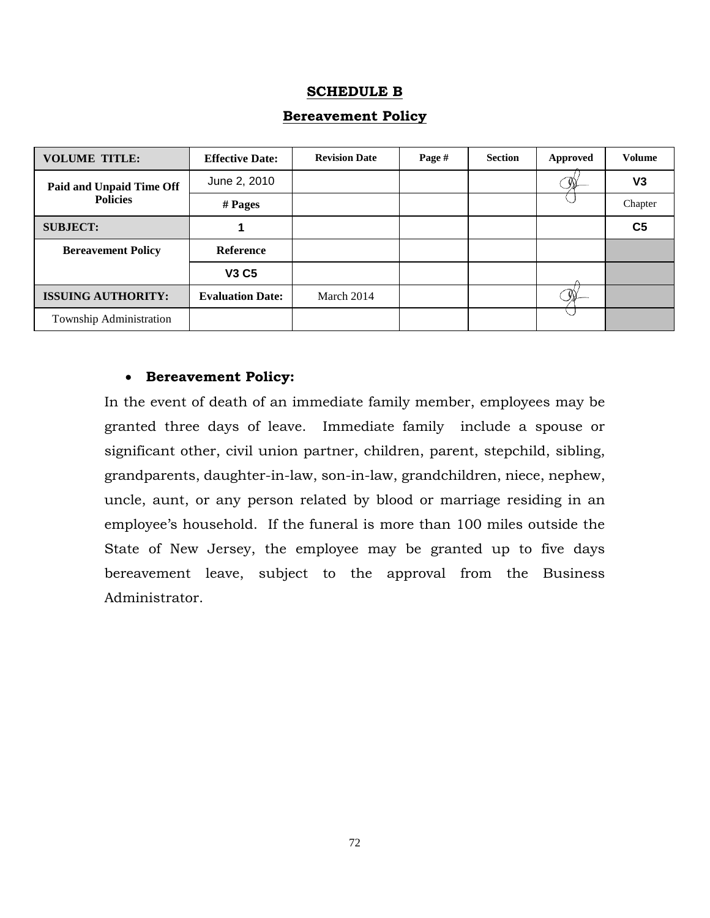## **SCHEDULE B**

| <b>VOLUME TITLE:</b>                        | <b>Effective Date:</b>  | <b>Revision Date</b> | Page # | <b>Section</b> | <b>Approved</b> | <b>Volume</b>  |
|---------------------------------------------|-------------------------|----------------------|--------|----------------|-----------------|----------------|
| Paid and Unpaid Time Off<br><b>Policies</b> | June 2, 2010            |                      |        |                |                 | V <sub>3</sub> |
|                                             | $#$ Pages               |                      |        |                |                 | Chapter        |
| <b>SUBJECT:</b>                             |                         |                      |        |                |                 | C <sub>5</sub> |
| <b>Bereavement Policy</b>                   | Reference               |                      |        |                |                 |                |
|                                             | <b>V3 C5</b>            |                      |        |                |                 |                |
| <b>ISSUING AUTHORITY:</b>                   | <b>Evaluation Date:</b> | March 2014           |        |                |                 |                |
| Township Administration                     |                         |                      |        |                |                 |                |

## **Bereavement Policy**

## **Bereavement Policy:**

In the event of death of an immediate family member, employees may be granted three days of leave. Immediate family include a spouse or significant other, civil union partner, children, parent, stepchild, sibling, grandparents, daughter-in-law, son-in-law, grandchildren, niece, nephew, uncle, aunt, or any person related by blood or marriage residing in an employee's household. If the funeral is more than 100 miles outside the State of New Jersey, the employee may be granted up to five days bereavement leave, subject to the approval from the Business Administrator.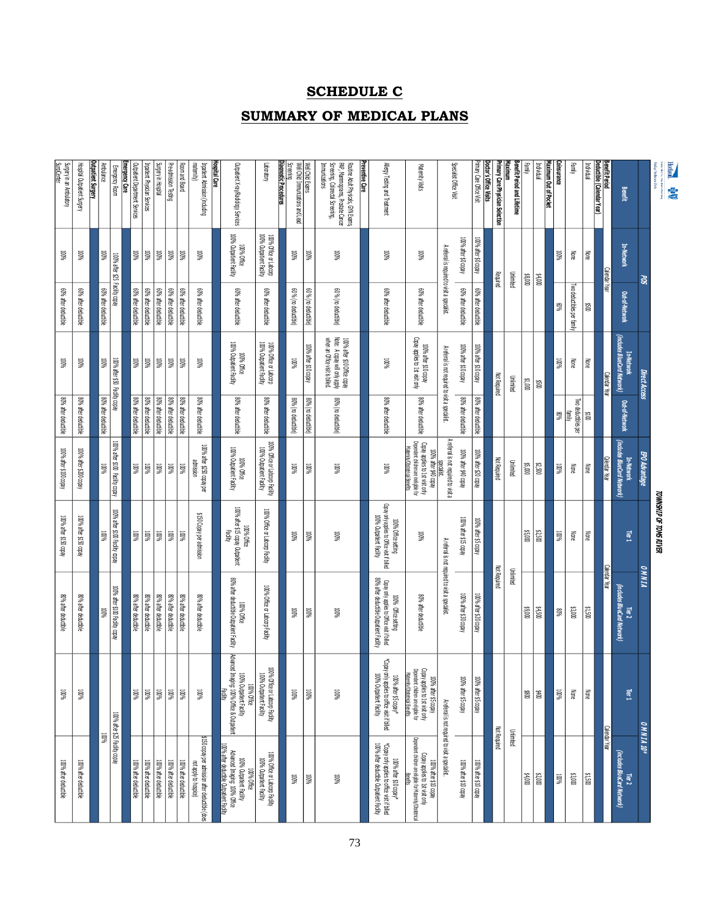# **SCHEDULE C**

### **SUMMARY OF MEDICAL PLANS**

| <b>Horizon</b><br><b>MONTHS CONTRACTOR</b><br><b>B</b>                                                                       |                                                    |                                              |                                                                                                  |                                              |                                                                                                                                   | <b>TOWNSHIP OF TOMS RIVER</b>                                                                   |                                                                                                                 |                                                                                                                                  |                                                                                                                       |
|------------------------------------------------------------------------------------------------------------------------------|----------------------------------------------------|----------------------------------------------|--------------------------------------------------------------------------------------------------|----------------------------------------------|-----------------------------------------------------------------------------------------------------------------------------------|-------------------------------------------------------------------------------------------------|-----------------------------------------------------------------------------------------------------------------|----------------------------------------------------------------------------------------------------------------------------------|-----------------------------------------------------------------------------------------------------------------------|
| Maing Barltoon Hole                                                                                                          | ಜ                                                  |                                              | Direct Access                                                                                    |                                              | EPO Advantage                                                                                                                     |                                                                                                 | <b>ANNIA</b>                                                                                                    | OMNIA 10*                                                                                                                        |                                                                                                                       |
| Benefit                                                                                                                      | <b>In-Network</b>                                  | Out-of-Network                               | (includes BlueCard Network)<br>In-Network                                                        | Out-of-Network                               | (includes BlueCard Network)<br>In-Network                                                                                         | Tier1                                                                                           | (includes BlueCard Network)<br>Tier <sub>2</sub>                                                                | Tier <sub>1</sub>                                                                                                                | (includes BlueCard Network)<br>Tier <sub>2</sub>                                                                      |
| Jenefit Period                                                                                                               | <b>Calendar</b>                                    | Уear                                         | æ                                                                                                |                                              | Calendar Year                                                                                                                     |                                                                                                 | Calendar<br>ඹු                                                                                                  | Calendar                                                                                                                         | 曼                                                                                                                     |
| Deductible (Calendar Year)<br>Individual                                                                                     | Š                                                  | ğ                                            | §                                                                                                | 0015                                         | §                                                                                                                                 | §                                                                                               | 005'1\$                                                                                                         | None                                                                                                                             | 00S'1\$                                                                                                               |
| ¦amily                                                                                                                       | None                                               | Two deductibles per family                   | ≷                                                                                                | Two deductibles per<br>lamini<br>M           | None                                                                                                                              | None                                                                                            | \$3,000                                                                                                         | None                                                                                                                             | \$3,000                                                                                                               |
| Coinsurance                                                                                                                  | 100%                                               | %0%                                          | 100%                                                                                             | %08                                          | 100%                                                                                                                              | 100%                                                                                            | 80%                                                                                                             | 100%                                                                                                                             | <b>100%</b>                                                                                                           |
| Maximum Out of Pocket                                                                                                        |                                                    |                                              |                                                                                                  |                                              |                                                                                                                                   |                                                                                                 |                                                                                                                 |                                                                                                                                  |                                                                                                                       |
| Individual<br>¦am∥                                                                                                           | $0008$ \$<br>000'#\$                               |                                              | 000'1\$<br>ğ0                                                                                    |                                              | \$5,000<br>\$2,500                                                                                                                | \$5,000<br>\$2,500                                                                              | $005' + 5$<br>000'6\$                                                                                           | 8<br>蓍                                                                                                                           | 600%<br>\$2,000                                                                                                       |
| Benefit Period and Lifetime                                                                                                  | <b>Unlimited</b>                                   |                                              | <b>Unlimited</b>                                                                                 |                                              | Unlimited                                                                                                                         |                                                                                                 | <b>Unlimited</b>                                                                                                |                                                                                                                                  | Unlimited                                                                                                             |
| Maximum                                                                                                                      |                                                    |                                              |                                                                                                  |                                              |                                                                                                                                   |                                                                                                 |                                                                                                                 |                                                                                                                                  |                                                                                                                       |
| Primary Care Physician Selection<br>Doctor's Office Visits                                                                   | Required                                           |                                              | <b>Not Required</b>                                                                              |                                              | <b>Not Required</b>                                                                                                               |                                                                                                 | <b>Not Required</b>                                                                                             |                                                                                                                                  | <b>Not Required</b>                                                                                                   |
| Mimary Care Office Visit                                                                                                     | 100% after \$0 copay                               | 60% after deductible                         | 100% after \$10 copay                                                                            | 80% after deductible                         | 100% after \$20 copay                                                                                                             | 100% after \$5 copay                                                                            | 100% after \$20 copay                                                                                           | .00% after \$5 copay                                                                                                             | 100% after \$10 copay                                                                                                 |
|                                                                                                                              | 100% after \$0 copay                               | 60% after deductible                         | 100% after \$10 copay                                                                            | 80% after deductible                         | 100% after \$40 copay                                                                                                             | 100% after \$15 copay                                                                           | 100% after \$30 copay                                                                                           | 100% after \$5 copay                                                                                                             | 100% after \$10 copay                                                                                                 |
| <b>Specialist Office Visit</b>                                                                                               | A referral is required to visit a specialist.      |                                              | A referral is not required to visit a specialist.                                                |                                              | A referral is not required to visit a                                                                                             |                                                                                                 | A referral is not required to visit a specialist.                                                               | A referal is not required to visit a specialist.                                                                                 |                                                                                                                       |
| Maternity Visits                                                                                                             | <b>NOOT</b>                                        | 60% after deductible                         | Copay applies to 1st visit only<br>100% after \$10 copay                                         | 80% after deductible                         | Dependent children are ineligible for<br>Copay applies to 1st visit only<br>daemitv/Obstetrical Benefits<br>100% after \$40 copay | <b>WWW</b>                                                                                      | 80% after deductible                                                                                            | Copay applies to 1st visit only<br>Dependent children are eligible for<br>Maternity/Obstetrical Benefits<br>100% after \$5 copay | Dependent drildren are eligible for Maternity/Obstetrical<br>Copay applies to 1st visit only<br>100% after \$10 copay |
| Allergy Testing and Treatment                                                                                                | <b>N6001</b>                                       | 60% after deductible                         | <b>NG001</b>                                                                                     | 80% after deductible                         | <b>N6001</b>                                                                                                                      | Copay only applies to Office visit if billed<br>100% Outpatient Facility<br>100% Office setting | Copay only applies to Office visit if billed<br>80% after deductible Outpatient Facility<br>100% Office setting | *Copay only applies to office visit if billed<br>100% Outpatient Facility<br>100% after \$5 copay*                               | *Copay only applies to office visit if billed<br>.00% after deductible Outpatient Facility<br>100% after \$10 copay*  |
| Preventive Care                                                                                                              |                                                    |                                              |                                                                                                  |                                              |                                                                                                                                   |                                                                                                 |                                                                                                                 |                                                                                                                                  |                                                                                                                       |
| Screening, Colorectal Screening,<br>PAP, Mammograms, Prostate Cancer<br>Routine Adult Physicals, GYN Exams,<br>Immunizations | <b>100%</b>                                        | 60 % (no deductible)                         | 100% after \$10 Office.copay<br>Note: A copay will only apply<br>when an Office visit is billed. | 80% (no deductible)                          | <b>100%</b>                                                                                                                       | <b>NGON</b>                                                                                     | <b>NGW</b>                                                                                                      | <b>N6001</b>                                                                                                                     | <b>N6001</b>                                                                                                          |
| Well Child Exams                                                                                                             | <b>NGO01</b>                                       | 60 % (no deductible)                         | 100% after \$10 copay                                                                            | 80% (no deductible)                          | <b>100%</b>                                                                                                                       | NGW                                                                                             | NGW                                                                                                             | <b>NOOT</b>                                                                                                                      | NGW                                                                                                                   |
| <b>Diagnostic Procedures</b><br>Well Child Immunizations and Lead<br>Screening                                               | <b>WW</b>                                          | 60 % (no deductible)                         | <b>100%</b>                                                                                      | 80% (no deductible)                          | <b>100%</b>                                                                                                                       | <b>NGW</b>                                                                                      | WWW.                                                                                                            | <b>100%</b>                                                                                                                      | <b>100%</b>                                                                                                           |
| Volution                                                                                                                     | 100% Office or Labcorp<br>100% Outpatient Facility | 60% after deductible                         | 100% Office or Labcorp<br>100% Outpatient Facility                                               | 80% after deductible                         | 100% Office or Labcorp Facility<br>100% Outpatient Facility                                                                       | 100% Office or Laboorp Facility                                                                 | 100% Office or Labcorp Facility                                                                                 | <b>WWW</b><br>100% Outpatient Facility<br>Office or Laboorp Facility                                                             | 100% Office or Labcorp Facility<br>100% Outpatient Facility                                                           |
| Outpatient X-ray/Radiology Services                                                                                          | 100% Outpatient Facility<br>100% Office            | 60% after deductible                         | 100% Outpatient Facility<br>100% Office                                                          | 80% after deductible                         | 100% Outpatient Facility<br>100% Office                                                                                           | 100% after \$15 copay Outpatient<br>100% Office<br><b>Facility</b>                              | 80% after deductible Outpatient Facility<br>100% Office                                                         | Advanced Imaging: 100% Office & Outpatient<br>100% Outpatient Facility<br>100% Office                                            | 100% after deductible Outpatient Facility<br>Advanced Imaging: 100% Office<br>100% Outpatient Facility<br>100% Office |
| Hospital Care                                                                                                                |                                                    |                                              |                                                                                                  |                                              |                                                                                                                                   |                                                                                                 |                                                                                                                 |                                                                                                                                  |                                                                                                                       |
| Inpatient Admission (including<br>matemity)                                                                                  | 100%                                               | 60% after deductible                         | <b>TOO%</b>                                                                                      | 80% after deductible                         | 100% after \$250 copay per<br>admission                                                                                           | \$150 Copay per admission                                                                       | 80% after deductible                                                                                            | 100%                                                                                                                             | \$150 copay per admission after deductible (does<br>not apply to hospice)                                             |
| Room and Board                                                                                                               | <b>100%</b>                                        | 60% after deductible                         | <b>N6001</b>                                                                                     | 80% after deductible                         | <b>NOW!</b>                                                                                                                       | $\overline{\mathbb{R}}$                                                                         | 80% after deductible                                                                                            | WW0                                                                                                                              | 100% after deductible                                                                                                 |
| Pre-admission Testing                                                                                                        | <b>100%</b>                                        | 60% after deductible                         | $100\%$                                                                                          | 80% after deductible                         | <b>100%</b>                                                                                                                       | 100%                                                                                            | 80% after deductible                                                                                            | <b>100%</b>                                                                                                                      | 100% after deductible                                                                                                 |
| Surgery in Hospital<br>Inpatient Physician Services                                                                          | $100\%$<br>100%                                    | 60% after deductible<br>60% after deductible | $100\%$<br>$\%001$                                                                               | 80% after deductible<br>80% after deductible | $100\%$<br>$\%001$                                                                                                                | 100%<br><b>100%</b>                                                                             | 80% after deductible<br>80% after deductible                                                                    | 100%<br><b>100%</b>                                                                                                              | 100% after deductible<br>100% after deductible                                                                        |
| Outpatient Department Services                                                                                               | <b>100%</b>                                        | 60% after deductible                         | 100%                                                                                             | 80% after deductible                         | 100%                                                                                                                              | 100%                                                                                            | 80% after deductible                                                                                            | 100%                                                                                                                             | 100% after deductible                                                                                                 |
| Emergency Care<br>Emergency Room                                                                                             | 100% after \$25                                    | Facility copay                               | 100% after \$50                                                                                  | Facility copay                               | 100% after \$100 Facility copay                                                                                                   | 100% after \$100 Facility copay                                                                 | 100% after \$100 Facility copay                                                                                 | 100% after \$25 Facility copay                                                                                                   |                                                                                                                       |
| Ambulance                                                                                                                    | 100%                                               | 60% after deductible                         | NGW                                                                                              | 80% after deductible                         | NGW                                                                                                                               | WWW                                                                                             | <b>WWW</b>                                                                                                      | <b>NGON</b>                                                                                                                      |                                                                                                                       |
| Jutpatient Surgery                                                                                                           |                                                    |                                              |                                                                                                  |                                              |                                                                                                                                   |                                                                                                 |                                                                                                                 |                                                                                                                                  |                                                                                                                       |
| Surgery in an Ambulatory<br>Hospital Outpatient Surgery                                                                      | <b>NGW</b>                                         | 60% after deductible                         | <b>NGW</b>                                                                                       | 80% after deductible                         | 100% after \$200 copay                                                                                                            | 100% after \$150 copay                                                                          | 80% after deductible                                                                                            | <b>NGON</b>                                                                                                                      | 100% after deductible                                                                                                 |
| <b>SurgiCenter</b>                                                                                                           | <b>NOW</b>                                         | 60% after deductible                         | 100%                                                                                             | 80% after deductible                         | 100% after \$100 copay                                                                                                            | 100% after \$150 copay                                                                          | 80% after deductible                                                                                            | <b>100%</b>                                                                                                                      | 100% after deductible                                                                                                 |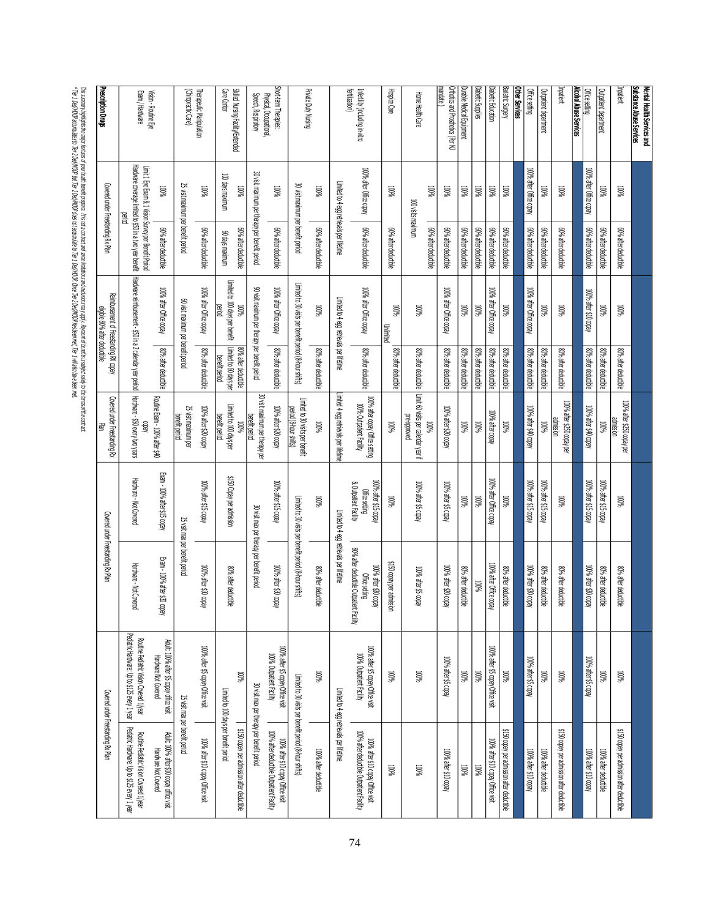| Imatient<br>Substance Abuse Services<br>Mental Health Services and | 100%                                                  | 60% after deductible | <b>100%</b>                                                                                                       | 80% after deductible                           | 100% after \$250 copay per                                        | %001                                                             | 80% after deductible                        | %001                                                                                |                                                                                                                                         |
|--------------------------------------------------------------------|-------------------------------------------------------|----------------------|-------------------------------------------------------------------------------------------------------------------|------------------------------------------------|-------------------------------------------------------------------|------------------------------------------------------------------|---------------------------------------------|-------------------------------------------------------------------------------------|-----------------------------------------------------------------------------------------------------------------------------------------|
| Outpatient department                                              | $W_0$                                                 | 60% after deductible | <b>100%</b>                                                                                                       | 80% after deductible                           | noissiune<br>100%                                                 | 100% after \$15 copay                                            | 80% after deductible                        |                                                                                     | 96001                                                                                                                                   |
| Office setting                                                     | 100% after Office copay                               | 60% after deductible | 100% after \$10 copay                                                                                             | 80% after deductible                           | 100% after \$40 copay                                             | 100% after \$15 copay                                            | 100% after \$30 copay                       |                                                                                     | 100% after \$5 copay                                                                                                                    |
| Alcohol Abuse Services                                             |                                                       |                      |                                                                                                                   |                                                |                                                                   |                                                                  |                                             |                                                                                     |                                                                                                                                         |
| Imatient                                                           | $W_0$                                                 | 60% after deductible | <b>TOON</b>                                                                                                       | 80% after deductible                           | 100% after \$250 copay per                                        | $W_0$                                                            | 80% after deductible                        |                                                                                     | %001                                                                                                                                    |
| <b>Outpatient department</b>                                       | $100\%$                                               | 60% after deductible | <b>100%</b>                                                                                                       | 80% after deductible                           | <b>MON</b>                                                        | 100% after \$15 copay                                            | 80% after deductible                        |                                                                                     | $100\%$                                                                                                                                 |
| Office setting                                                     | 100% after Office copay                               | 60% after deductible | 100% after Office copay                                                                                           | 80% after deductible                           | 100% after \$40 copay                                             | 100% after \$15 copay                                            | 100% after \$30 copay                       |                                                                                     | 100% after \$5 copay                                                                                                                    |
| Other Services                                                     |                                                       |                      |                                                                                                                   |                                                |                                                                   |                                                                  |                                             |                                                                                     |                                                                                                                                         |
| Bariatric Surgery                                                  | %00T                                                  | 60% after deductible | <b>MOON</b>                                                                                                       | 80% after deductible                           | <b>100%</b>                                                       | $100\%$                                                          | 80% after deductible                        |                                                                                     | %00T                                                                                                                                    |
| Diabetic Education                                                 | $W_0$                                                 | 60% after deductible | 100% after Office copay                                                                                           | 80% after deductible                           | 100% after copay                                                  | 100% after Office copay                                          | 100% after Office copa                      |                                                                                     | 100% after \$5 copay Office visit                                                                                                       |
| Diabetic Supplies                                                  | $W_0$                                                 | 60% after deductible | <b>NOON</b>                                                                                                       | 80% after deductible                           | 100%                                                              | %00T                                                             | %001                                        |                                                                                     | %001                                                                                                                                    |
| Durable Medical Equipment                                          | $100\%$                                               | 60% after deductible | <b>100%</b>                                                                                                       | 80% after deductible                           | 100%                                                              | $100\%$                                                          | 80% after deductible                        |                                                                                     | $100\%$                                                                                                                                 |
| mandate )<br>Orthotics and Prosthetics (Per NJ                     | <b>MW</b>                                             | 60% after deductible | 100% after Office copay                                                                                           | 80% after deductible                           | 100% after \$20 copay                                             | 100% after \$5 copay                                             | 100% after \$20 copay                       |                                                                                     | 100% after \$5 copay                                                                                                                    |
| Home Health Care                                                   | $100\%$<br>100 visits maximum                         | 60% after deductible | <b>100%</b>                                                                                                       | 80% after deductible                           | Limit 60 visits per calendar year if<br>pe-abboved<br><b>NOON</b> | 100% after \$5 copay                                             |                                             | 100% after \$5 copay                                                                | $100\%$                                                                                                                                 |
| Hospice Care                                                       | %00T                                                  | 60% after deductible | 100%<br>Unlimited                                                                                                 | 80% after deductible                           | <b>TOO%</b>                                                       | %00T                                                             | \$150 copay per admission                   |                                                                                     | $100\%$                                                                                                                                 |
| fertilization)<br>Infertility (including in-vitro                  | 100% after Office copay                               | 60% after deductible | 100% after Office copay                                                                                           | 80% after deductible                           | 100% after copay Office setting<br>100% Outpatient Facility       | & Outpatient Facility<br>100% after \$15 copay<br>Office setting |                                             | 80% after deductible Outpatient Facility<br>100% after \$30 copay<br>Office setting | 100% after \$5 copay Office visit<br>100% Outpatient Facility                                                                           |
|                                                                    | Limited to 4 egg retrievals per lifetime              |                      | Limited to 4 egg retrievals per lifetime                                                                          |                                                | Limited 4 egg retrievals per lifetime                             |                                                                  | Limited to 4 egg retrievals per lifetime    |                                                                                     | Limited to 4 egg retrievals per lifetime                                                                                                |
|                                                                    | 100%                                                  | 60% after deductible | <b>100%</b>                                                                                                       | 80% after deductible                           | 100%                                                              | $100\%$                                                          |                                             | 80% after deductible                                                                | %00T                                                                                                                                    |
| Private Duty Nursing                                               | 30 visit maximum per benefit period                   |                      | Limited to 30 visits per benefit period (8-hour shifts)                                                           |                                                | Limited to 30 visits per benefit<br>eriod (8-hour shifts)         | Limited to 30 visits per benefit period (8-hour shifts)          |                                             |                                                                                     | Limited to 30 visits per benefit period (8-hour shifts)                                                                                 |
| Short-term Therapies:<br>Physical, Occupational,                   | %001                                                  | 60% after deductible | 100% after Office copay                                                                                           | 80% after deductible                           | 100% after \$20 copay                                             | 100% after \$15 copay                                            |                                             | 100% after \$30 copay                                                               | 100% after \$5 copay Office visit<br>100% Outpatient Facility                                                                           |
| Speech, Respiratory                                                | 30 visit maximum per therapy per benefit period       |                      | 90 visit maximum per therapy per benefit period                                                                   |                                                | 30 visit maximum per therapy per<br>benefit period                |                                                                  | 30 visit max per therapy per benefit period |                                                                                     | 30 visit max per therapy per benefit period                                                                                             |
| Skilled Nursing Facility/Extended                                  | $100\%$                                               | 60% after deductible | Limited to 100 days per benefit<br><b>100%</b>                                                                    | Limited to 60 days per<br>80% after deductible | Limited to 100 days per<br><b>MOON</b>                            | \$150 Copay per admission                                        |                                             | 80% after deductible                                                                | <b>TOON</b>                                                                                                                             |
| Care Center                                                        | 100 days maximum                                      | mumixem syab 09      | Dentod                                                                                                            | penefit period                                 | benefit period                                                    |                                                                  |                                             |                                                                                     | Limited to 100 days per benefit period                                                                                                  |
| Therapeutic Manipulation                                           | 100%                                                  | 60% after deductible | 100% after Office copay                                                                                           | 80% after deductible                           | 100% after \$20 copay                                             | 100% after \$15 copay                                            |                                             | 100% after \$30 copay                                                               | 100% after \$5 copay Office visit                                                                                                       |
| (Chiropractic Care)                                                | 25 visit maximum per benefit period                   |                      | 60 visit maximum per benefit period                                                                               |                                                | 25 visit maximum per<br>benefit period                            |                                                                  | 25 visit max per benefit period             |                                                                                     | 25 visit max per benefit period                                                                                                         |
| Vision - Routine Eye                                               | %00T                                                  | 60% after deductible | 100% after Office copay                                                                                           | 80% after deductible                           | Routine Exam - 100% after \$40                                    | Exam - 100% after \$15 copay                                     |                                             | Exam - 100% after \$30 copay                                                        | Adult: 100% after \$5 copay office visit<br>Hardware Not Covered                                                                        |
| Exam / Hardware                                                    | Limit 1 Eye Exam & 1 Vision Survey per Benefit Period |                      | Hadware coverage limited to \$50 in a two year benefit Plardware reimbursement - \$50 in a 2 calendar year period |                                                | Hardware - \$50 every two years                                   | Hardware - Not Covered                                           |                                             | Hardware - Not Covered                                                              | Pediatric Hardware: Up to \$125 every 1 year<br>Routine Pediatric Vision Covered 1/year<br>Pediatric Hardware: Up to \$125 every 1 year |
| Prescription Drugs                                                 | Covered under Freestanding Rx Plan                    |                      | Reimbursement of Freestanding RX copay<br>eligible 80% after deductible                                           |                                                | Covered under Freestanding Rx<br>랼                                |                                                                  | Covered under Freestanding Rx Plan          |                                                                                     | Covered under Freestanding Rx Plan                                                                                                      |
|                                                                    |                                                       |                      |                                                                                                                   |                                                |                                                                   |                                                                  |                                             |                                                                                     |                                                                                                                                         |

This summy highight the najor featured from the proform grand computed and constance mapply. Pyrent of betters solard changer of the constant of the constant of the constant of the constant of the constant of the constant \* Tier 1 Ded/MOOP accumulates to Tier 2 Ded/MOOP but Tier 2 Ded/MOOP does not accumulate to Tier 1 Ded/MOOP. Once Tier 2 Ded/MOOP has been met, Tier 1 will also have been met. This summary highlights the major features of your health benefit program. It is not a contract and some limitations and exclusions may apply. Payment of benefits is subject solely to the terms of the contract.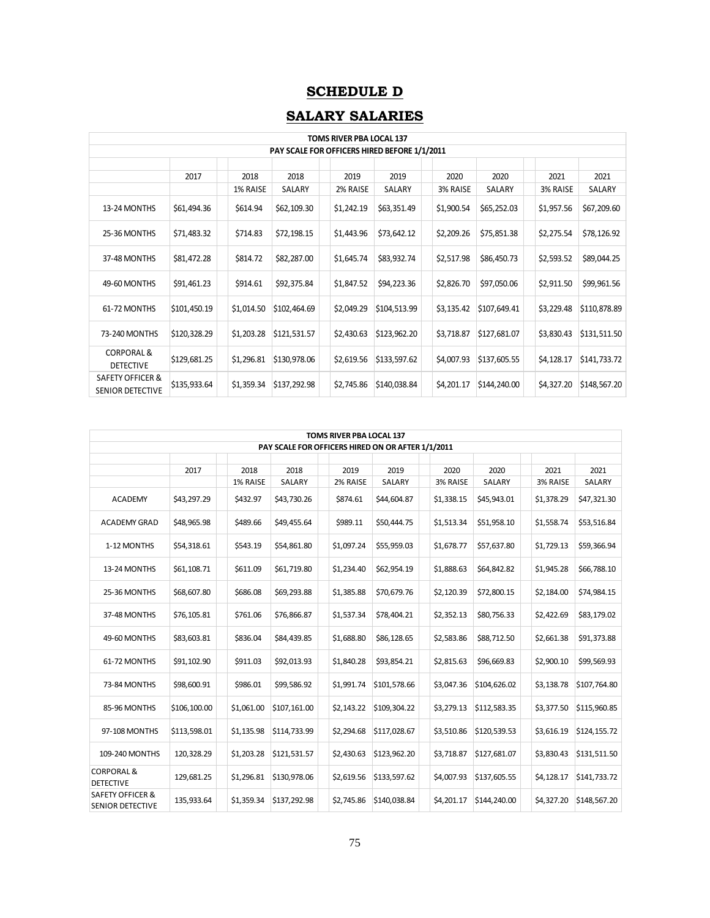# **SCHEDULE D**

# **SALARY SALARIES**

|                                                        |              |            |              | <b>TOMS RIVER PBA LOCAL 137</b>              |              |            |              |            |              |
|--------------------------------------------------------|--------------|------------|--------------|----------------------------------------------|--------------|------------|--------------|------------|--------------|
|                                                        |              |            |              | PAY SCALE FOR OFFICERS HIRED BEFORE 1/1/2011 |              |            |              |            |              |
|                                                        |              |            |              |                                              |              |            |              |            |              |
|                                                        | 2017         | 2018       | 2018         | 2019                                         | 2019         | 2020       | 2020         | 2021       | 2021         |
|                                                        |              | 1% RAISE   | SALARY       | 2% RAISE                                     | SALARY       | 3% RAISE   | SALARY       | 3% RAISE   | SALARY       |
| 13-24 MONTHS                                           | \$61,494.36  | \$614.94   | \$62,109.30  | \$1,242.19                                   | \$63,351.49  | \$1,900.54 | \$65,252.03  | \$1,957.56 | \$67,209.60  |
| 25-36 MONTHS                                           | \$71,483.32  | \$714.83   | \$72,198.15  | \$1,443.96                                   | \$73,642.12  | \$2,209.26 | \$75,851.38  | \$2,275.54 | \$78,126.92  |
| 37-48 MONTHS                                           | \$81,472.28  | \$814.72   | \$82,287.00  | \$1,645.74                                   | \$83,932.74  | \$2,517.98 | \$86,450.73  | \$2,593.52 | \$89,044.25  |
| 49-60 MONTHS                                           | \$91,461.23  | \$914.61   | \$92,375.84  | \$1,847.52                                   | \$94,223.36  | \$2,826.70 | \$97,050.06  | \$2,911.50 | \$99,961.56  |
| 61-72 MONTHS                                           | \$101,450.19 | \$1,014.50 | \$102,464.69 | \$2,049.29                                   | \$104,513.99 | \$3,135.42 | \$107,649.41 | \$3,229.48 | \$110,878.89 |
| 73-240 MONTHS                                          | \$120,328.29 | \$1,203.28 | \$121,531.57 | \$2,430.63                                   | \$123,962.20 | \$3,718.87 | \$127,681.07 | \$3,830.43 | \$131,511.50 |
| <b>CORPORAL &amp;</b><br><b>DETECTIVE</b>              | \$129,681.25 | \$1,296.81 | \$130,978.06 | \$2,619.56                                   | \$133,597.62 | \$4,007.93 | \$137,605.55 | \$4,128.17 | \$141,733.72 |
| <b>SAFETY OFFICER &amp;</b><br><b>SENIOR DETECTIVE</b> | \$135,933.64 | \$1,359.34 | \$137,292.98 | \$2,745.86                                   | \$140,038.84 | \$4,201.17 | \$144,240.00 | \$4,327.20 | \$148,567.20 |

|                                                        |              |            |              | <b>TOMS RIVER PBA LOCAL 137</b>                   |              |            |              |            |              |
|--------------------------------------------------------|--------------|------------|--------------|---------------------------------------------------|--------------|------------|--------------|------------|--------------|
|                                                        |              |            |              | PAY SCALE FOR OFFICERS HIRED ON OR AFTER 1/1/2011 |              |            |              |            |              |
|                                                        | 2017         | 2018       | 2018         | 2019                                              | 2019         | 2020       | 2020         | 2021       | 2021         |
|                                                        |              | 1% RAISE   | SALARY       | 2% RAISE                                          | SALARY       | 3% RAISE   | SALARY       | 3% RAISE   | SALARY       |
| <b>ACADEMY</b>                                         | \$43,297.29  | \$432.97   | \$43,730.26  | \$874.61                                          | \$44,604.87  | \$1,338.15 | \$45,943.01  | \$1,378.29 | \$47,321.30  |
| <b>ACADEMY GRAD</b>                                    | \$48,965.98  | \$489.66   | \$49,455.64  | \$989.11                                          | \$50,444.75  | \$1,513.34 | \$51,958.10  | \$1,558.74 | \$53,516.84  |
| 1-12 MONTHS                                            | \$54,318.61  | \$543.19   | \$54,861.80  | \$1,097.24                                        | \$55,959.03  | \$1,678.77 | \$57,637.80  | \$1,729.13 | \$59,366.94  |
| 13-24 MONTHS                                           | \$61,108.71  | \$611.09   | \$61,719.80  | \$1,234.40                                        | \$62,954.19  | \$1,888.63 | \$64,842.82  | \$1,945.28 | \$66,788.10  |
| 25-36 MONTHS                                           | \$68,607.80  | \$686.08   | \$69,293.88  | \$1,385.88                                        | \$70,679.76  | \$2,120.39 | \$72,800.15  | \$2,184.00 | \$74,984.15  |
| 37-48 MONTHS                                           | \$76,105.81  | \$761.06   | \$76,866.87  | \$1,537.34                                        | \$78,404.21  | \$2,352.13 | \$80,756.33  | \$2,422.69 | \$83,179.02  |
| 49-60 MONTHS                                           | \$83,603.81  | \$836.04   | \$84,439.85  | \$1,688.80                                        | \$86,128.65  | \$2,583.86 | \$88,712.50  | \$2,661.38 | \$91,373.88  |
| 61-72 MONTHS                                           | \$91,102.90  | \$911.03   | \$92,013.93  | \$1,840.28                                        | \$93,854.21  | \$2,815.63 | \$96,669.83  | \$2,900.10 | \$99,569.93  |
| 73-84 MONTHS                                           | \$98,600.91  | \$986.01   | \$99,586.92  | \$1,991.74                                        | \$101,578.66 | \$3,047.36 | \$104,626.02 | \$3,138.78 | \$107,764.80 |
| 85-96 MONTHS                                           | \$106,100.00 | \$1,061.00 | \$107,161.00 | \$2,143.22                                        | \$109,304.22 | \$3,279.13 | \$112,583.35 | \$3,377.50 | \$115,960.85 |
| 97-108 MONTHS                                          | \$113,598.01 | \$1,135.98 | \$114,733.99 | \$2,294.68                                        | \$117,028.67 | \$3,510.86 | \$120,539.53 | \$3,616.19 | \$124,155.72 |
| 109-240 MONTHS                                         | 120,328.29   | \$1,203.28 | \$121,531.57 | \$2,430.63                                        | \$123,962.20 | \$3,718.87 | \$127,681.07 | \$3,830.43 | \$131,511.50 |
| <b>CORPORAL &amp;</b><br><b>DETECTIVE</b>              | 129,681.25   | \$1,296.81 | \$130,978.06 | \$2,619.56                                        | \$133,597.62 | \$4,007.93 | \$137,605.55 | \$4,128.17 | \$141,733.72 |
| <b>SAFETY OFFICER &amp;</b><br><b>SENIOR DETECTIVE</b> | 135,933.64   | \$1,359.34 | \$137,292.98 | \$2,745.86                                        | \$140,038.84 | \$4,201.17 | \$144,240.00 | \$4,327.20 | \$148,567.20 |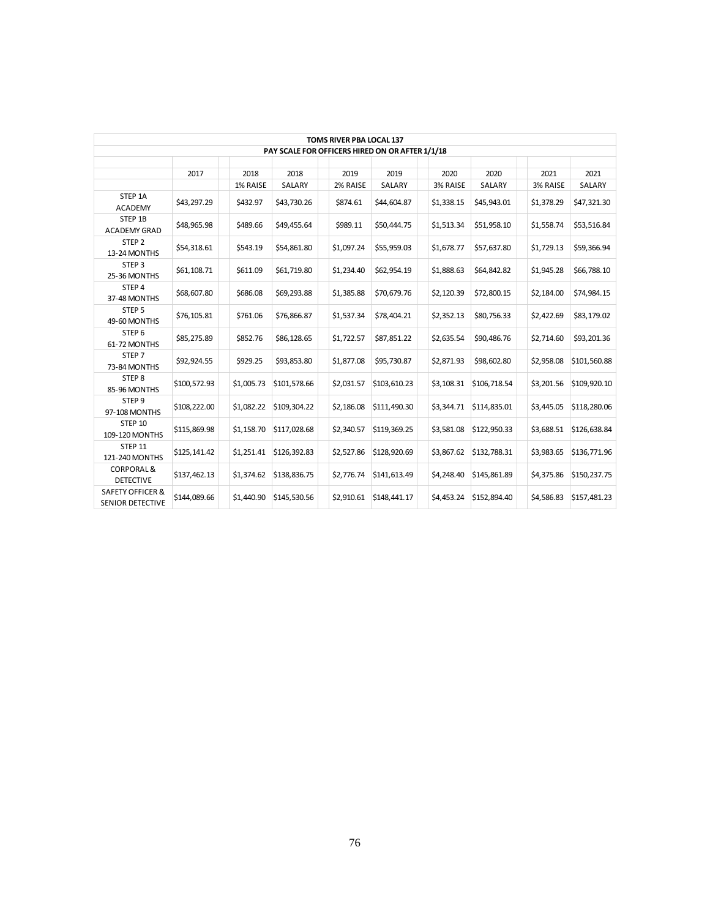|                                      |              |            |              | TOMS RIVER PBA LOCAL 137                        |              |            |              |            |              |
|--------------------------------------|--------------|------------|--------------|-------------------------------------------------|--------------|------------|--------------|------------|--------------|
|                                      |              |            |              | PAY SCALE FOR OFFICERS HIRED ON OR AFTER 1/1/18 |              |            |              |            |              |
|                                      | 2017         | 2018       | 2018         | 2019                                            | 2019         | 2020       | 2020         | 2021       | 2021         |
|                                      |              | 1% RAISE   | SALARY       | 2% RAISE                                        | SALARY       | 3% RAISE   | SALARY       | 3% RAISE   | SALARY       |
| STEP 1A<br><b>ACADEMY</b>            | \$43,297.29  | \$432.97   | \$43,730.26  | \$874.61                                        | \$44,604.87  | \$1,338.15 | \$45,943.01  | \$1,378.29 | \$47,321.30  |
| STEP 1B<br>ACADEMY GRAD              | \$48,965.98  | \$489.66   | \$49,455.64  | \$989.11                                        | \$50,444.75  | \$1,513.34 | \$51,958.10  | \$1,558.74 | \$53,516.84  |
| STEP <sub>2</sub><br>13-24 MONTHS    | \$54,318.61  | \$543.19   | \$54,861.80  | \$1,097.24                                      | \$55,959.03  | \$1,678.77 | \$57,637.80  | \$1,729.13 | \$59,366.94  |
| STEP <sub>3</sub><br>25-36 MONTHS    | \$61,108.71  | \$611.09   | \$61,719.80  | \$1,234.40                                      | \$62,954.19  | \$1,888.63 | \$64,842.82  | \$1,945.28 | \$66,788.10  |
| STEP 4<br>37-48 MONTHS               | \$68,607.80  | \$686.08   | \$69,293.88  | \$1,385.88                                      | \$70,679.76  | \$2,120.39 | \$72,800.15  | \$2,184.00 | \$74,984.15  |
| STEP <sub>5</sub><br>49-60 MONTHS    | \$76,105.81  | \$761.06   | \$76,866.87  | \$1,537.34                                      | \$78,404.21  | \$2,352.13 | \$80,756.33  | \$2,422.69 | \$83,179.02  |
| STEP <sub>6</sub><br>61-72 MONTHS    | \$85,275.89  | \$852.76   | \$86,128.65  | \$1,722.57                                      | \$87,851.22  | \$2,635.54 | \$90,486.76  | \$2,714.60 | \$93,201.36  |
| STEP <sub>7</sub><br>73-84 MONTHS    | \$92,924.55  | \$929.25   | \$93,853.80  | \$1,877.08                                      | \$95,730.87  | \$2,871.93 | \$98,602.80  | \$2,958.08 | \$101,560.88 |
| STEP 8<br>85-96 MONTHS               | \$100,572.93 | \$1,005.73 | \$101,578.66 | \$2,031.57                                      | \$103,610.23 | \$3,108.31 | \$106,718.54 | \$3,201.56 | \$109,920.10 |
| STEP <sub>9</sub><br>97-108 MONTHS   | \$108,222.00 | \$1,082.22 | \$109,304.22 | \$2,186.08                                      | \$111,490.30 | \$3,344.71 | \$114,835.01 | \$3,445.05 | \$118,280.06 |
| <b>STEP 10</b><br>109-120 MONTHS     | \$115,869.98 | \$1,158.70 | \$117,028.68 | \$2,340.57                                      | \$119,369.25 | \$3,581.08 | \$122,950.33 | \$3,688.51 | \$126,638.84 |
| STEP 11<br>121-240 MONTHS            | \$125,141.42 | \$1,251.41 | \$126,392.83 | \$2,527.86                                      | \$128,920.69 | \$3,867.62 | \$132,788.31 | \$3,983.65 | \$136,771.96 |
| CORPORAL &<br><b>DETECTIVE</b>       | \$137,462.13 | \$1,374.62 | \$138,836.75 | \$2,776.74                                      | \$141,613.49 | \$4,248.40 | \$145,861.89 | \$4,375.86 | \$150,237.75 |
| SAFETY OFFICER &<br>SENIOR DETECTIVE | \$144,089.66 | \$1,440.90 | \$145,530.56 | \$2,910.61                                      | \$148,441.17 | \$4,453.24 | \$152,894.40 | \$4,586.83 | \$157,481.23 |
|                                      |              |            |              |                                                 |              |            |              |            |              |
|                                      |              |            |              |                                                 |              |            |              |            |              |
|                                      |              |            |              |                                                 |              |            |              |            |              |
|                                      |              |            |              |                                                 |              |            |              |            |              |
|                                      |              |            |              |                                                 |              |            |              |            |              |
|                                      |              |            |              |                                                 |              |            |              |            |              |
|                                      |              |            |              |                                                 |              |            |              |            |              |
|                                      |              |            |              |                                                 |              |            |              |            |              |
|                                      |              |            |              |                                                 |              |            |              |            |              |
|                                      |              |            |              |                                                 |              |            |              |            |              |
|                                      |              |            |              |                                                 |              |            |              |            |              |
|                                      |              |            |              |                                                 |              |            |              |            |              |
|                                      |              |            |              |                                                 |              |            |              |            |              |
|                                      |              |            |              | 76                                              |              |            |              |            |              |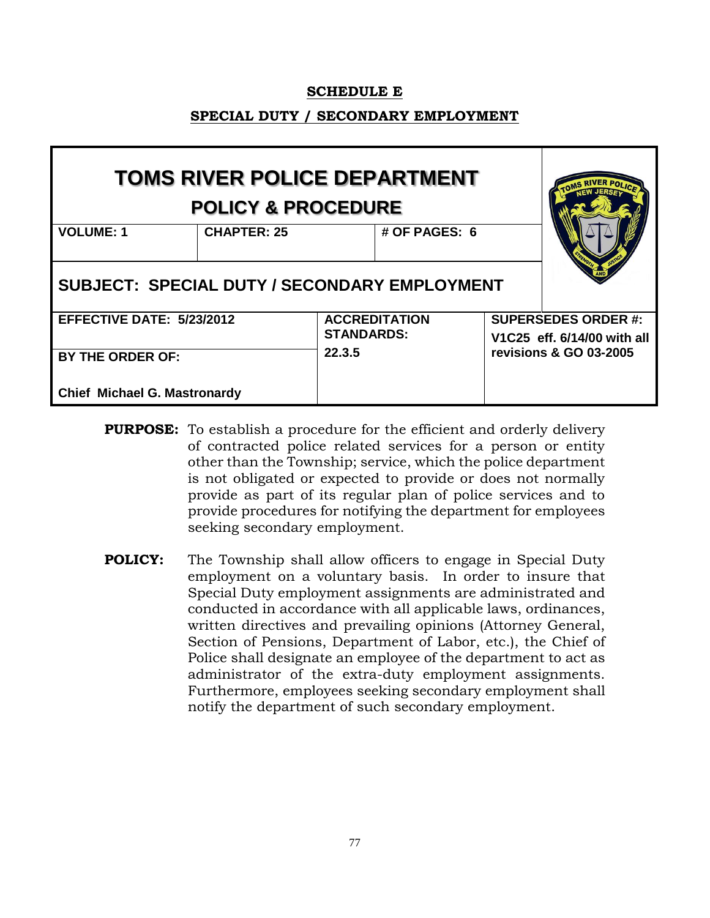#### **SCHEDULE E**

### **SPECIAL DUTY / SECONDARY EMPLOYMENT**

|                                                     | TOMS RIVER POLICE DEPARTMENT<br><b>POLICY &amp; PROCEDURE</b> |                   |                      |                                                           |
|-----------------------------------------------------|---------------------------------------------------------------|-------------------|----------------------|-----------------------------------------------------------|
| <b>VOLUME: 1</b>                                    | <b>CHAPTER: 25</b>                                            |                   | # OF PAGES: 6        |                                                           |
| <b>SUBJECT: SPECIAL DUTY / SECONDARY EMPLOYMENT</b> |                                                               |                   |                      |                                                           |
| <b>EFFECTIVE DATE: 5/23/2012</b>                    |                                                               | <b>STANDARDS:</b> | <b>ACCREDITATION</b> | <b>SUPERSEDES ORDER #:</b><br>V1C25 eff. 6/14/00 with all |
| <b>BY THE ORDER OF:</b>                             |                                                               | 22.3.5            |                      | revisions & GO 03-2005                                    |
| <b>Chief Michael G. Mastronardy</b>                 |                                                               |                   |                      |                                                           |

- **PURPOSE:** To establish a procedure for the efficient and orderly delivery of contracted police related services for a person or entity other than the Township; service, which the police department is not obligated or expected to provide or does not normally provide as part of its regular plan of police services and to provide procedures for notifying the department for employees seeking secondary employment.
- **POLICY:** The Township shall allow officers to engage in Special Duty employment on a voluntary basis. In order to insure that Special Duty employment assignments are administrated and conducted in accordance with all applicable laws, ordinances, written directives and prevailing opinions (Attorney General, Section of Pensions, Department of Labor, etc.), the Chief of Police shall designate an employee of the department to act as administrator of the extra-duty employment assignments. Furthermore, employees seeking secondary employment shall notify the department of such secondary employment.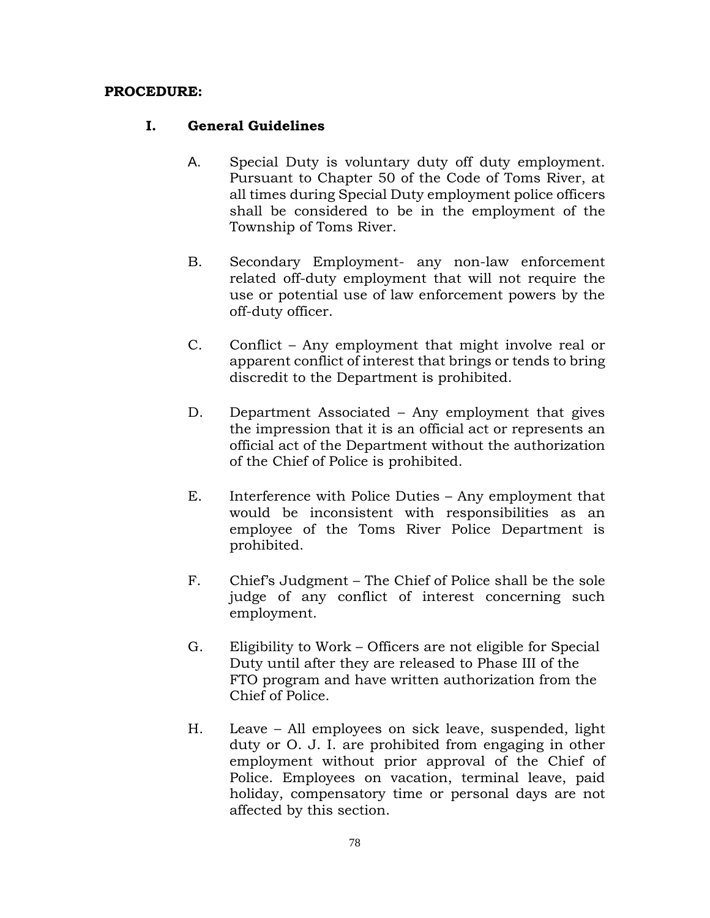### **PROCEDURE:**

#### **I. General Guidelines**

- A. Special Duty is voluntary duty off duty employment. Pursuant to Chapter 50 of the Code of Toms River, at all times during Special Duty employment police officers shall be considered to be in the employment of the Township of Toms River.
- B. Secondary Employment- any non-law enforcement related off-duty employment that will not require the use or potential use of law enforcement powers by the off-duty officer.
- C. Conflict Any employment that might involve real or apparent conflict of interest that brings or tends to bring discredit to the Department is prohibited.
- D. Department Associated Any employment that gives the impression that it is an official act or represents an official act of the Department without the authorization of the Chief of Police is prohibited.
- E. Interference with Police Duties Any employment that would be inconsistent with responsibilities as an employee of the Toms River Police Department is prohibited.
- F. Chief's Judgment The Chief of Police shall be the sole judge of any conflict of interest concerning such employment.
- G. Eligibility to Work Officers are not eligible for Special Duty until after they are released to Phase III of the FTO program and have written authorization from the Chief of Police.
- H. Leave All employees on sick leave, suspended, light duty or O. J. I. are prohibited from engaging in other employment without prior approval of the Chief of Police. Employees on vacation, terminal leave, paid holiday, compensatory time or personal days are not affected by this section.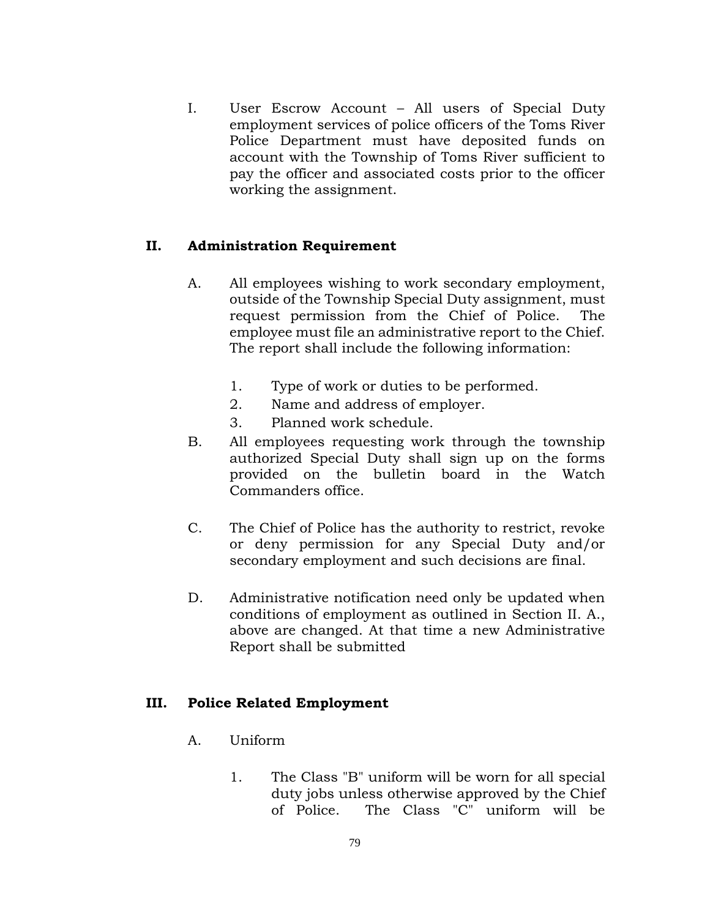I. User Escrow Account – All users of Special Duty employment services of police officers of the Toms River Police Department must have deposited funds on account with the Township of Toms River sufficient to pay the officer and associated costs prior to the officer working the assignment.

## **II. Administration Requirement**

- A. All employees wishing to work secondary employment, outside of the Township Special Duty assignment, must request permission from the Chief of Police. The employee must file an administrative report to the Chief. The report shall include the following information:
	- 1. Type of work or duties to be performed.
	- 2. Name and address of employer.
	- 3. Planned work schedule.
- B. All employees requesting work through the township authorized Special Duty shall sign up on the forms provided on the bulletin board in the Watch Commanders office.
- C. The Chief of Police has the authority to restrict, revoke or deny permission for any Special Duty and/or secondary employment and such decisions are final.
- D. Administrative notification need only be updated when conditions of employment as outlined in Section II. A., above are changed. At that time a new Administrative Report shall be submitted

### **III. Police Related Employment**

- A. Uniform
	- 1. The Class "B" uniform will be worn for all special duty jobs unless otherwise approved by the Chief of Police. The Class "C" uniform will be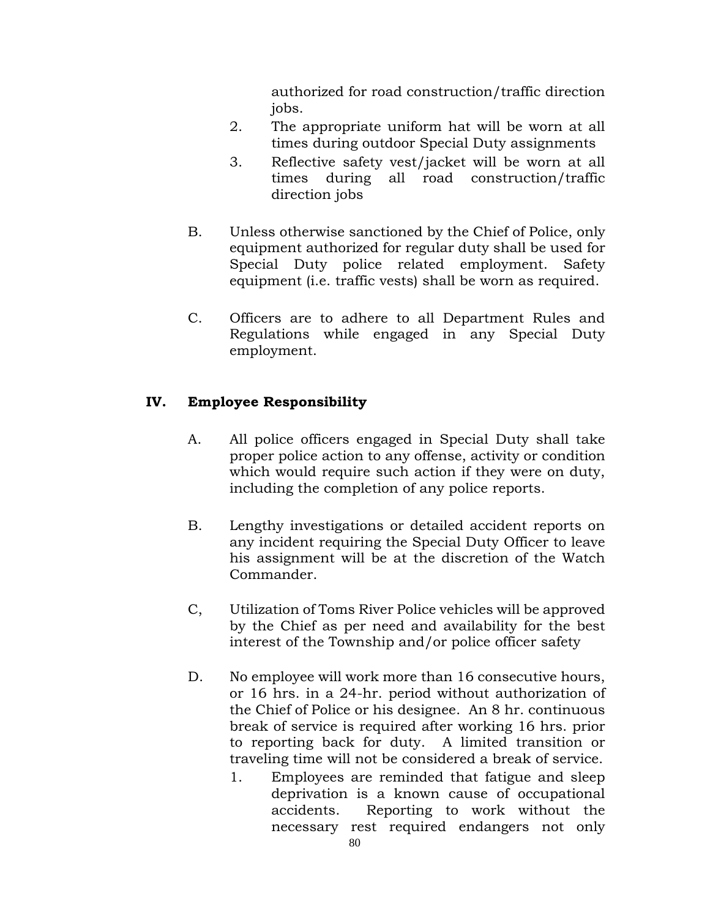authorized for road construction/traffic direction jobs.

- 2. The appropriate uniform hat will be worn at all times during outdoor Special Duty assignments
- 3. Reflective safety vest/jacket will be worn at all times during all road construction/traffic direction jobs
- B. Unless otherwise sanctioned by the Chief of Police, only equipment authorized for regular duty shall be used for Special Duty police related employment. Safety equipment (i.e. traffic vests) shall be worn as required.
- C. Officers are to adhere to all Department Rules and Regulations while engaged in any Special Duty employment.

# **IV. Employee Responsibility**

- A. All police officers engaged in Special Duty shall take proper police action to any offense, activity or condition which would require such action if they were on duty, including the completion of any police reports.
- B. Lengthy investigations or detailed accident reports on any incident requiring the Special Duty Officer to leave his assignment will be at the discretion of the Watch Commander.
- C, Utilization of Toms River Police vehicles will be approved by the Chief as per need and availability for the best interest of the Township and/or police officer safety
- D. No employee will work more than 16 consecutive hours, or 16 hrs. in a 24-hr. period without authorization of the Chief of Police or his designee. An 8 hr. continuous break of service is required after working 16 hrs. prior to reporting back for duty. A limited transition or traveling time will not be considered a break of service.
	- 1. Employees are reminded that fatigue and sleep deprivation is a known cause of occupational accidents. Reporting to work without the necessary rest required endangers not only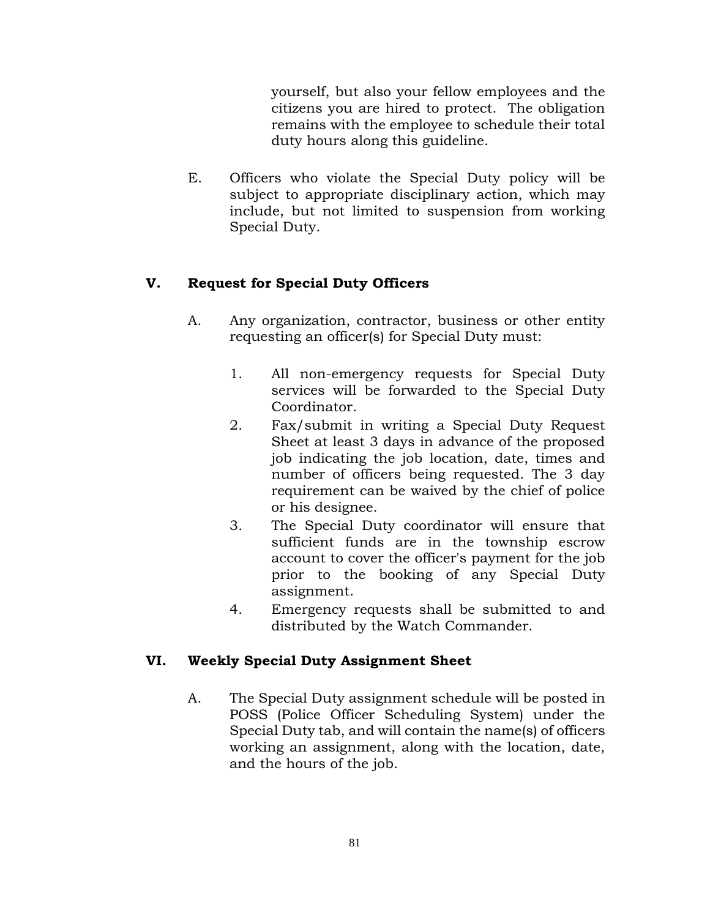yourself, but also your fellow employees and the citizens you are hired to protect. The obligation remains with the employee to schedule their total duty hours along this guideline.

E. Officers who violate the Special Duty policy will be subject to appropriate disciplinary action, which may include, but not limited to suspension from working Special Duty.

# **V. Request for Special Duty Officers**

- A. Any organization, contractor, business or other entity requesting an officer(s) for Special Duty must:
	- 1. All non-emergency requests for Special Duty services will be forwarded to the Special Duty Coordinator.
	- 2. Fax/submit in writing a Special Duty Request Sheet at least 3 days in advance of the proposed job indicating the job location, date, times and number of officers being requested. The 3 day requirement can be waived by the chief of police or his designee.
	- 3. The Special Duty coordinator will ensure that sufficient funds are in the township escrow account to cover the officer's payment for the job prior to the booking of any Special Duty assignment.
	- 4. Emergency requests shall be submitted to and distributed by the Watch Commander.

### **VI. Weekly Special Duty Assignment Sheet**

A. The Special Duty assignment schedule will be posted in POSS (Police Officer Scheduling System) under the Special Duty tab, and will contain the name(s) of officers working an assignment, along with the location, date, and the hours of the job.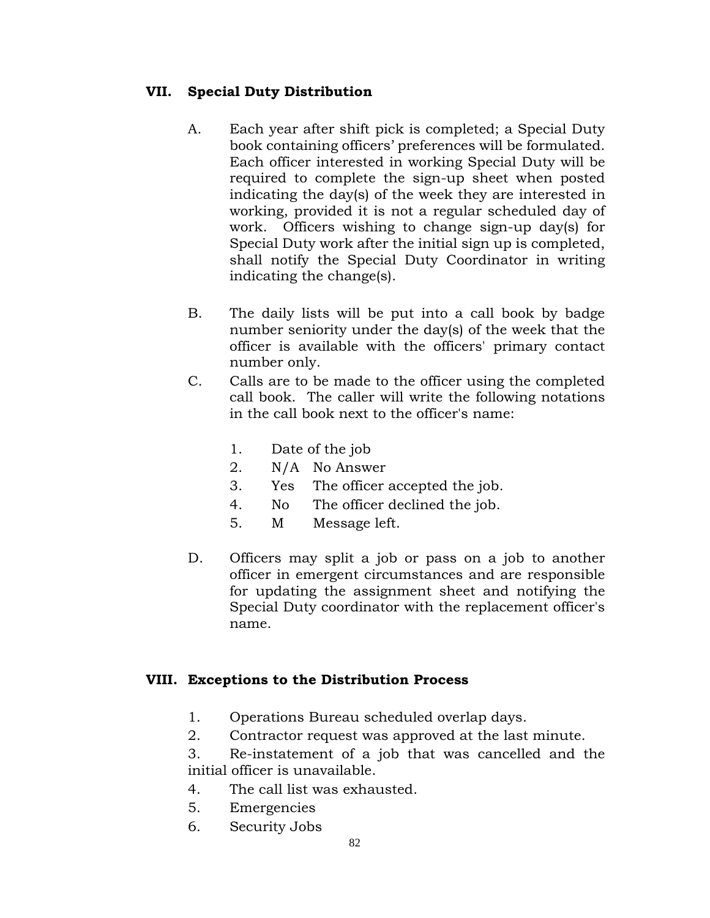# **VII. Special Duty Distribution**

- A. Each year after shift pick is completed; a Special Duty book containing officers' preferences will be formulated. Each officer interested in working Special Duty will be required to complete the sign-up sheet when posted indicating the day(s) of the week they are interested in working, provided it is not a regular scheduled day of work. Officers wishing to change sign-up day(s) for Special Duty work after the initial sign up is completed, shall notify the Special Duty Coordinator in writing indicating the change(s).
- B. The daily lists will be put into a call book by badge number seniority under the day(s) of the week that the officer is available with the officers' primary contact number only.
- C. Calls are to be made to the officer using the completed call book. The caller will write the following notations in the call book next to the officer's name:
	- 1. Date of the job
	- 2. N/A No Answer
	- 3. Yes The officer accepted the job.
	- 4. No The officer declined the job.
	- 5. M Message left.
- D. Officers may split a job or pass on a job to another officer in emergent circumstances and are responsible for updating the assignment sheet and notifying the Special Duty coordinator with the replacement officer's name.

### **VIII. Exceptions to the Distribution Process**

- 1. Operations Bureau scheduled overlap days.
- 2. Contractor request was approved at the last minute.

3. Re-instatement of a job that was cancelled and the initial officer is unavailable.

- 4. The call list was exhausted.
- 5. Emergencies
- 6. Security Jobs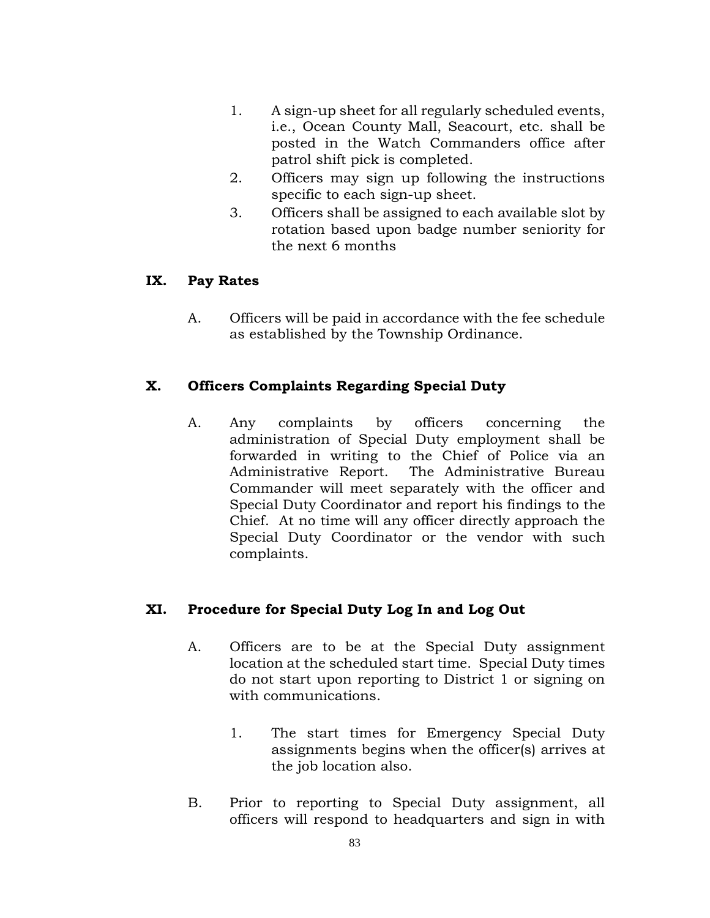- 1. A sign-up sheet for all regularly scheduled events, i.e., Ocean County Mall, Seacourt, etc. shall be posted in the Watch Commanders office after patrol shift pick is completed.
- 2. Officers may sign up following the instructions specific to each sign-up sheet.
- 3. Officers shall be assigned to each available slot by rotation based upon badge number seniority for the next 6 months

## **IX. Pay Rates**

A. Officers will be paid in accordance with the fee schedule as established by the Township Ordinance.

# **X. Officers Complaints Regarding Special Duty**

A. Any complaints by officers concerning the administration of Special Duty employment shall be forwarded in writing to the Chief of Police via an Administrative Report. The Administrative Bureau Commander will meet separately with the officer and Special Duty Coordinator and report his findings to the Chief. At no time will any officer directly approach the Special Duty Coordinator or the vendor with such complaints.

# **XI. Procedure for Special Duty Log In and Log Out**

- A. Officers are to be at the Special Duty assignment location at the scheduled start time. Special Duty times do not start upon reporting to District 1 or signing on with communications.
	- 1. The start times for Emergency Special Duty assignments begins when the officer(s) arrives at the job location also.
- B. Prior to reporting to Special Duty assignment, all officers will respond to headquarters and sign in with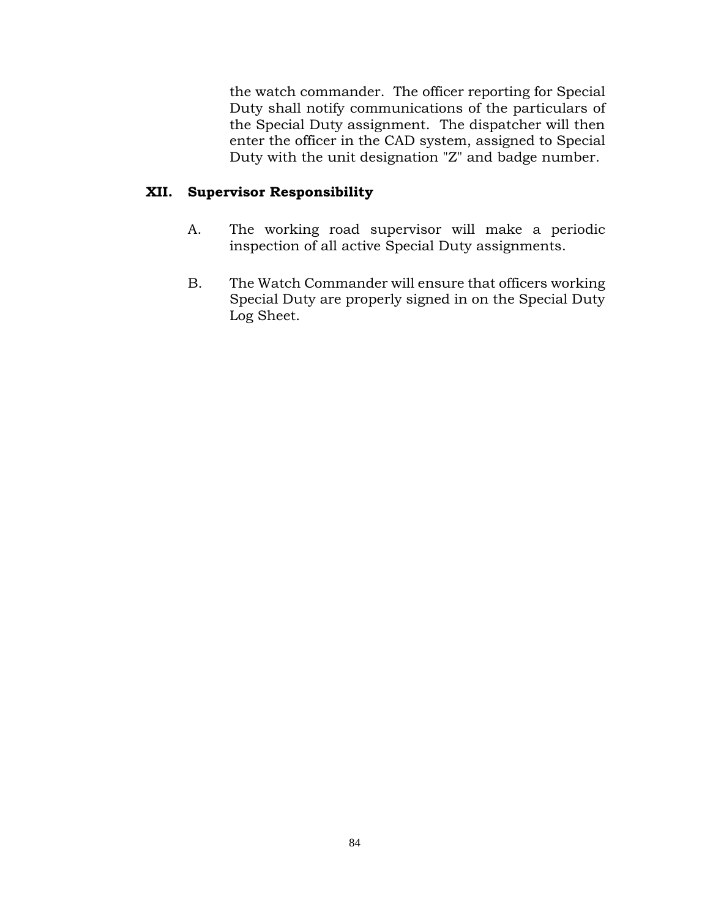the watch commander. The officer reporting for Special Duty shall notify communications of the particulars of the Special Duty assignment. The dispatcher will then enter the officer in the CAD system, assigned to Special Duty with the unit designation "Z" and badge number.

# **XII. Supervisor Responsibility**

- A. The working road supervisor will make a periodic inspection of all active Special Duty assignments.
- B. The Watch Commander will ensure that officers working Special Duty are properly signed in on the Special Duty Log Sheet.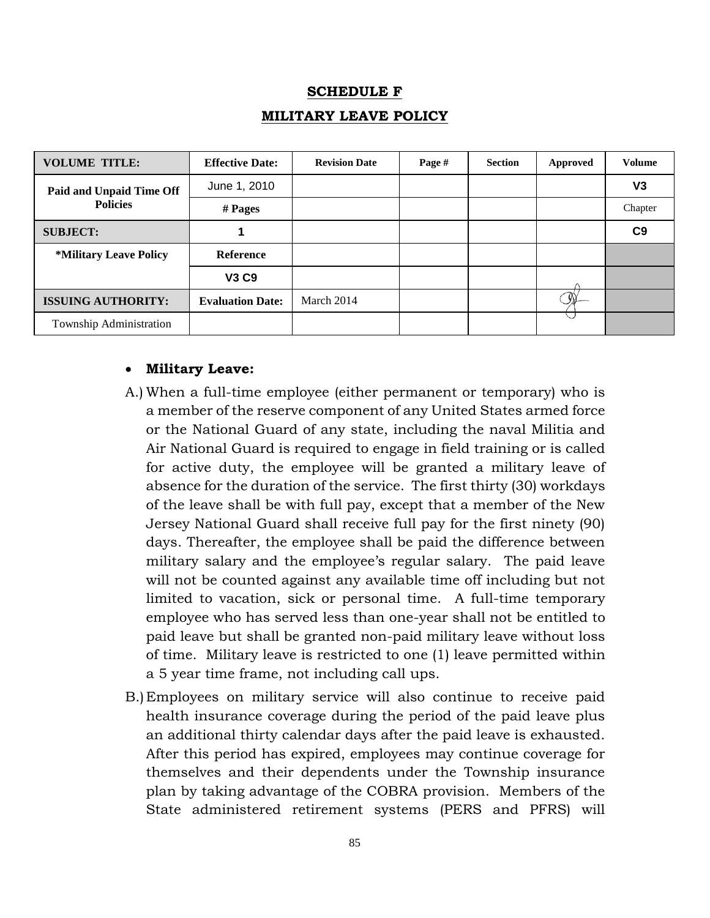# **SCHEDULE F MILITARY LEAVE POLICY**

| <b>VOLUME TITLE:</b>                 | <b>Effective Date:</b>  | <b>Revision Date</b> | Page # | <b>Section</b> | Approved | <b>Volume</b>  |
|--------------------------------------|-------------------------|----------------------|--------|----------------|----------|----------------|
| Paid and Unpaid Time Off             | June 1, 2010            |                      |        |                |          | V3             |
| <b>Policies</b>                      | $#$ Pages               |                      |        |                |          | Chapter        |
| <b>SUBJECT:</b>                      |                         |                      |        |                |          | C <sub>9</sub> |
| <i><b>*Military Leave Policy</b></i> | <b>Reference</b>        |                      |        |                |          |                |
|                                      | <b>V3 C9</b>            |                      |        |                |          |                |
| <b>ISSUING AUTHORITY:</b>            | <b>Evaluation Date:</b> | March 2014           |        |                |          |                |
| Township Administration              |                         |                      |        |                |          |                |

### **Military Leave:**

- A.) When a full-time employee (either permanent or temporary) who is a member of the reserve component of any United States armed force or the National Guard of any state, including the naval Militia and Air National Guard is required to engage in field training or is called for active duty, the employee will be granted a military leave of absence for the duration of the service. The first thirty (30) workdays of the leave shall be with full pay, except that a member of the New Jersey National Guard shall receive full pay for the first ninety (90) days. Thereafter, the employee shall be paid the difference between military salary and the employee's regular salary. The paid leave will not be counted against any available time off including but not limited to vacation, sick or personal time. A full-time temporary employee who has served less than one-year shall not be entitled to paid leave but shall be granted non-paid military leave without loss of time. Military leave is restricted to one (1) leave permitted within a 5 year time frame, not including call ups.
- B.)Employees on military service will also continue to receive paid health insurance coverage during the period of the paid leave plus an additional thirty calendar days after the paid leave is exhausted. After this period has expired, employees may continue coverage for themselves and their dependents under the Township insurance plan by taking advantage of the COBRA provision. Members of the State administered retirement systems (PERS and PFRS) will